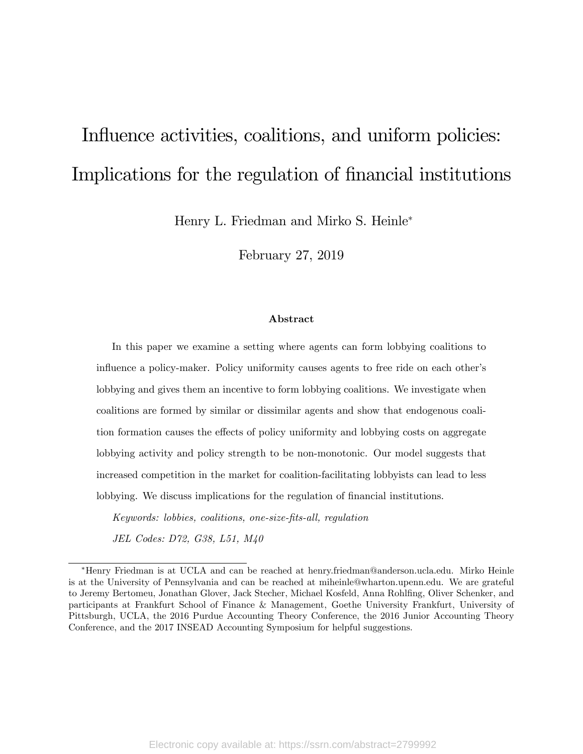# Influence activities, coalitions, and uniform policies: Implications for the regulation of financial institutions

Henry L. Friedman and Mirko S. Heinle

February 27, 2019

#### Abstract

In this paper we examine a setting where agents can form lobbying coalitions to influence a policy-maker. Policy uniformity causes agents to free ride on each other's lobbying and gives them an incentive to form lobbying coalitions. We investigate when coalitions are formed by similar or dissimilar agents and show that endogenous coalition formation causes the effects of policy uniformity and lobbying costs on aggregate lobbying activity and policy strength to be non-monotonic. Our model suggests that increased competition in the market for coalition-facilitating lobbyists can lead to less lobbying. We discuss implications for the regulation of financial institutions.

Keywords: lobbies, coalitions, one-size-Öts-all, regulation JEL Codes: D72, G38, L51, M40

Henry Friedman is at UCLA and can be reached at henry.friedman@anderson.ucla.edu. Mirko Heinle is at the University of Pennsylvania and can be reached at miheinle@wharton.upenn.edu. We are grateful to Jeremy Bertomeu, Jonathan Glover, Jack Stecher, Michael Kosfeld, Anna Rohlfing, Oliver Schenker, and participants at Frankfurt School of Finance & Management, Goethe University Frankfurt, University of Pittsburgh, UCLA, the 2016 Purdue Accounting Theory Conference, the 2016 Junior Accounting Theory Conference, and the 2017 INSEAD Accounting Symposium for helpful suggestions.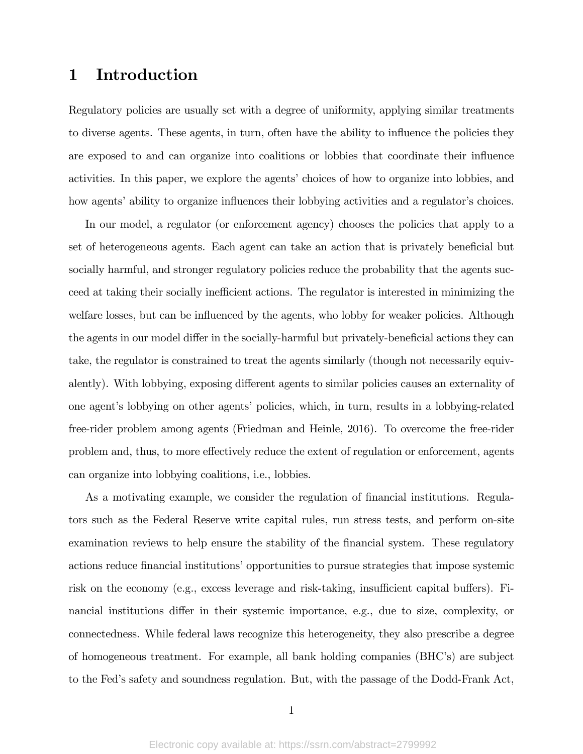# 1 Introduction

Regulatory policies are usually set with a degree of uniformity, applying similar treatments to diverse agents. These agents, in turn, often have the ability to influence the policies they are exposed to and can organize into coalitions or lobbies that coordinate their influence activities. In this paper, we explore the agents' choices of how to organize into lobbies, and how agents' ability to organize influences their lobbying activities and a regulator's choices.

In our model, a regulator (or enforcement agency) chooses the policies that apply to a set of heterogeneous agents. Each agent can take an action that is privately beneficial but socially harmful, and stronger regulatory policies reduce the probability that the agents succeed at taking their socially inefficient actions. The regulator is interested in minimizing the welfare losses, but can be influenced by the agents, who lobby for weaker policies. Although the agents in our model differ in the socially-harmful but privately-beneficial actions they can take, the regulator is constrained to treat the agents similarly (though not necessarily equivalently). With lobbying, exposing different agents to similar policies causes an externality of one agent's lobbying on other agents' policies, which, in turn, results in a lobbying-related free-rider problem among agents (Friedman and Heinle, 2016). To overcome the free-rider problem and, thus, to more effectively reduce the extent of regulation or enforcement, agents can organize into lobbying coalitions, i.e., lobbies.

As a motivating example, we consider the regulation of financial institutions. Regulators such as the Federal Reserve write capital rules, run stress tests, and perform on-site examination reviews to help ensure the stability of the financial system. These regulatory actions reduce financial institutions' opportunities to pursue strategies that impose systemic risk on the economy (e.g., excess leverage and risk-taking, insufficient capital buffers). Financial institutions differ in their systemic importance, e.g., due to size, complexity, or connectedness. While federal laws recognize this heterogeneity, they also prescribe a degree of homogeneous treatment. For example, all bank holding companies (BHC's) are subject to the Fedís safety and soundness regulation. But, with the passage of the Dodd-Frank Act,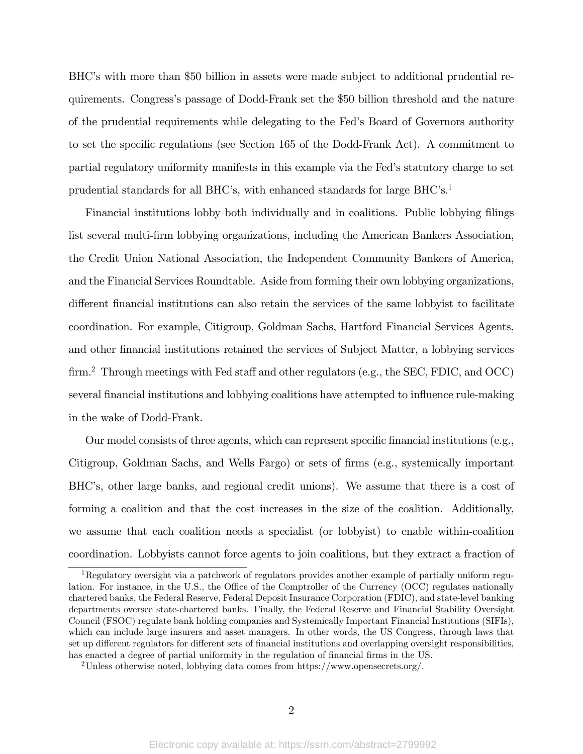BHC's with more than \$50 billion in assets were made subject to additional prudential requirements. Congressís passage of Dodd-Frank set the \$50 billion threshold and the nature of the prudential requirements while delegating to the Fedís Board of Governors authority to set the specific regulations (see Section 165 of the Dodd-Frank Act). A commitment to partial regulatory uniformity manifests in this example via the Fed's statutory charge to set prudential standards for all BHC's, with enhanced standards for large  $BHC$ 's.<sup>1</sup>

Financial institutions lobby both individually and in coalitions. Public lobbying filings list several multi-Örm lobbying organizations, including the American Bankers Association, the Credit Union National Association, the Independent Community Bankers of America, and the Financial Services Roundtable. Aside from forming their own lobbying organizations, different financial institutions can also retain the services of the same lobbyist to facilitate coordination. For example, Citigroup, Goldman Sachs, Hartford Financial Services Agents, and other Önancial institutions retained the services of Subject Matter, a lobbying services  $f_{\rm firm.}^2$  Through meetings with Fed staff and other regulators (e.g., the SEC, FDIC, and OCC) several financial institutions and lobbying coalitions have attempted to influence rule-making in the wake of Dodd-Frank.

Our model consists of three agents, which can represent specific financial institutions (e.g., Citigroup, Goldman Sachs, and Wells Fargo) or sets of firms (e.g., systemically important BHC's, other large banks, and regional credit unions). We assume that there is a cost of forming a coalition and that the cost increases in the size of the coalition. Additionally, we assume that each coalition needs a specialist (or lobbyist) to enable within-coalition coordination. Lobbyists cannot force agents to join coalitions, but they extract a fraction of

<sup>1</sup>Regulatory oversight via a patchwork of regulators provides another example of partially uniform regulation. For instance, in the U.S., the Office of the Comptroller of the Currency (OCC) regulates nationally chartered banks, the Federal Reserve, Federal Deposit Insurance Corporation (FDIC), and state-level banking departments oversee state-chartered banks. Finally, the Federal Reserve and Financial Stability Oversight Council (FSOC) regulate bank holding companies and Systemically Important Financial Institutions (SIFIs), which can include large insurers and asset managers. In other words, the US Congress, through laws that set up different regulators for different sets of financial institutions and overlapping oversight responsibilities, has enacted a degree of partial uniformity in the regulation of financial firms in the US.

<sup>2</sup>Unless otherwise noted, lobbying data comes from https://www.opensecrets.org/.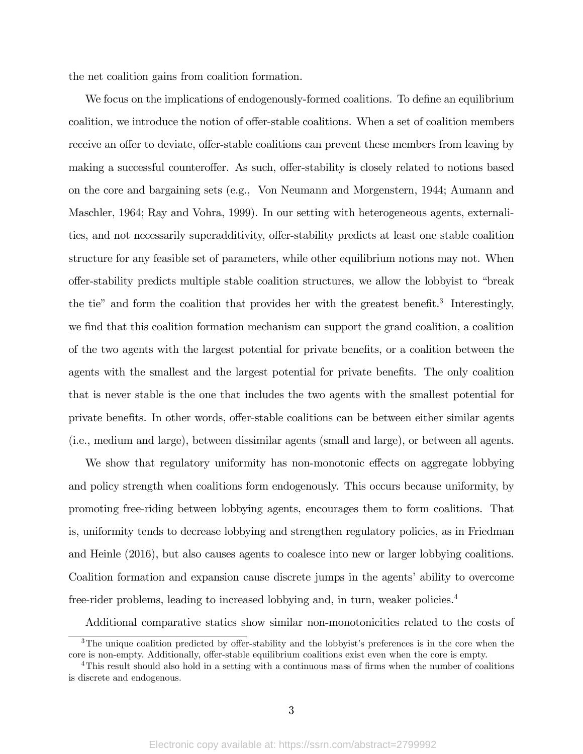the net coalition gains from coalition formation.

We focus on the implications of endogenously-formed coalitions. To define an equilibrium coalition, we introduce the notion of offer-stable coalitions. When a set of coalition members receive an offer to deviate, offer-stable coalitions can prevent these members from leaving by making a successful counteroffer. As such, offer-stability is closely related to notions based on the core and bargaining sets (e.g., Von Neumann and Morgenstern, 1944; Aumann and Maschler, 1964; Ray and Vohra, 1999). In our setting with heterogeneous agents, externalities, and not necessarily superadditivity, offer-stability predicts at least one stable coalition structure for any feasible set of parameters, while other equilibrium notions may not. When offer-stability predicts multiple stable coalition structures, we allow the lobbyist to "break" the tie" and form the coalition that provides her with the greatest benefit.<sup>3</sup> Interestingly, we find that this coalition formation mechanism can support the grand coalition, a coalition of the two agents with the largest potential for private beneÖts, or a coalition between the agents with the smallest and the largest potential for private benefits. The only coalition that is never stable is the one that includes the two agents with the smallest potential for private benefits. In other words, offer-stable coalitions can be between either similar agents (i.e., medium and large), between dissimilar agents (small and large), or between all agents.

We show that regulatory uniformity has non-monotonic effects on aggregate lobbying and policy strength when coalitions form endogenously. This occurs because uniformity, by promoting free-riding between lobbying agents, encourages them to form coalitions. That is, uniformity tends to decrease lobbying and strengthen regulatory policies, as in Friedman and Heinle (2016), but also causes agents to coalesce into new or larger lobbying coalitions. Coalition formation and expansion cause discrete jumps in the agents' ability to overcome free-rider problems, leading to increased lobbying and, in turn, weaker policies.<sup>4</sup>

Additional comparative statics show similar non-monotonicities related to the costs of

 $3$ The unique coalition predicted by offer-stability and the lobbyist's preferences is in the core when the core is non-empty. Additionally, offer-stable equilibrium coalitions exist even when the core is empty.

<sup>&</sup>lt;sup>4</sup>This result should also hold in a setting with a continuous mass of firms when the number of coalitions is discrete and endogenous.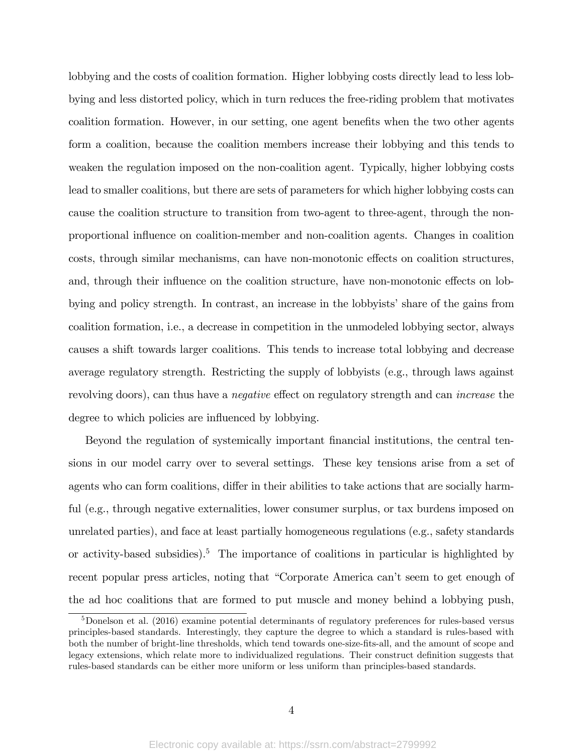lobbying and the costs of coalition formation. Higher lobbying costs directly lead to less lobbying and less distorted policy, which in turn reduces the free-riding problem that motivates coalition formation. However, in our setting, one agent benefits when the two other agents form a coalition, because the coalition members increase their lobbying and this tends to weaken the regulation imposed on the non-coalition agent. Typically, higher lobbying costs lead to smaller coalitions, but there are sets of parameters for which higher lobbying costs can cause the coalition structure to transition from two-agent to three-agent, through the nonproportional ináuence on coalition-member and non-coalition agents. Changes in coalition costs, through similar mechanisms, can have non-monotonic effects on coalition structures, and, through their influence on the coalition structure, have non-monotonic effects on lobbying and policy strength. In contrast, an increase in the lobbyists' share of the gains from coalition formation, i.e., a decrease in competition in the unmodeled lobbying sector, always causes a shift towards larger coalitions. This tends to increase total lobbying and decrease average regulatory strength. Restricting the supply of lobbyists (e.g., through laws against revolving doors), can thus have a *negative* effect on regulatory strength and can *increase* the degree to which policies are influenced by lobbying.

Beyond the regulation of systemically important Önancial institutions, the central tensions in our model carry over to several settings. These key tensions arise from a set of agents who can form coalitions, differ in their abilities to take actions that are socially harmful (e.g., through negative externalities, lower consumer surplus, or tax burdens imposed on unrelated parties), and face at least partially homogeneous regulations (e.g., safety standards or activity-based subsidies).<sup>5</sup> The importance of coalitions in particular is highlighted by recent popular press articles, noting that "Corporate America can't seem to get enough of the ad hoc coalitions that are formed to put muscle and money behind a lobbying push,

<sup>5</sup>Donelson et al. (2016) examine potential determinants of regulatory preferences for rules-based versus principles-based standards. Interestingly, they capture the degree to which a standard is rules-based with both the number of bright-line thresholds, which tend towards one-size-Öts-all, and the amount of scope and legacy extensions, which relate more to individualized regulations. Their construct definition suggests that rules-based standards can be either more uniform or less uniform than principles-based standards.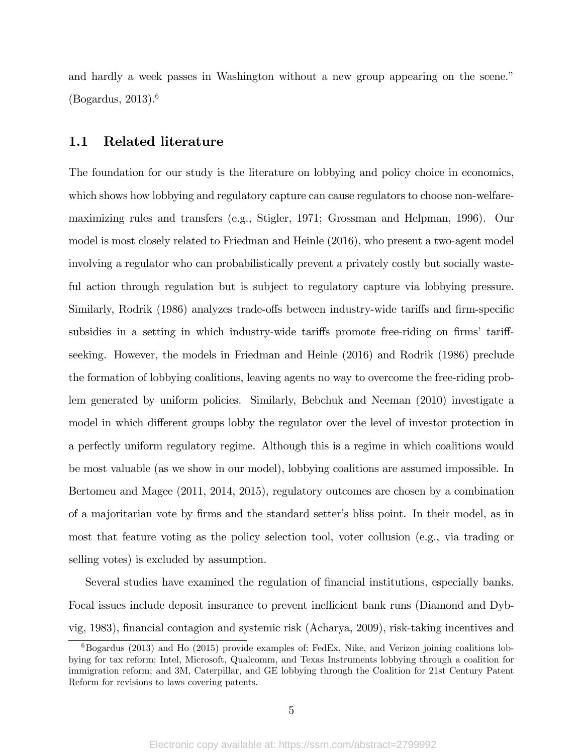and hardly a week passes in Washington without a new group appearing on the scene.<sup>"</sup>  $(Bogardus, 2013).<sup>6</sup>$ 

### 1.1 Related literature

The foundation for our study is the literature on lobbying and policy choice in economics, which shows how lobbying and regulatory capture can cause regulators to choose non-welfaremaximizing rules and transfers (e.g., Stigler, 1971; Grossman and Helpman, 1996). Our model is most closely related to Friedman and Heinle (2016), who present a two-agent model involving a regulator who can probabilistically prevent a privately costly but socially wasteful action through regulation but is subject to regulatory capture via lobbying pressure. Similarly, Rodrik (1986) analyzes trade-offs between industry-wide tariffs and firm-specific subsidies in a setting in which industry-wide tariffs promote free-riding on firms' tariffseeking. However, the models in Friedman and Heinle (2016) and Rodrik (1986) preclude the formation of lobbying coalitions, leaving agents no way to overcome the free-riding problem generated by uniform policies. Similarly, Bebchuk and Neeman (2010) investigate a model in which different groups lobby the regulator over the level of investor protection in a perfectly uniform regulatory regime. Although this is a regime in which coalitions would be most valuable (as we show in our model), lobbying coalitions are assumed impossible. In Bertomeu and Magee (2011, 2014, 2015), regulatory outcomes are chosen by a combination of a majoritarian vote by firms and the standard setter's bliss point. In their model, as in most that feature voting as the policy selection tool, voter collusion (e.g., via trading or selling votes) is excluded by assumption.

Several studies have examined the regulation of financial institutions, especially banks. Focal issues include deposit insurance to prevent inefficient bank runs (Diamond and Dybvig, 1983), Önancial contagion and systemic risk (Acharya, 2009), risk-taking incentives and

 $6B$ ogardus (2013) and Ho (2015) provide examples of: FedEx, Nike, and Verizon joining coalitions lobbying for tax reform; Intel, Microsoft, Qualcomm, and Texas Instruments lobbying through a coalition for immigration reform; and 3M, Caterpillar, and GE lobbying through the Coalition for 21st Century Patent Reform for revisions to laws covering patents.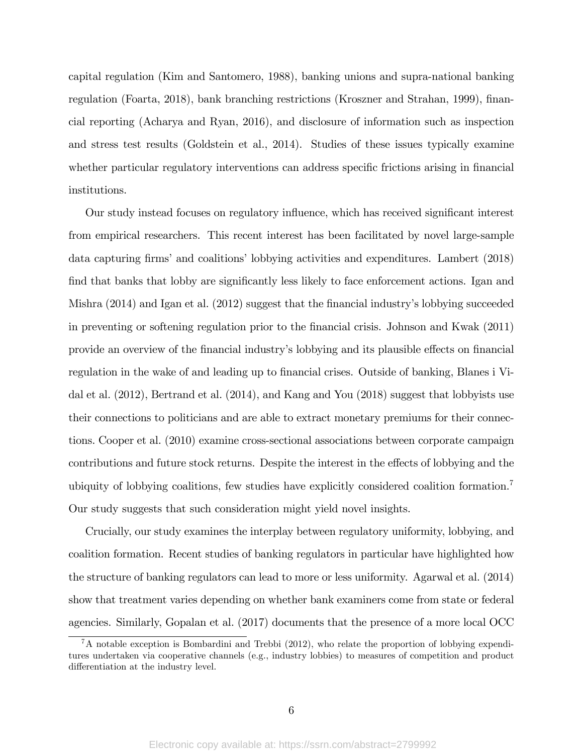capital regulation (Kim and Santomero, 1988), banking unions and supra-national banking regulation (Foarta, 2018), bank branching restrictions (Kroszner and Strahan, 1999), financial reporting (Acharya and Ryan, 2016), and disclosure of information such as inspection and stress test results (Goldstein et al., 2014). Studies of these issues typically examine whether particular regulatory interventions can address specific frictions arising in financial institutions.

Our study instead focuses on regulatory influence, which has received significant interest from empirical researchers. This recent interest has been facilitated by novel large-sample data capturing firms' and coalitions' lobbying activities and expenditures. Lambert (2018) find that banks that lobby are significantly less likely to face enforcement actions. Igan and Mishra  $(2014)$  and Igan et al.  $(2012)$  suggest that the financial industry's lobbying succeeded in preventing or softening regulation prior to the Önancial crisis. Johnson and Kwak (2011) provide an overview of the financial industry's lobbying and its plausible effects on financial regulation in the wake of and leading up to financial crises. Outside of banking, Blanes i Vidal et al. (2012), Bertrand et al. (2014), and Kang and You (2018) suggest that lobbyists use their connections to politicians and are able to extract monetary premiums for their connections. Cooper et al. (2010) examine cross-sectional associations between corporate campaign contributions and future stock returns. Despite the interest in the effects of lobbying and the ubiquity of lobbying coalitions, few studies have explicitly considered coalition formation.<sup>7</sup> Our study suggests that such consideration might yield novel insights.

Crucially, our study examines the interplay between regulatory uniformity, lobbying, and coalition formation. Recent studies of banking regulators in particular have highlighted how the structure of banking regulators can lead to more or less uniformity. Agarwal et al. (2014) show that treatment varies depending on whether bank examiners come from state or federal agencies. Similarly, Gopalan et al. (2017) documents that the presence of a more local OCC

 ${}^{7}$ A notable exception is Bombardini and Trebbi (2012), who relate the proportion of lobbying expenditures undertaken via cooperative channels (e.g., industry lobbies) to measures of competition and product differentiation at the industry level.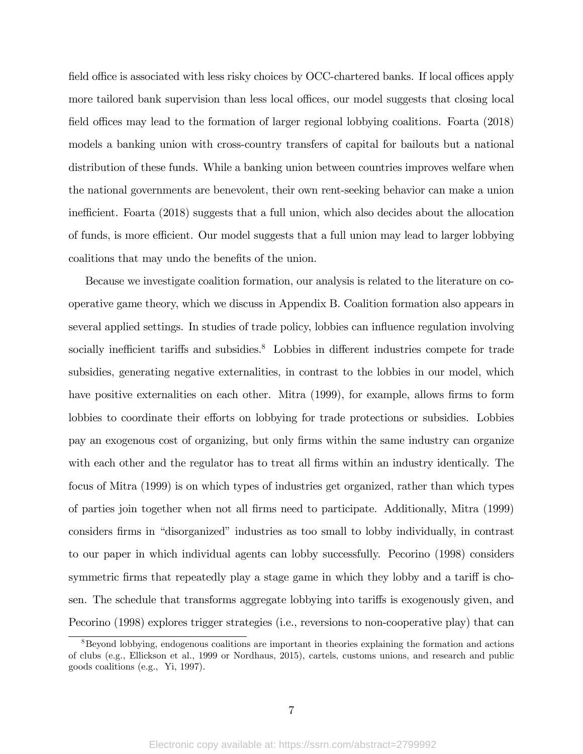field office is associated with less risky choices by OCC-chartered banks. If local offices apply more tailored bank supervision than less local offices, our model suggests that closing local field offices may lead to the formation of larger regional lobbying coalitions. Foarta (2018) models a banking union with cross-country transfers of capital for bailouts but a national distribution of these funds. While a banking union between countries improves welfare when the national governments are benevolent, their own rent-seeking behavior can make a union inefficient. Foarta (2018) suggests that a full union, which also decides about the allocation of funds, is more efficient. Our model suggests that a full union may lead to larger lobbying coalitions that may undo the benefits of the union.

Because we investigate coalition formation, our analysis is related to the literature on cooperative game theory, which we discuss in Appendix B. Coalition formation also appears in several applied settings. In studies of trade policy, lobbies can ináuence regulation involving socially inefficient tariffs and subsidies. $8$  Lobbies in different industries compete for trade subsidies, generating negative externalities, in contrast to the lobbies in our model, which have positive externalities on each other. Mitra (1999), for example, allows firms to form lobbies to coordinate their efforts on lobbying for trade protections or subsidies. Lobbies pay an exogenous cost of organizing, but only Örms within the same industry can organize with each other and the regulator has to treat all firms within an industry identically. The focus of Mitra (1999) is on which types of industries get organized, rather than which types of parties join together when not all Örms need to participate. Additionally, Mitra (1999) considers firms in "disorganized" industries as too small to lobby individually, in contrast to our paper in which individual agents can lobby successfully. Pecorino (1998) considers symmetric firms that repeatedly play a stage game in which they lobby and a tariff is chosen. The schedule that transforms aggregate lobbying into tariffs is exogenously given, and Pecorino (1998) explores trigger strategies (i.e., reversions to non-cooperative play) that can

<sup>&</sup>lt;sup>8</sup>Beyond lobbying, endogenous coalitions are important in theories explaining the formation and actions of clubs (e.g., Ellickson et al., 1999 or Nordhaus, 2015), cartels, customs unions, and research and public goods coalitions (e.g., Yi, 1997).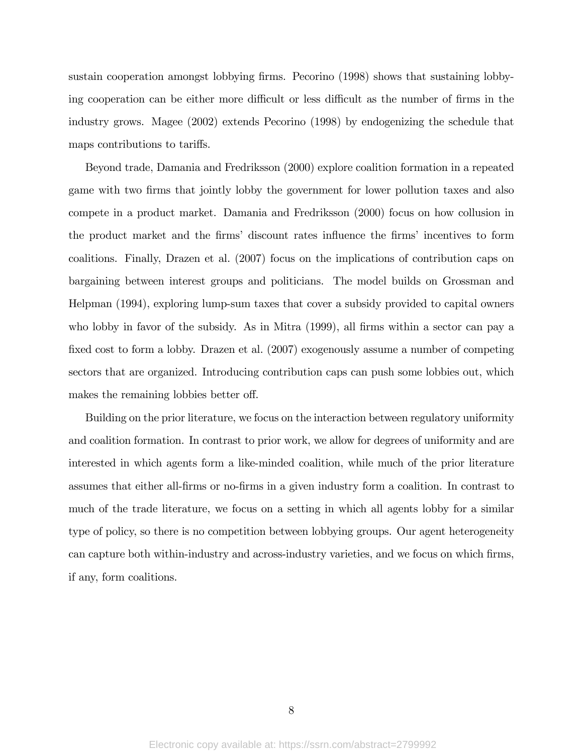sustain cooperation amongst lobbying firms. Pecorino (1998) shows that sustaining lobbying cooperation can be either more difficult or less difficult as the number of firms in the industry grows. Magee (2002) extends Pecorino (1998) by endogenizing the schedule that maps contributions to tariffs.

Beyond trade, Damania and Fredriksson (2000) explore coalition formation in a repeated game with two firms that jointly lobby the government for lower pollution taxes and also compete in a product market. Damania and Fredriksson (2000) focus on how collusion in the product market and the firms' discount rates influence the firms' incentives to form coalitions. Finally, Drazen et al. (2007) focus on the implications of contribution caps on bargaining between interest groups and politicians. The model builds on Grossman and Helpman (1994), exploring lump-sum taxes that cover a subsidy provided to capital owners who lobby in favor of the subsidy. As in Mitra (1999), all firms within a sector can pay a fixed cost to form a lobby. Drazen et al.  $(2007)$  exogenously assume a number of competing sectors that are organized. Introducing contribution caps can push some lobbies out, which makes the remaining lobbies better off.

Building on the prior literature, we focus on the interaction between regulatory uniformity and coalition formation. In contrast to prior work, we allow for degrees of uniformity and are interested in which agents form a like-minded coalition, while much of the prior literature assumes that either all-Örms or no-Örms in a given industry form a coalition. In contrast to much of the trade literature, we focus on a setting in which all agents lobby for a similar type of policy, so there is no competition between lobbying groups. Our agent heterogeneity can capture both within-industry and across-industry varieties, and we focus on which firms, if any, form coalitions.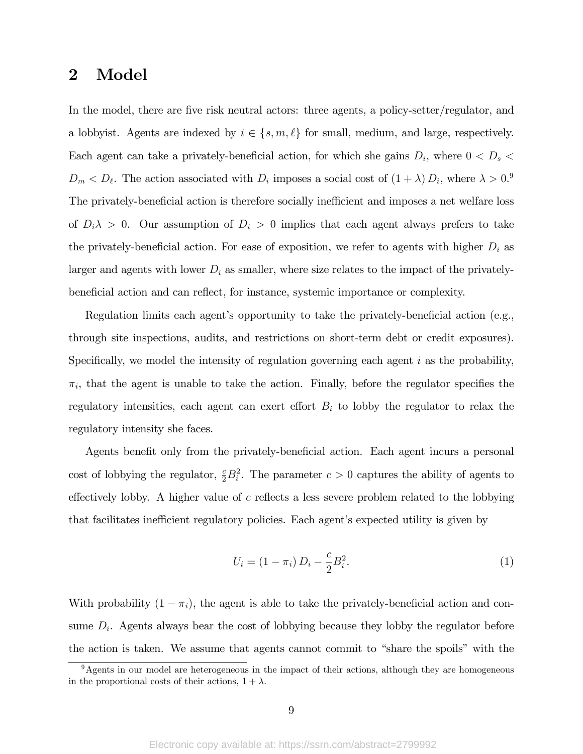# 2 Model

In the model, there are five risk neutral actors: three agents, a policy-setter/regulator, and a lobbyist. Agents are indexed by  $i \in \{s, m, \ell\}$  for small, medium, and large, respectively. Each agent can take a privately-beneficial action, for which she gains  $D_i$ , where  $0 < D_s$  $D_m < D_\ell$ . The action associated with  $D_i$  imposes a social cost of  $(1 + \lambda) D_i$ , where  $\lambda > 0$ . The privately-beneficial action is therefore socially inefficient and imposes a net welfare loss of  $D_i \lambda > 0$ . Our assumption of  $D_i > 0$  implies that each agent always prefers to take the privately-beneficial action. For ease of exposition, we refer to agents with higher  $D_i$  as larger and agents with lower  $D_i$  as smaller, where size relates to the impact of the privatelybeneficial action and can reflect, for instance, systemic importance or complexity.

Regulation limits each agent's opportunity to take the privately-beneficial action (e.g., through site inspections, audits, and restrictions on short-term debt or credit exposures). Specifically, we model the intensity of regulation governing each agent  $i$  as the probability,  $\pi_i$ , that the agent is unable to take the action. Finally, before the regulator specifies the regulatory intensities, each agent can exert effort  $B_i$  to lobby the regulator to relax the regulatory intensity she faces.

Agents benefit only from the privately-beneficial action. Each agent incurs a personal cost of lobbying the regulator,  $\frac{c}{2}B_i^2$ . The parameter  $c > 0$  captures the ability of agents to effectively lobby. A higher value of c reflects a less severe problem related to the lobbying that facilitates inefficient regulatory policies. Each agent's expected utility is given by

$$
U_i = (1 - \pi_i) D_i - \frac{c}{2} B_i^2.
$$
 (1)

With probability  $(1 - \pi_i)$ , the agent is able to take the privately-beneficial action and consume  $D_i$ . Agents always bear the cost of lobbying because they lobby the regulator before the action is taken. We assume that agents cannot commit to "share the spoils" with the

 $9A$ gents in our model are heterogeneous in the impact of their actions, although they are homogeneous in the proportional costs of their actions,  $1 + \lambda$ .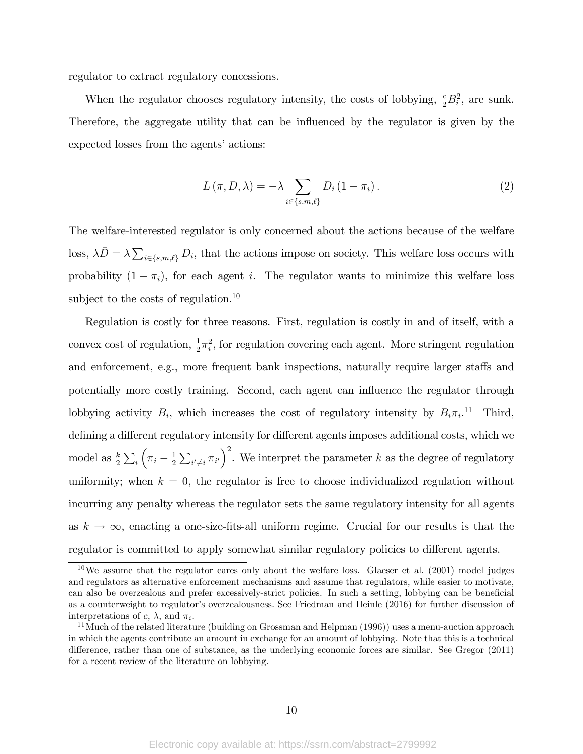regulator to extract regulatory concessions.

When the regulator chooses regulatory intensity, the costs of lobbying,  $\frac{c}{2}B_i^2$ , are sunk. Therefore, the aggregate utility that can be influenced by the regulator is given by the expected losses from the agents' actions:

$$
L(\pi, D, \lambda) = -\lambda \sum_{i \in \{s, m, \ell\}} D_i (1 - \pi_i).
$$
 (2)

The welfare-interested regulator is only concerned about the actions because of the welfare loss,  $\lambda \bar{D} = \lambda \sum_{i \in \{s,m,\ell\}} D_i$ , that the actions impose on society. This welfare loss occurs with probability  $(1 - \pi_i)$ , for each agent i. The regulator wants to minimize this welfare loss subject to the costs of regulation.<sup>10</sup>

Regulation is costly for three reasons. First, regulation is costly in and of itself, with a convex cost of regulation,  $\frac{1}{2}\pi_i^2$ , for regulation covering each agent. More stringent regulation and enforcement, e.g., more frequent bank inspections, naturally require larger staffs and potentially more costly training. Second, each agent can influence the regulator through lobbying activity  $B_i$ , which increases the cost of regulatory intensity by  $B_i \pi_i$ .<sup>11</sup> Third, defining a different regulatory intensity for different agents imposes additional costs, which we model as  $\frac{k}{2} \sum_i$  $\left(\pi_i - \frac{1}{2}\right)$  $\frac{1}{2}\sum_{i'\neq i}\pi_{i'}\right)^2$ . We interpret the parameter k as the degree of regulatory uniformity; when  $k = 0$ , the regulator is free to choose individualized regulation without incurring any penalty whereas the regulator sets the same regulatory intensity for all agents as  $k \to \infty$ , enacting a one-size-fits-all uniform regime. Crucial for our results is that the regulator is committed to apply somewhat similar regulatory policies to different agents.

 $10$ We assume that the regulator cares only about the welfare loss. Glaeser et al. (2001) model judges and regulators as alternative enforcement mechanisms and assume that regulators, while easier to motivate, can also be overzealous and prefer excessively-strict policies. In such a setting, lobbying can be beneficial as a counterweight to regulator's overzealousness. See Friedman and Heinle (2016) for further discussion of interpretations of c,  $\lambda$ , and  $\pi_i$ .

<sup>&</sup>lt;sup>11</sup> Much of the related literature (building on Grossman and Helpman (1996)) uses a menu-auction approach in which the agents contribute an amount in exchange for an amount of lobbying. Note that this is a technical difference, rather than one of substance, as the underlying economic forces are similar. See Gregor (2011) for a recent review of the literature on lobbying.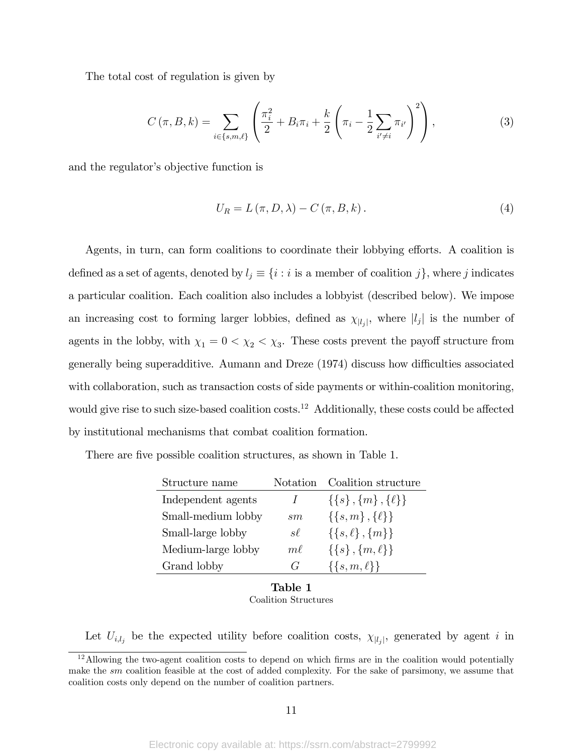The total cost of regulation is given by

$$
C(\pi, B, k) = \sum_{i \in \{s, m, \ell\}} \left( \frac{\pi_i^2}{2} + B_i \pi_i + \frac{k}{2} \left( \pi_i - \frac{1}{2} \sum_{i' \neq i} \pi_{i'} \right)^2 \right), \tag{3}
$$

and the regulator's objective function is

$$
U_R = L(\pi, D, \lambda) - C(\pi, B, k). \tag{4}
$$

Agents, in turn, can form coalitions to coordinate their lobbying efforts. A coalition is defined as a set of agents, denoted by  $l_j \equiv \{i : i \text{ is a member of coalition } j\}$ , where j indicates a particular coalition. Each coalition also includes a lobbyist (described below). We impose an increasing cost to forming larger lobbies, defined as  $\chi_{|l_j|}$ , where  $|l_j|$  is the number of agents in the lobby, with  $\chi_1 = 0 < \chi_2 < \chi_3$ . These costs prevent the payoff structure from generally being superadditive. Aumann and Dreze (1974) discuss how difficulties associated with collaboration, such as transaction costs of side payments or within-coalition monitoring, would give rise to such size-based coalition  $\cos\!^{-12}$  Additionally, these costs could be affected by institutional mechanisms that combat coalition formation.

| Structure name     | Notation.     | Coalition structure         |
|--------------------|---------------|-----------------------------|
| Independent agents | $\prime$      | $\{\{s\},\{m\},\{\ell\}\}\$ |
| Small-medium lobby | $_{sm}$       | $\{\{s,m\},\{\ell\}\}\$     |
| Small-large lobby  | $s\ell$       | $\{\{s,\ell\},\{m\}\}\$     |
| Medium-large lobby | $m\ell$       | $\{\{s\}, \{m,\ell\}\}\$    |
| Grand lobby        | $\mathcal{C}$ | $\{\{s,m,\ell\}\}\$         |

There are five possible coalition structures, as shown in Table 1.

Table 1 Coalition Structures

Let  $U_{i,l_j}$  be the expected utility before coalition costs,  $\chi_{|l_j|}$ , generated by agent i in

 $12$ Allowing the two-agent coalition costs to depend on which firms are in the coalition would potentially make the sm coalition feasible at the cost of added complexity. For the sake of parsimony, we assume that coalition costs only depend on the number of coalition partners.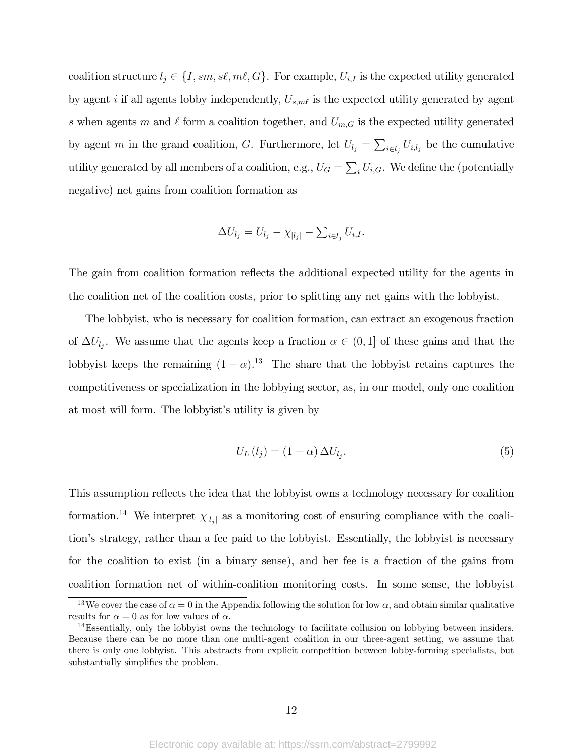coalition structure  $l_j \in \{I, sm, s\ell, m\ell, G\}$ . For example,  $U_{i,I}$  is the expected utility generated by agent i if all agents lobby independently,  $U_{s,m\ell}$  is the expected utility generated by agent s when agents m and  $\ell$  form a coalition together, and  $U_{m,G}$  is the expected utility generated by agent m in the grand coalition, G. Furthermore, let  $U_{l_j} = \sum_{i \in l_j} U_{i,l_j}$  be the cumulative utility generated by all members of a coalition, e.g.,  $U_G = \sum_i U_{i,G}$ . We define the (potentially negative) net gains from coalition formation as

$$
\Delta U_{l_j} = U_{l_j} - \chi_{|l_j|} - \sum_{i \in l_j} U_{i,I}.
$$

The gain from coalition formation reflects the additional expected utility for the agents in the coalition net of the coalition costs, prior to splitting any net gains with the lobbyist.

The lobbyist, who is necessary for coalition formation, can extract an exogenous fraction of  $\Delta U_{l_j}$ . We assume that the agents keep a fraction  $\alpha \in (0,1]$  of these gains and that the lobbyist keeps the remaining  $(1 - \alpha)$ .<sup>13</sup> The share that the lobbyist retains captures the competitiveness or specialization in the lobbying sector, as, in our model, only one coalition at most will form. The lobby is verified it is given by

$$
U_L(l_j) = (1 - \alpha) \Delta U_{l_j}.
$$
\n<sup>(5)</sup>

This assumption reflects the idea that the lobby is owns a technology necessary for coalition formation.<sup>14</sup> We interpret  $\chi_{|l_j|}$  as a monitoring cost of ensuring compliance with the coalitionís strategy, rather than a fee paid to the lobbyist. Essentially, the lobbyist is necessary for the coalition to exist (in a binary sense), and her fee is a fraction of the gains from coalition formation net of within-coalition monitoring costs. In some sense, the lobbyist

<sup>&</sup>lt;sup>13</sup>We cover the case of  $\alpha = 0$  in the Appendix following the solution for low  $\alpha$ , and obtain similar qualitative results for  $\alpha = 0$  as for low values of  $\alpha$ .

<sup>&</sup>lt;sup>14</sup>Essentially, only the lobbyist owns the technology to facilitate collusion on lobbying between insiders. Because there can be no more than one multi-agent coalition in our three-agent setting, we assume that there is only one lobbyist. This abstracts from explicit competition between lobby-forming specialists, but substantially simplifies the problem.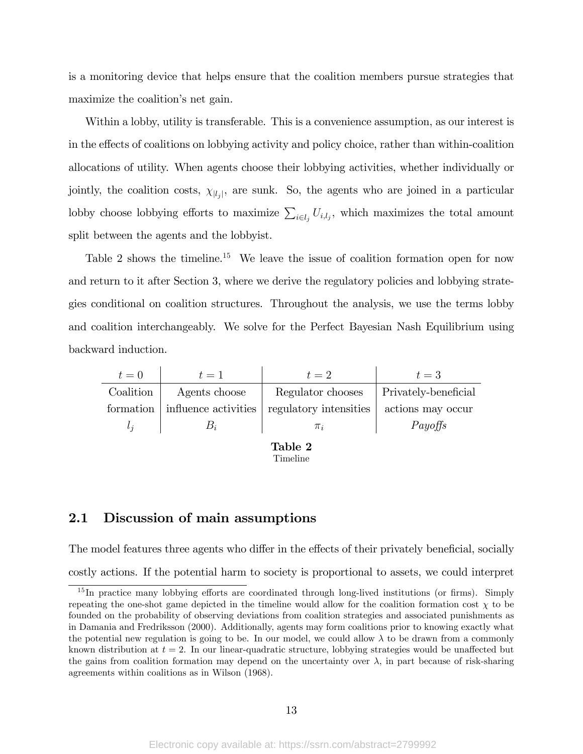is a monitoring device that helps ensure that the coalition members pursue strategies that maximize the coalition's net gain.

Within a lobby, utility is transferable. This is a convenience assumption, as our interest is in the effects of coalitions on lobbying activity and policy choice, rather than within-coalition allocations of utility. When agents choose their lobbying activities, whether individually or jointly, the coalition costs,  $\chi_{|l_j|}$ , are sunk. So, the agents who are joined in a particular lobby choose lobbying efforts to maximize  $\sum_{i\in l_j} U_{i,l_j}$ , which maximizes the total amount split between the agents and the lobbyist.

Table 2 shows the timeline.<sup>15</sup> We leave the issue of coalition formation open for now and return to it after Section 3, where we derive the regulatory policies and lobbying strategies conditional on coalition structures. Throughout the analysis, we use the terms lobby and coalition interchangeably. We solve for the Perfect Bayesian Nash Equilibrium using backward induction.

| $t=0$     | $t=1$                | $t=2$                  | $t=3$                |
|-----------|----------------------|------------------------|----------------------|
| Coalition | Agents choose        | Regulator chooses      | Privately-beneficial |
| formation | influence activities | regulatory intensities | actions may occur    |
| $l_i$     | $B_i$                | $\pi_i$                | Payoffs              |
|           |                      |                        |                      |

Table 2 Timeline

### 2.1 Discussion of main assumptions

The model features three agents who differ in the effects of their privately beneficial, socially costly actions. If the potential harm to society is proportional to assets, we could interpret

 $15$  In practice many lobbying efforts are coordinated through long-lived institutions (or firms). Simply repeating the one-shot game depicted in the timeline would allow for the coalition formation cost  $\chi$  to be founded on the probability of observing deviations from coalition strategies and associated punishments as in Damania and Fredriksson (2000). Additionally, agents may form coalitions prior to knowing exactly what the potential new regulation is going to be. In our model, we could allow  $\lambda$  to be drawn from a commonly known distribution at  $t = 2$ . In our linear-quadratic structure, lobbying strategies would be unaffected but the gains from coalition formation may depend on the uncertainty over  $\lambda$ , in part because of risk-sharing agreements within coalitions as in Wilson (1968).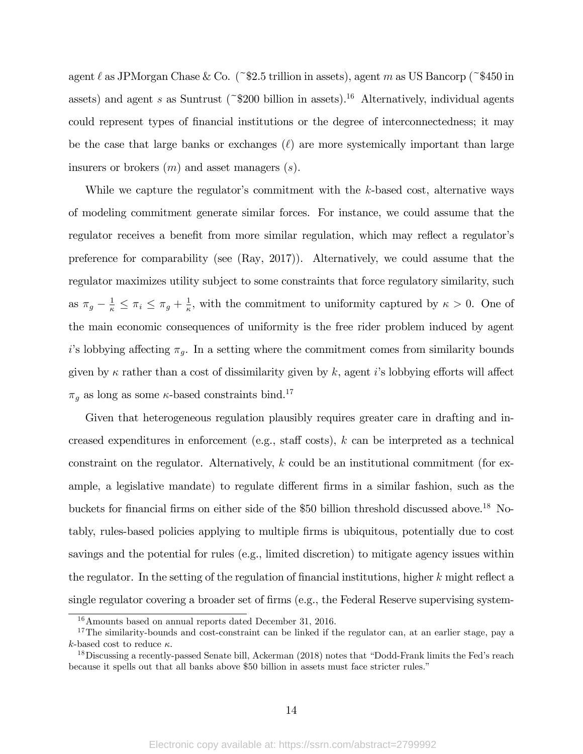agent  $\ell$  as JPMorgan Chase & Co. (~\$2.5 trillion in assets), agent m as US Bancorp (~\$450 in assets) and agent s as Suntrust (~\$200 billion in assets).<sup>16</sup> Alternatively, individual agents could represent types of financial institutions or the degree of interconnectedness; it may be the case that large banks or exchanges  $(\ell)$  are more systemically important than large insurers or brokers  $(m)$  and asset managers  $(s)$ .

While we capture the regulator's commitment with the  $k$ -based cost, alternative ways of modeling commitment generate similar forces. For instance, we could assume that the regulator receives a benefit from more similar regulation, which may reflect a regulator's preference for comparability (see (Ray, 2017)). Alternatively, we could assume that the regulator maximizes utility subject to some constraints that force regulatory similarity, such as  $\pi_g - \frac{1}{\kappa} \leq \pi_i \leq \pi_g + \frac{1}{\kappa}$  $\frac{1}{\kappa}$ , with the commitment to uniformity captured by  $\kappa > 0$ . One of the main economic consequences of uniformity is the free rider problem induced by agent i's lobbying affecting  $\pi_g$ . In a setting where the commitment comes from similarity bounds given by  $\kappa$  rather than a cost of dissimilarity given by  $k$ , agent is lobbying efforts will affect  $\pi_g$  as long as some  $\kappa$ -based constraints bind.<sup>17</sup>

Given that heterogeneous regulation plausibly requires greater care in drafting and increased expenditures in enforcement (e.g., staff costs),  $k$  can be interpreted as a technical constraint on the regulator. Alternatively,  $k$  could be an institutional commitment (for example, a legislative mandate) to regulate different firms in a similar fashion, such as the buckets for financial firms on either side of the \$50 billion threshold discussed above.<sup>18</sup> Notably, rules-based policies applying to multiple Örms is ubiquitous, potentially due to cost savings and the potential for rules (e.g., limited discretion) to mitigate agency issues within the regulator. In the setting of the regulation of financial institutions, higher  $k$  might reflect a single regulator covering a broader set of firms (e.g., the Federal Reserve supervising system-

<sup>16</sup>Amounts based on annual reports dated December 31, 2016.

<sup>&</sup>lt;sup>17</sup>The similarity-bounds and cost-constraint can be linked if the regulator can, at an earlier stage, pay a k-based cost to reduce  $\kappa$ .

 $18$ Discussing a recently-passed Senate bill, Ackerman (2018) notes that "Dodd-Frank limits the Fed's reach because it spells out that all banks above \$50 billion in assets must face stricter rules."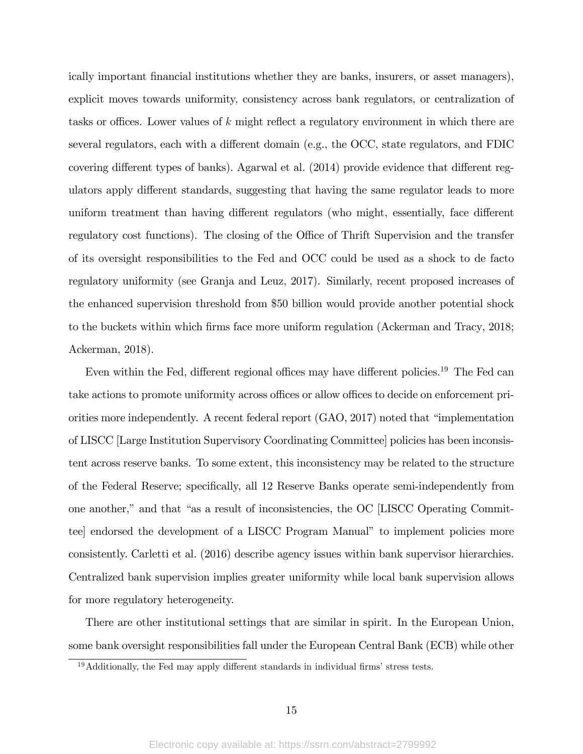ically important financial institutions whether they are banks, insurers, or asset managers), explicit moves towards uniformity, consistency across bank regulators, or centralization of tasks or offices. Lower values of  $k$  might reflect a regulatory environment in which there are several regulators, each with a different domain (e.g., the OCC, state regulators, and FDIC covering different types of banks). Agarwal et al.  $(2014)$  provide evidence that different regulators apply different standards, suggesting that having the same regulator leads to more uniform treatment than having different regulators (who might, essentially, face different regulatory cost functions). The closing of the Office of Thrift Supervision and the transfer of its oversight responsibilities to the Fed and OCC could be used as a shock to de facto regulatory uniformity (see Granja and Leuz, 2017). Similarly, recent proposed increases of the enhanced supervision threshold from \$50 billion would provide another potential shock to the buckets within which firms face more uniform regulation (Ackerman and Tracy, 2018; Ackerman, 2018).

Even within the Fed, different regional offices may have different policies.<sup>19</sup> The Fed can take actions to promote uniformity across offices or allow offices to decide on enforcement priorities more independently. A recent federal report  $(GAO, 2017)$  noted that "implementation of LISCC [Large Institution Supervisory Coordinating Committee] policies has been inconsistent across reserve banks. To some extent, this inconsistency may be related to the structure of the Federal Reserve; specifically, all 12 Reserve Banks operate semi-independently from one another," and that "as a result of inconsistencies, the OC [LISCC Operating Committee] endorsed the development of a LISCC Program Manual" to implement policies more consistently. Carletti et al. (2016) describe agency issues within bank supervisor hierarchies. Centralized bank supervision implies greater uniformity while local bank supervision allows for more regulatory heterogeneity.

There are other institutional settings that are similar in spirit. In the European Union, some bank oversight responsibilities fall under the European Central Bank (ECB) while other

 $19$ Additionally, the Fed may apply different standards in individual firms' stress tests.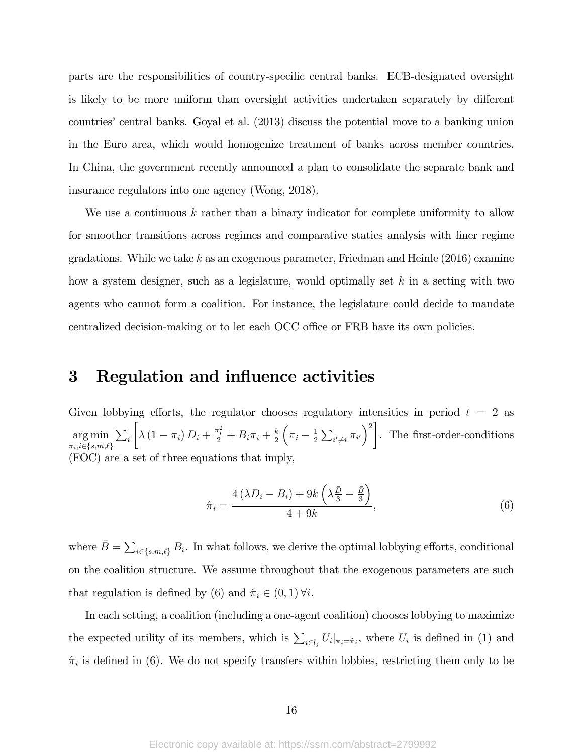parts are the responsibilities of country-specific central banks. ECB-designated oversight is likely to be more uniform than oversight activities undertaken separately by different countries' central banks. Goyal et al. (2013) discuss the potential move to a banking union in the Euro area, which would homogenize treatment of banks across member countries. In China, the government recently announced a plan to consolidate the separate bank and insurance regulators into one agency (Wong, 2018).

We use a continuous k rather than a binary indicator for complete uniformity to allow for smoother transitions across regimes and comparative statics analysis with finer regime gradations. While we take k as an exogenous parameter, Friedman and Heinle  $(2016)$  examine how a system designer, such as a legislature, would optimally set  $k$  in a setting with two agents who cannot form a coalition. For instance, the legislature could decide to mandate centralized decision-making or to let each OCC office or FRB have its own policies.

## 3 Regulation and influence activities

Given lobbying efforts, the regulator chooses regulatory intensities in period  $t = 2$  as arg min  $\pi_i$ , $i \in \{s,m,\ell\}$  $\sum_i$  $\sqrt{ }$  $\lambda (1 - \pi_i) D_i + \frac{\pi_i^2}{2} + B_i \pi_i + \frac{k}{2}$ 2  $\left(\pi_i - \frac{1}{2}\right)$  $\frac{1}{2} \sum_{i' \neq i} \pi_{i'} \bigg)^2$ . The Örst-order-conditions (FOC) are a set of three equations that imply,

$$
\hat{\pi}_i = \frac{4\left(\lambda D_i - B_i\right) + 9k\left(\lambda \frac{\bar{D}}{3} - \frac{\bar{B}}{3}\right)}{4 + 9k},\tag{6}
$$

where  $\bar{B} = \sum_{i \in \{s,m,\ell\}} B_i$ . In what follows, we derive the optimal lobbying efforts, conditional on the coalition structure. We assume throughout that the exogenous parameters are such that regulation is defined by (6) and  $\hat{\pi}_i \in (0, 1) \forall i$ .

In each setting, a coalition (including a one-agent coalition) chooses lobbying to maximize the expected utility of its members, which is  $\sum_{i\in l_j} U_i|_{\pi_i=\hat{\pi}_i}$ , where  $U_i$  is defined in (1) and  $\hat{\pi}_i$  is defined in (6). We do not specify transfers within lobbies, restricting them only to be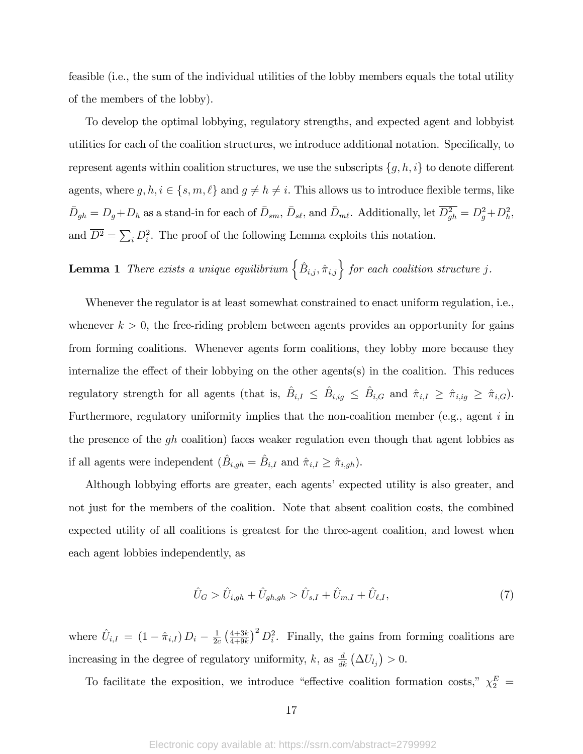feasible (i.e., the sum of the individual utilities of the lobby members equals the total utility of the members of the lobby).

To develop the optimal lobbying, regulatory strengths, and expected agent and lobbyist utilities for each of the coalition structures, we introduce additional notation. Specifically, to represent agents within coalition structures, we use the subscripts  $\{g, h, i\}$  to denote different agents, where  $g, h, i \in \{s, m, \ell\}$  and  $g \neq h \neq i$ . This allows us to introduce flexible terms, like  $\bar{D}_{gh} = D_g + D_h$  as a stand-in for each of  $\bar{D}_{sm}$ ,  $\bar{D}_{s\ell}$ , and  $\bar{D}_{m\ell}$ . Additionally, let  $\overline{D_{gh}^2} = D_g^2 + D_h^2$ , and  $\overline{D^2} = \sum_i D_i^2$ . The proof of the following Lemma exploits this notation.

**Lemma 1** There exists a unique equilibrium  $\{\hat{B}_{i,j}, \hat{\pi}_{i,j}\}\$  for each coalition structure j.

Whenever the regulator is at least somewhat constrained to enact uniform regulation, i.e., whenever  $k > 0$ , the free-riding problem between agents provides an opportunity for gains from forming coalitions. Whenever agents form coalitions, they lobby more because they internalize the effect of their lobbying on the other agents(s) in the coalition. This reduces regulatory strength for all agents (that is,  $\hat{B}_{i,I} \leq \hat{B}_{i,ig} \leq \hat{B}_{i,G}$  and  $\hat{\pi}_{i,I} \geq \hat{\pi}_{i,ig} \geq \hat{\pi}_{i,G}$ ). Furthermore, regulatory uniformity implies that the non-coalition member (e.g., agent  $i$  in the presence of the gh coalition) faces weaker regulation even though that agent lobbies as if all agents were independent  $(\hat{B}_{i,gh} = \hat{B}_{i,I}$  and  $\hat{\pi}_{i,I} \geq \hat{\pi}_{i,gh})$ .

Although lobbying efforts are greater, each agents' expected utility is also greater, and not just for the members of the coalition. Note that absent coalition costs, the combined expected utility of all coalitions is greatest for the three-agent coalition, and lowest when each agent lobbies independently, as

$$
\hat{U}_G > \hat{U}_{i,gh} + \hat{U}_{gh,gh} > \hat{U}_{s,I} + \hat{U}_{m,I} + \hat{U}_{\ell,I},\tag{7}
$$

where  $\hat{U}_{i,I} = (1 - \hat{\pi}_{i,I}) D_i - \frac{1}{2\epsilon}$  $\frac{1}{2c} \left( \frac{4+3k}{4+9k} \right)$  $\left(\frac{4+3k}{4+9k}\right)^2 D_i^2$ . Finally, the gains from forming coalitions are increasing in the degree of regulatory uniformity, k, as  $\frac{d}{dk} (\Delta U_{l_j}) > 0$ .

To facilitate the exposition, we introduce "effective coalition formation costs,"  $\chi_2^E$  =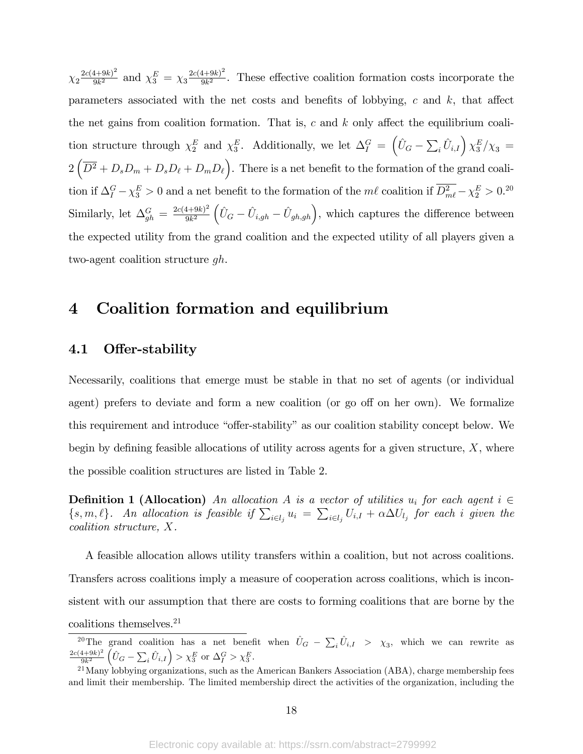$\chi_2 \frac{2c(4+9k)^2}{9k^2}$  $\frac{(4+9k)^2}{9k^2}$  and  $\chi_3^E = \chi_3 \frac{2c(4+9k)^2}{9k^2}$  $\frac{9k^2}{9k^2}$ . These effective coalition formation costs incorporate the parameters associated with the net costs and benefits of lobbying,  $c$  and  $k$ , that affect the net gains from coalition formation. That is, c and k only affect the equilibrium coalition structure through  $\chi_2^E$  and  $\chi_3^E$ . Additionally, we let  $\Delta_I^G = (\hat{U}_G - \sum_i \hat{U}_{i,I}) \chi_3^E/\chi_3 =$  $2\left(\overline{D^2} + D_s D_m + D_s D_\ell + D_m D_\ell\right)$ . There is a net benefit to the formation of the grand coalition if  $\Delta_I^G - \chi_3^E > 0$  and a net benefit to the formation of the  $m\ell$  coalition if  $D_m^2 - \chi_2^E > 0.20$ Similarly, let  $\Delta_{gh}^G = \frac{2c(4+9k)^2}{9k^2}$  $\frac{(4+9k)^2}{9k^2} \left( \hat{U}_G - \hat{U}_{i,gh} - \hat{U}_{gh,gh} \right)$ , which captures the difference between the expected utility from the grand coalition and the expected utility of all players given a two-agent coalition structure gh.

# 4 Coalition formation and equilibrium

### 4.1 Offer-stability

Necessarily, coalitions that emerge must be stable in that no set of agents (or individual agent) prefers to deviate and form a new coalition (or go off on her own). We formalize this requirement and introduce "offer-stability" as our coalition stability concept below. We begin by defining feasible allocations of utility across agents for a given structure,  $X$ , where the possible coalition structures are listed in Table 2.

**Definition 1 (Allocation)** An allocation A is a vector of utilities  $u_i$  for each agent  $i \in$  $\{s, m, \ell\}$ . An allocation is feasible if  $\sum_{i \in l_j} u_i = \sum_{i \in l_j} U_{i,I} + \alpha \Delta U_{l_j}$  for each i given the coalition structure, X.

A feasible allocation allows utility transfers within a coalition, but not across coalitions. Transfers across coalitions imply a measure of cooperation across coalitions, which is inconsistent with our assumption that there are costs to forming coalitions that are borne by the coalitions themselves.<sup>21</sup>

<sup>&</sup>lt;sup>20</sup>The grand coalition has a net benefit when  $\hat{U}_G - \sum_i \hat{U}_{i,I} > \chi_3$ , which we can rewrite as  $2c(4+9k)^2$  $9k^2$  $\left(\hat{U}_G - \sum_i \hat{U}_{i,I}\right) > \chi_3^E$  or  $\Delta_I^G > \chi_3^E$ .

 $^{21}$ Many lobbying organizations, such as the American Bankers Association (ABA), charge membership fees and limit their membership. The limited membership direct the activities of the organization, including the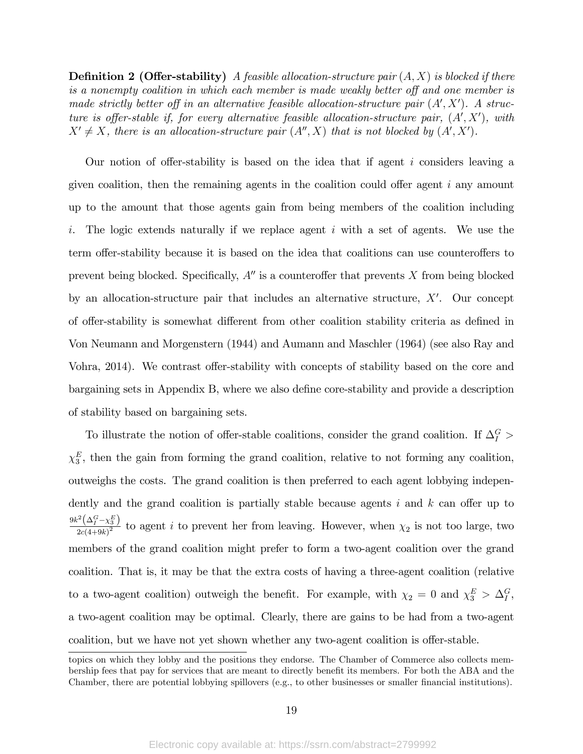**Definition 2 (Offer-stability)** A feasible allocation-structure pair  $(A, X)$  is blocked if there is a nonempty coalition in which each member is made weakly better off and one member is made strictly better off in an alternative feasible allocation-structure pair  $(A', X')$ . A structure is offer-stable if, for every alternative feasible allocation-structure pair,  $(A', X')$ , with  $X' \neq X$ , there is an allocation-structure pair  $(A'', X)$  that is not blocked by  $(A', X')$ .

Our notion of offer-stability is based on the idea that if agent i considers leaving a given coalition, then the remaining agents in the coalition could offer agent  $i$  any amount up to the amount that those agents gain from being members of the coalition including i. The logic extends naturally if we replace agent i with a set of agents. We use the term offer-stability because it is based on the idea that coalitions can use counteroffers to prevent being blocked. Specifically,  $A''$  is a counteroffer that prevents X from being blocked by an allocation-structure pair that includes an alternative structure,  $X'$ . Our concept of offer-stability is somewhat different from other coalition stability criteria as defined in Von Neumann and Morgenstern (1944) and Aumann and Maschler (1964) (see also Ray and Vohra, 2014). We contrast offer-stability with concepts of stability based on the core and bargaining sets in Appendix B, where we also define core-stability and provide a description of stability based on bargaining sets.

To illustrate the notion of offer-stable coalitions, consider the grand coalition. If  $\Delta_I^G$  >  $\chi_3^E$ , then the gain from forming the grand coalition, relative to not forming any coalition, outweighs the costs. The grand coalition is then preferred to each agent lobbying independently and the grand coalition is partially stable because agents  $i$  and  $k$  can offer up to 9 $k^2\left(\Delta_I^G - \chi_3^E\right)$  $\frac{(27-23)}{2c(4+9k)^2}$  to agent i to prevent her from leaving. However, when  $\chi_2$  is not too large, two members of the grand coalition might prefer to form a two-agent coalition over the grand coalition. That is, it may be that the extra costs of having a three-agent coalition (relative to a two-agent coalition) outweigh the benefit. For example, with  $\chi_2 = 0$  and  $\chi_3^E > \Delta_I^G$ , a two-agent coalition may be optimal. Clearly, there are gains to be had from a two-agent coalition, but we have not yet shown whether any two-agent coalition is offer-stable.

topics on which they lobby and the positions they endorse. The Chamber of Commerce also collects membership fees that pay for services that are meant to directly benefit its members. For both the ABA and the Chamber, there are potential lobbying spillovers (e.g., to other businesses or smaller financial institutions).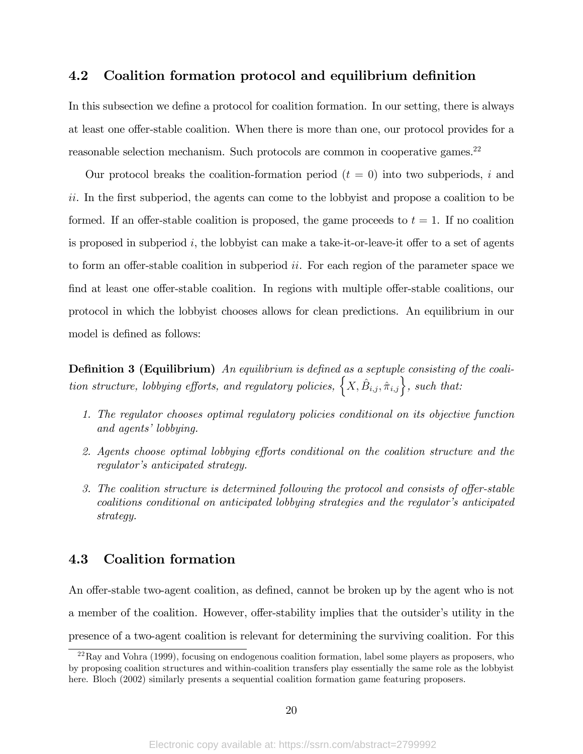### 4.2 Coalition formation protocol and equilibrium definition

In this subsection we define a protocol for coalition formation. In our setting, there is always at least one offer-stable coalition. When there is more than one, our protocol provides for a reasonable selection mechanism. Such protocols are common in cooperative games.<sup>22</sup>

Our protocol breaks the coalition-formation period  $(t = 0)$  into two subperiods, i and ii. In the first subperiod, the agents can come to the lobby ist and propose a coalition to be formed. If an offer-stable coalition is proposed, the game proceeds to  $t = 1$ . If no coalition is proposed in subperiod i, the lobbyist can make a take-it-or-leave-it offer to a set of agents to form an offer-stable coalition in subperiod  $ii$ . For each region of the parameter space we find at least one offer-stable coalition. In regions with multiple offer-stable coalitions, our protocol in which the lobbyist chooses allows for clean predictions. An equilibrium in our model is defined as follows:

**Definition 3 (Equilibrium)** An equilibrium is defined as a septuple consisting of the coalition structure, lobbying efforts, and regulatory policies,  $\left\{X, \hat{B}_{i,j}, \hat{\pi}_{i,j}\right\}$ , such that:

- 1. The regulator chooses optimal regulatory policies conditional on its objective function and agents' lobbying.
- 2. Agents choose optimal lobbying efforts conditional on the coalition structure and the regulator's anticipated strategy.
- 3. The coalition structure is determined following the protocol and consists of offer-stable  $coalitions$  conditional on anticipated lobbying strategies and the regulator's anticipated strategy.

### 4.3 Coalition formation

An offer-stable two-agent coalition, as defined, cannot be broken up by the agent who is not a member of the coalition. However, offer-stability implies that the outsider's utility in the presence of a two-agent coalition is relevant for determining the surviving coalition. For this

 $^{22}$ Ray and Vohra (1999), focusing on endogenous coalition formation, label some players as proposers, who by proposing coalition structures and within-coalition transfers play essentially the same role as the lobbyist here. Bloch (2002) similarly presents a sequential coalition formation game featuring proposers.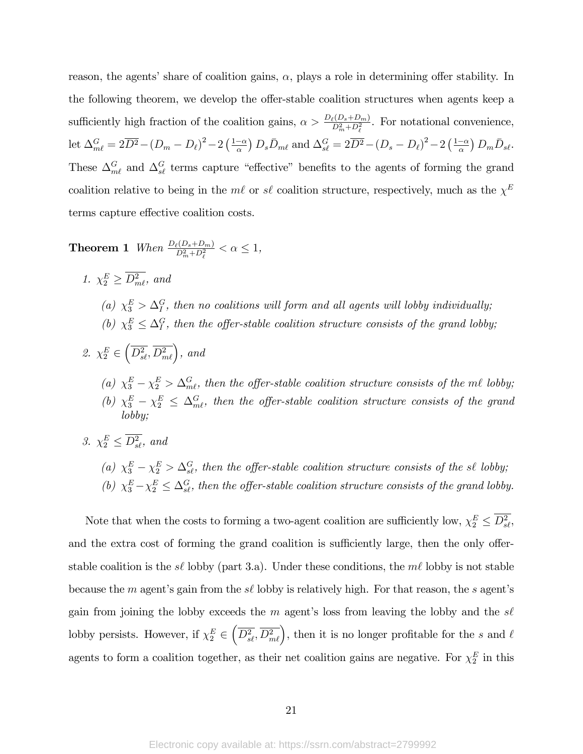reason, the agents' share of coalition gains,  $\alpha$ , plays a role in determining offer stability. In the following theorem, we develop the offer-stable coalition structures when agents keep a sufficiently high fraction of the coalition gains,  $\alpha > \frac{D_{\ell}(D_s + D_m)}{D_m^2 + D_{\ell}^2}$ . For notational convenience, let  $\Delta_{m\ell}^G = 2\overline{D^2} - (D_m - D_\ell)^2 - 2\left(\frac{1-\alpha}{\alpha}\right)D_s\bar{D}_{m\ell}$  and  $\Delta_{s\ell}^G = 2\overline{D^2} - (D_s - D_\ell)^2 - 2\left(\frac{1-\alpha}{\alpha}\right)D_m\bar{D}_{s\ell}$ . These  $\Delta_{m\ell}^G$  and  $\Delta_{s\ell}^G$  terms capture "effective" benefits to the agents of forming the grand coalition relative to being in the  $m\ell$  or  $s\ell$  coalition structure, respectively, much as the  $\chi^E$ terms capture effective coalition costs.

**Theorem 1** When  $\frac{D_{\ell}(D_s+D_m)}{D_m^2+D_{\ell}^2} < \alpha \leq 1$ ,

- 1.  $\chi_2^E \geq D_{m\ell}^2$ , and (a)  $\chi_3^E > \Delta_I^G$ , then no coalitions will form and all agents will lobby individually; (b)  $\chi_3^E \leq \Delta_I^G$ , then the offer-stable coalition structure consists of the grand lobby;
- 2.  $\chi_2^E$   $\in$  $\left(\overline{D_{s\ell}^2}, \overline{D_{m\ell}^2}\right)$ , and (a)  $\chi_3^E - \chi_2^E > \Delta_{m\ell}^G$ , then the offer-stable coalition structure consists of the m $\ell$  lobby; (b)  $\chi_3^E - \chi_2^E \leq \Delta_{m\ell}^G$ , then the offer-stable coalition structure consists of the grand lobby;
- 3.  $\chi_2^E \leq D_{s\ell}^2$ , and
	- (a)  $\chi_3^E \chi_2^E > \Delta_{s\ell}^G$ , then the offer-stable coalition structure consists of the sl lobby; (b)  $\chi_3^E - \chi_2^E \leq \Delta_{s\ell}^G$ , then the offer-stable coalition structure consists of the grand lobby.

Note that when the costs to forming a two-agent coalition are sufficiently low,  $\chi_2^E \leq D_{s\ell}^2$ , and the extra cost of forming the grand coalition is sufficiently large, then the only offerstable coalition is the s $\ell$  lobby (part 3.a). Under these conditions, the  $m\ell$  lobby is not stable because the m agent's gain from the  $s\ell$  lobby is relatively high. For that reason, the s agent's gain from joining the lobby exceeds the m agent's loss from leaving the lobby and the  $s\ell$ lobby persists. However, if  $\chi_2^E$   $\in$  $\left(\overline{D_{s\ell}^2}, \overline{D_{m\ell}^2}\right)$ , then it is no longer profitable for the s and  $\ell$ agents to form a coalition together, as their net coalition gains are negative. For  $\chi_2^E$  in this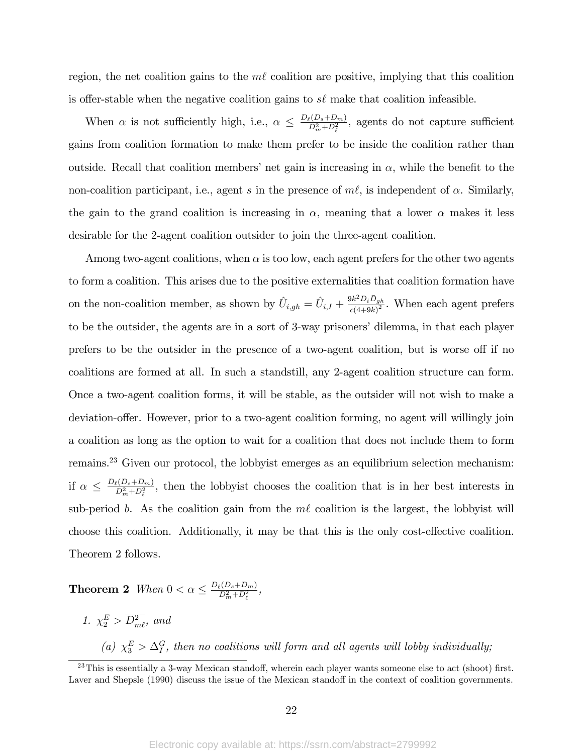region, the net coalition gains to the  $m\ell$  coalition are positive, implying that this coalition is offer-stable when the negative coalition gains to  $s\ell$  make that coalition infeasible.

When  $\alpha$  is not sufficiently high, i.e.,  $\alpha \leq \frac{D_{\ell}(D_s+D_m)}{D_m^2+D_{\ell}^2}$  $\frac{\partial P_c(D_s+D_m)}{\partial_m^2+D_\ell^2}$ , agents do not capture sufficient gains from coalition formation to make them prefer to be inside the coalition rather than outside. Recall that coalition members' net gain is increasing in  $\alpha$ , while the benefit to the non-coalition participant, i.e., agent s in the presence of  $m\ell$ , is independent of  $\alpha$ . Similarly, the gain to the grand coalition is increasing in  $\alpha$ , meaning that a lower  $\alpha$  makes it less desirable for the 2-agent coalition outsider to join the three-agent coalition.

Among two-agent coalitions, when  $\alpha$  is too low, each agent prefers for the other two agents to form a coalition. This arises due to the positive externalities that coalition formation have on the non-coalition member, as shown by  $\hat{U}_{i,gh} = \hat{U}_{i,I} + \frac{9k^2 D_i \bar{D}_{gh}}{c(4+9k)^2}$  $\frac{\partial \kappa D_i D_g h}{\partial (4+9k)^2}$ . When each agent prefers to be the outsider, the agents are in a sort of 3-way prisoners' dilemma, in that each player prefers to be the outsider in the presence of a two-agent coalition, but is worse off if no coalitions are formed at all. In such a standstill, any 2-agent coalition structure can form. Once a two-agent coalition forms, it will be stable, as the outsider will not wish to make a deviation-offer. However, prior to a two-agent coalition forming, no agent will willingly join a coalition as long as the option to wait for a coalition that does not include them to form remains.<sup>23</sup> Given our protocol, the lobbyist emerges as an equilibrium selection mechanism: if  $\alpha \leq \frac{D_{\ell}(D_s+D_m)}{D_m^2+D_{\ell}^2}$  $\frac{\rho(D_s+D_m)}{D_m^2+D_\ell^2}$ , then the lobbyist chooses the coalition that is in her best interests in sub-period b. As the coalition gain from the  $m\ell$  coalition is the largest, the lobbyist will choose this coalition. Additionally, it may be that this is the only cost-effective coalition. Theorem 2 follows.

**Theorem 2** When  $0 < \alpha \leq \frac{D_{\ell}(D_s + D_m)}{D_m^2 + D_{\ell}^2}$  $\frac{p(D_s+D_m)}{D_m^2+D_{\ell}^2},$ 

1.  $\chi_2^E > D_{m\ell}^2$ , and

(a)  $\chi_3^E > \Delta_I^G$ , then no coalitions will form and all agents will lobby individually;

 $^{23}$ This is essentially a 3-way Mexican standoff, wherein each player wants someone else to act (shoot) first. Laver and Shepsle (1990) discuss the issue of the Mexican standoff in the context of coalition governments.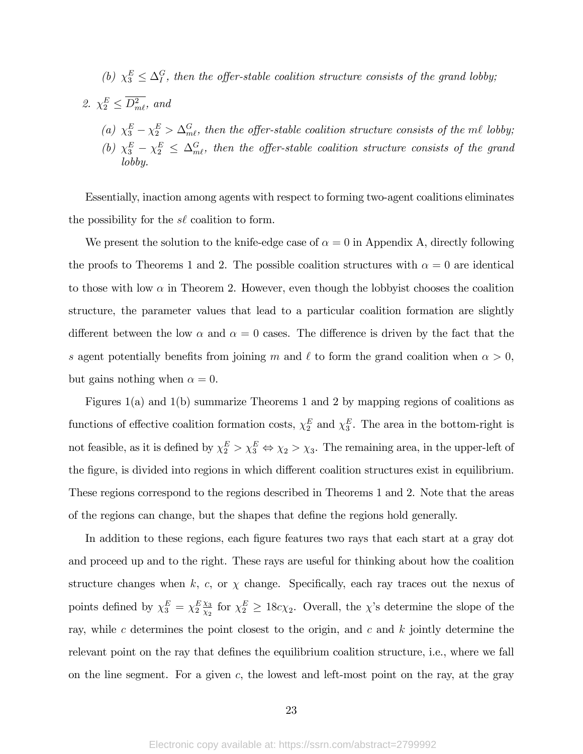(b) 
$$
\chi_3^E \leq \Delta_I^G
$$
, then the offer-stable coalition structure consists of the grand loby;

\n- 2. 
$$
\chi_2^E \leq D_{m\ell}^2
$$
, and
\n- (a)  $\chi_3^E - \chi_2^E > \Delta_{m\ell}^G$ , then the offer-stable coalition structure consists of the *m\ell* lobby;
\n- (b)  $\chi_3^E - \chi_2^E \leq \Delta_{m\ell}^G$ , then the offer-stable coalition structure consists of the grand lobby.
\n

Essentially, inaction among agents with respect to forming two-agent coalitions eliminates the possibility for the  $s\ell$  coalition to form.

We present the solution to the knife-edge case of  $\alpha = 0$  in Appendix A, directly following the proofs to Theorems 1 and 2. The possible coalition structures with  $\alpha = 0$  are identical to those with low  $\alpha$  in Theorem 2. However, even though the lobbyist chooses the coalition structure, the parameter values that lead to a particular coalition formation are slightly different between the low  $\alpha$  and  $\alpha = 0$  cases. The difference is driven by the fact that the s agent potentially benefits from joining m and  $\ell$  to form the grand coalition when  $\alpha > 0$ , but gains nothing when  $\alpha = 0$ .

Figures 1(a) and 1(b) summarize Theorems 1 and 2 by mapping regions of coalitions as functions of effective coalition formation costs,  $\chi_2^E$  and  $\chi_3^E$ . The area in the bottom-right is not feasible, as it is defined by  $\chi_2^E > \chi_3^E \Leftrightarrow \chi_2 > \chi_3$ . The remaining area, in the upper-left of the figure, is divided into regions in which different coalition structures exist in equilibrium. These regions correspond to the regions described in Theorems 1 and 2. Note that the areas of the regions can change, but the shapes that define the regions hold generally.

In addition to these regions, each figure features two rays that each start at a gray dot and proceed up and to the right. These rays are useful for thinking about how the coalition structure changes when k, c, or  $\chi$  change. Specifically, each ray traces out the nexus of points defined by  $\chi_3^E = \chi_2^E \frac{\chi_3}{\chi_2}$  $\frac{\chi_3}{\chi_2}$  for  $\chi_2^E \geq 18c\chi_2$ . Overall, the  $\chi$ 's determine the slope of the ray, while c determines the point closest to the origin, and c and  $k$  jointly determine the relevant point on the ray that defines the equilibrium coalition structure, i.e., where we fall on the line segment. For a given  $c$ , the lowest and left-most point on the ray, at the gray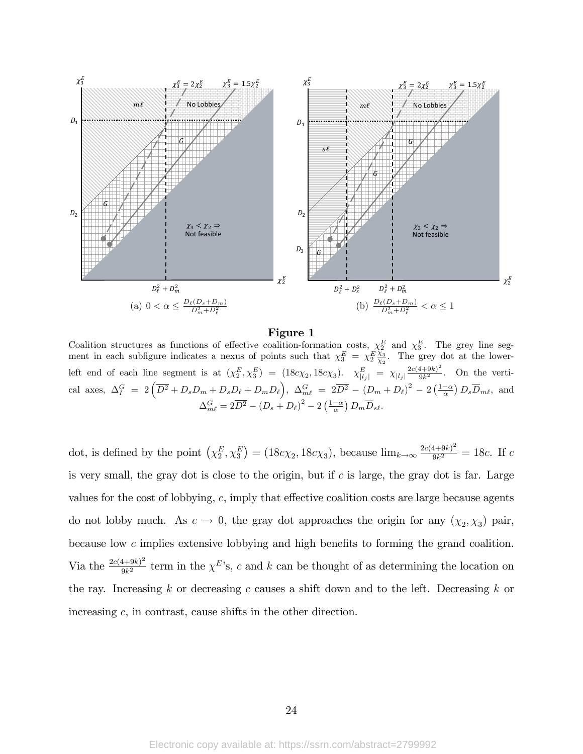

Figure 1

Coalition structures as functions of effective coalition-formation costs,  $\chi_2^E$  and  $\chi_3^E$ . The grey line segment in each subfigure indicates a nexus of points such that  $\chi_3^E = \chi_2^E \frac{\chi_3}{\chi_2}$  $\frac{\chi_3}{\chi_2}$ . The grey dot at the lowerleft end of each line segment is at  $(\chi_2^E, \chi_3^E) = (18c\chi_2, 18c\chi_3)$ .  $\chi_{|l_j|}^E = \chi_{|l_j|} \frac{2c(4+9k)^2}{9k^2}$ . On the vertical axes,  $\Delta_I^G = 2\left(\overline{D^2} + D_s D_m + D_s D_\ell + D_m D_\ell\right)$ ,  $\Delta_{m\ell}^G = 2\overline{D^2} - (D_m + D_\ell)^2 - 2\left(\frac{1-\alpha}{\alpha}\right)D_s\overline{D}_{m\ell}$ , and  $\Delta_{m\ell}^G = 2\overline{D^2} - \left(D_s + D_\ell\right)^2 - 2\left(\frac{1-\alpha}{\alpha}\right)D_m\overline{D}_s{}_l.$ 

dot, is defined by the point  $(\chi_2^E, \chi_3^E) = (18c\chi_2, 18c\chi_3)$ , because  $\lim_{k\to\infty} \frac{2c(4+9k)^2}{9k^2}$  $\frac{4+9k}{9k^2} = 18c$ . If c is very small, the gray dot is close to the origin, but if  $c$  is large, the gray dot is far. Large values for the cost of lobbying,  $c$ , imply that effective coalition costs are large because agents do not lobby much. As  $c \to 0$ , the gray dot approaches the origin for any  $(\chi_2, \chi_3)$  pair, because low  $c$  implies extensive lobbying and high benefits to forming the grand coalition. Via the  $\frac{2c(4+9k)^2}{9k^2}$  $\frac{4+9k^2}{9k^2}$  term in the  $\chi^{E}$ 's, c and k can be thought of as determining the location on the ray. Increasing k or decreasing c causes a shift down and to the left. Decreasing k or increasing c, in contrast, cause shifts in the other direction.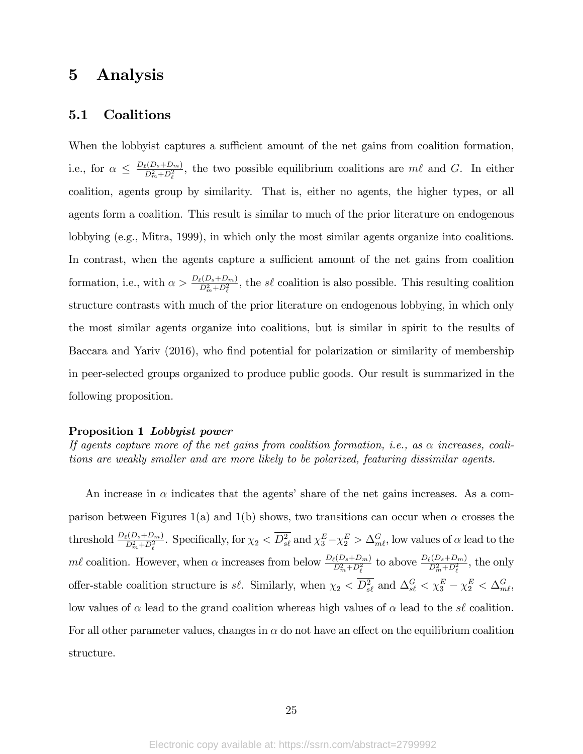# 5 Analysis

### 5.1 Coalitions

When the lobby ist captures a sufficient amount of the net gains from coalition formation, i.e., for  $\alpha \leq \frac{D_{\ell}(D_s+D_m)}{D_m^2+D_{\ell}^2}$  $\frac{\partial P(x+h-m)}{\partial^2 m}$ , the two possible equilibrium coalitions are m $\ell$  and G. In either coalition, agents group by similarity. That is, either no agents, the higher types, or all agents form a coalition. This result is similar to much of the prior literature on endogenous lobbying (e.g., Mitra, 1999), in which only the most similar agents organize into coalitions. In contrast, when the agents capture a sufficient amount of the net gains from coalition formation, i.e., with  $\alpha > \frac{D_{\ell}(D_s + D_m)}{D_m^2 + D_{\ell}^2}$ , the s $\ell$  coalition is also possible. This resulting coalition structure contrasts with much of the prior literature on endogenous lobbying, in which only the most similar agents organize into coalitions, but is similar in spirit to the results of Baccara and Yariv (2016), who find potential for polarization or similarity of membership in peer-selected groups organized to produce public goods. Our result is summarized in the following proposition.

#### Proposition 1 Lobbyist power

If agents capture more of the net gains from coalition formation, i.e., as  $\alpha$  increases, coalitions are weakly smaller and are more likely to be polarized, featuring dissimilar agents.

An increase in  $\alpha$  indicates that the agents' share of the net gains increases. As a comparison between Figures 1(a) and 1(b) shows, two transitions can occur when  $\alpha$  crosses the threshold  $\frac{D_{\ell}(D_s+D_m)}{D_m^2+D_{\ell}^2}$ . Specifically, for  $\chi_2 < \overline{D_{s\ell}^2}$  and  $\chi_3^E - \chi_2^E > \Delta_{m\ell}^G$ , low values of  $\alpha$  lead to the ml coalition. However, when  $\alpha$  increases from below  $\frac{D_{\ell}(D_s+D_m)}{D_m^2+D_{\ell}^2}$  to above  $\frac{D_{\ell}(D_s+D_m)}{D_m^2+D_{\ell}^2}$ , the only offer-stable coalition structure is s $\ell$ . Similarly, when  $\chi_2 < \overline{D_{s\ell}^2}$  and  $\Delta_{s\ell}^G < \chi_3^E - \chi_2^E < \Delta_{m\ell}^G$ , low values of  $\alpha$  lead to the grand coalition whereas high values of  $\alpha$  lead to the s' coalition. For all other parameter values, changes in  $\alpha$  do not have an effect on the equilibrium coalition structure.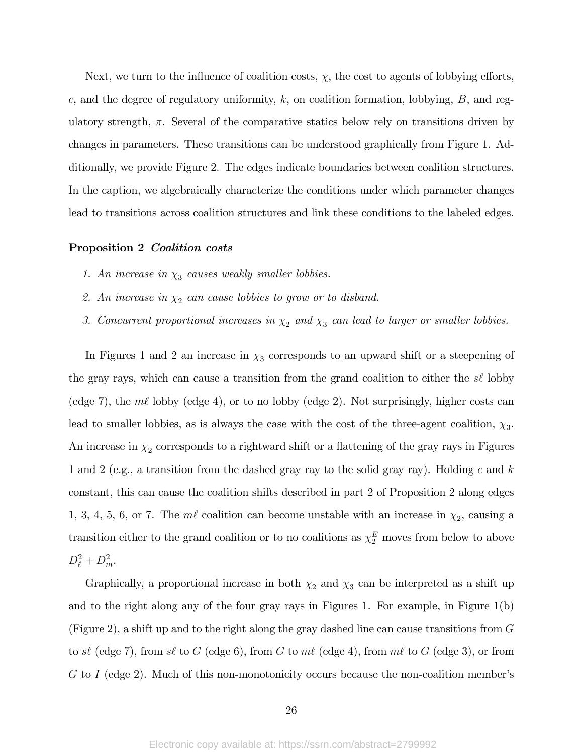Next, we turn to the influence of coalition costs,  $\chi$ , the cost to agents of lobbying efforts, c, and the degree of regulatory uniformity,  $k$ , on coalition formation, lobbying,  $B$ , and regulatory strength,  $\pi$ . Several of the comparative statics below rely on transitions driven by changes in parameters. These transitions can be understood graphically from Figure 1. Additionally, we provide Figure 2. The edges indicate boundaries between coalition structures. In the caption, we algebraically characterize the conditions under which parameter changes lead to transitions across coalition structures and link these conditions to the labeled edges.

#### Proposition 2 Coalition costs

- 1. An increase in  $\chi_3$  causes weakly smaller lobbies.
- 2. An increase in  $\chi_2$  can cause lobbies to grow or to disband.
- 3. Concurrent proportional increases in  $\chi_2$  and  $\chi_3$  can lead to larger or smaller lobbies.

In Figures 1 and 2 an increase in  $\chi_3$  corresponds to an upward shift or a steepening of the gray rays, which can cause a transition from the grand coalition to either the  $s\ell$  lobby (edge 7), the  $m\ell$  lobby (edge 4), or to no lobby (edge 2). Not surprisingly, higher costs can lead to smaller lobbies, as is always the case with the cost of the three-agent coalition,  $\chi_3$ . An increase in  $\chi_2$  corresponds to a rightward shift or a flattening of the gray rays in Figures 1 and 2 (e.g., a transition from the dashed gray ray to the solid gray ray). Holding c and k constant, this can cause the coalition shifts described in part 2 of Proposition 2 along edges 1, 3, 4, 5, 6, or 7. The  $m\ell$  coalition can become unstable with an increase in  $\chi_2$ , causing a transition either to the grand coalition or to no coalitions as  $\chi_2^E$  moves from below to above  $D_{\ell}^2 + D_m^2$ .

Graphically, a proportional increase in both  $\chi_2$  and  $\chi_3$  can be interpreted as a shift up and to the right along any of the four gray rays in Figures 1. For example, in Figure 1(b) (Figure 2), a shift up and to the right along the gray dashed line can cause transitions from G to s $\ell$  (edge 7), from s $\ell$  to G (edge 6), from G to m $\ell$  (edge 4), from m $\ell$  to G (edge 3), or from  $G$  to I (edge 2). Much of this non-monotonicity occurs because the non-coalition member's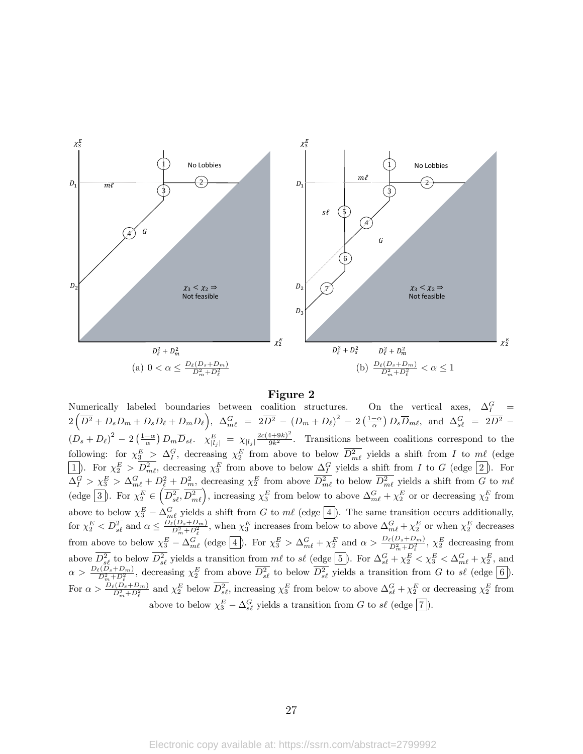

#### Figure 2

Numerically labeled boundaries between coalition structures. On the vertical axes,  $\Delta_I^G$  =  $2\left(\overline{D^2}+D_sD_m+D_sD_\ell+D_mD_\ell\right), \ \ \Delta_{m\ell}^G \ = \ 2\overline{D^2} \ - \ \left(D_m+D_\ell\right)^2 \ - \ 2\left(\frac{1-\alpha}{\alpha}\right)D_s\overline{D}_{m\ell}, \ \ {\rm and} \ \ \Delta_{s\ell}^G \ = \ 2\overline{D^2} \ - \ 2\overline{D^2} \ - \ 2\overline{D^2} \ - \ 2\overline{D^2} \ - \ 2\overline{D^2} \ - \ 2\overline{D^2} \ - \ 2\overline{D^2} \ - \ 2\overline{D^$  $(D_s + D_\ell)^2 - 2\left(\frac{1-\alpha}{\alpha}\right)D_m\overline{D}_{s\ell}$ .  $\chi_{|l_j|}^E = \chi_{|l_j|} \frac{2c(4+9k)^2}{9k^2}$ . Transitions between coalitions correspond to the following: for  $\chi_3^E$  >  $\Delta_I^G$ , decreasing  $\chi_2^E$  from above to below  $\overline{D_{ml}^2}$  yields a shift from I to  $m\ell$  (edge 1). For  $\chi_2^E > D_{m\ell}^2$ , decreasing  $\chi_3^E$  from above to below  $\Delta_I^G$  yields a shift from I to G (edge  $(2)$ ). For  $\Delta_I^G > \chi_3^E > \Delta_{m\ell}^G + D_{\ell}^2 + D_m^2$ , decreasing  $\chi_2^E$  from above  $D_{m\ell}^2$  to below  $D_{m\ell}^2$  yields a shift from G to m $\ell$ (edge  $\boxed{3}$ ). For  $\chi_2^E$   $\in$  $\left(\overline{D_{s\ell}^2}, \overline{D_{m\ell}^2}\right)$ , increasing  $\chi_3^E$  from below to above  $\Delta_{m\ell}^G + \chi_2^E$  or or decreasing  $\chi_2^E$  from above to below  $\chi_3^E - \Delta_{m\ell}^G$  yields a shift from G to  $m\ell$  (edge  $\boxed{4}$ ). The same transition occurs additionally, for  $\chi_2^E < \overline{D_{s\ell}^2}$  and  $\alpha \leq \frac{D_{\ell}(D_s + D_m)}{D_m^2 + D_{\ell}^2}$ , when  $\chi_3^E$  increases from below to above  $\Delta_{m\ell}^G + \chi_2^E$  or when  $\chi_2^E$  decreases from above to below  $\chi_3^E - \Delta_{m\ell}^G$  (edge 4). For  $\chi_3^E > \Delta_{m\ell}^G + \chi_2^E$  and  $\alpha > \frac{D_{\ell}(D_s + D_m)}{D_m^2 + D_{\ell}^2}$ ,  $\chi_2^E$  decreasing from above  $D_{s\ell}^2$  to below  $D_{s\ell}^2$  yields a transition from  $m\ell$  to  $s\ell$  (edge  $[5]$ ). For  $\Delta_{s\ell}^G + \chi_2^E < \chi_3^E < \Delta_{m\ell}^G + \chi_2^E$ , and  $\alpha > \frac{D_{\ell}(D_s+D_m)}{D_m^2+D_{\ell}^2}$ , decreasing  $\chi_2^E$  from above  $\overline{D_{s\ell}^2}$  to below  $\overline{D_{s\ell}^2}$  yields a transition from G to s $\ell$  (edge  $\boxed{6}$ ). For  $\alpha > \frac{D_{\ell}(D_s + D_m)}{D_m^2 + D_{\ell}^2}$  and  $\chi_2^E$  below  $\overline{D_{s\ell}^2}$ , increasing  $\chi_3^E$  from below to above  $\Delta_{s\ell}^G + \chi_2^E$  or decreasing  $\chi_2^E$  from above to below  $\chi_3^E - \Delta_{s\ell}^G$  yields a transition from G to  $s\ell$  (edge  $\boxed{7}$ ).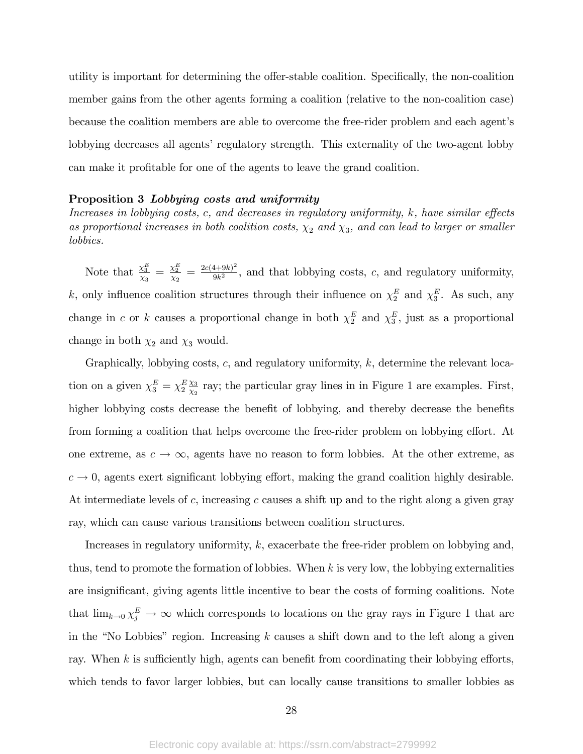utility is important for determining the offer-stable coalition. Specifically, the non-coalition member gains from the other agents forming a coalition (relative to the non-coalition case) because the coalition members are able to overcome the free-rider problem and each agentís lobbying decreases all agents' regulatory strength. This externality of the two-agent lobby can make it profitable for one of the agents to leave the grand coalition.

#### Proposition 3 Lobbying costs and uniformity

Increases in lobbying costs, c, and decreases in regulatory uniformity,  $k$ , have similar effects as proportional increases in both coalition costs,  $\chi_2$  and  $\chi_3$ , and can lead to larger or smaller lobbies.

Note that  $\frac{\chi_3^E}{\chi_3} = \frac{\chi_2^E}{\chi_2} = \frac{2c(4+9k)^2}{9k^2}$  $\frac{q+9k}{9k^2}$ , and that lobbying costs, c, and regulatory uniformity, k, only influence coalition structures through their influence on  $\chi_2^E$  and  $\chi_3^E$ . As such, any change in c or k causes a proportional change in both  $\chi_2^E$  and  $\chi_3^E$ , just as a proportional change in both  $\chi_2$  and  $\chi_3$  would.

Graphically, lobbying costs, c, and regulatory uniformity, k, determine the relevant location on a given  $\chi_3^E = \chi_2^E \frac{\chi_3}{\chi_2}$  $\frac{\chi_3}{\chi_2}$  ray; the particular gray lines in in Figure 1 are examples. First, higher lobbying costs decrease the benefit of lobbying, and thereby decrease the benefits from forming a coalition that helps overcome the free-rider problem on lobbying effort. At one extreme, as  $c \to \infty$ , agents have no reason to form lobbies. At the other extreme, as  $c \rightarrow 0$ , agents exert significant lobbying effort, making the grand coalition highly desirable. At intermediate levels of c, increasing c causes a shift up and to the right along a given gray ray, which can cause various transitions between coalition structures.

Increases in regulatory uniformity,  $k$ , exacerbate the free-rider problem on lobbying and, thus, tend to promote the formation of lobbies. When  $k$  is very low, the lobbying externalities are insignificant, giving agents little incentive to bear the costs of forming coalitions. Note that  $\lim_{k\to 0} \chi_j^E \to \infty$  which corresponds to locations on the gray rays in Figure 1 that are in the "No Lobbies" region. Increasing  $k$  causes a shift down and to the left along a given ray. When  $k$  is sufficiently high, agents can benefit from coordinating their lobbying efforts, which tends to favor larger lobbies, but can locally cause transitions to smaller lobbies as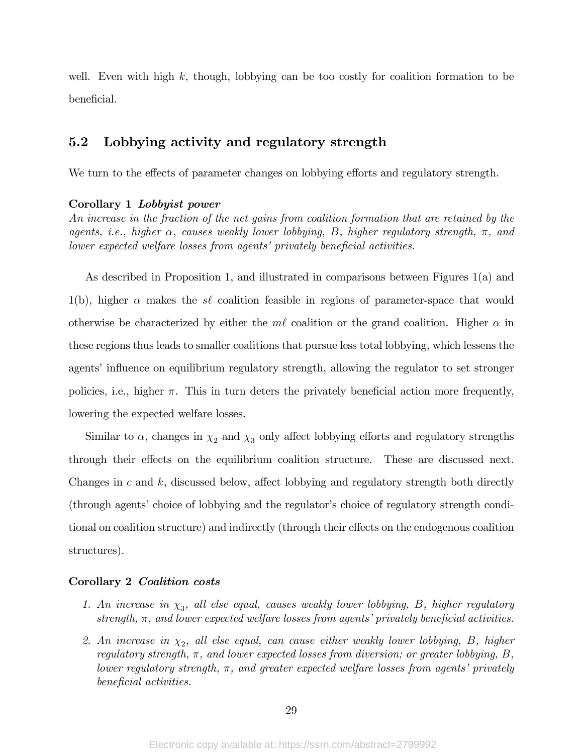well. Even with high k, though, lobbying can be too costly for coalition formation to be beneficial.

### 5.2 Lobbying activity and regulatory strength

We turn to the effects of parameter changes on lobbying efforts and regulatory strength.

#### Corollary 1 Lobbyist power

An increase in the fraction of the net gains from coalition formation that are retained by the agents, i.e., higher  $\alpha$ , causes weakly lower lobbying, B, higher regulatory strength,  $\pi$ , and lower expected welfare losses from agents' privately beneficial activities.

As described in Proposition 1, and illustrated in comparisons between Figures 1(a) and 1(b), higher  $\alpha$  makes the s<sup> $\ell$ </sup> coalition feasible in regions of parameter-space that would otherwise be characterized by either the m $\ell$  coalition or the grand coalition. Higher  $\alpha$  in these regions thus leads to smaller coalitions that pursue less total lobbying, which lessens the agents' influence on equilibrium regulatory strength, allowing the regulator to set stronger policies, i.e., higher  $\pi$ . This in turn deters the privately beneficial action more frequently, lowering the expected welfare losses.

Similar to  $\alpha$ , changes in  $\chi_2$  and  $\chi_3$  only affect lobbying efforts and regulatory strengths through their effects on the equilibrium coalition structure. These are discussed next. Changes in c and  $k$ , discussed below, affect lobbying and regulatory strength both directly (through agents' choice of lobbying and the regulator's choice of regulatory strength conditional on coalition structure) and indirectly (through their effects on the endogenous coalition structures).

#### Corollary 2 Coalition costs

- 1. An increase in  $\chi_3$ , all else equal, causes weakly lower lobbying, B, higher regulatory strength,  $\pi$ , and lower expected welfare losses from agents' privately beneficial activities.
- 2. An increase in  $\chi_2$ , all else equal, can cause either weakly lower lobbying, B, higher regulatory strength,  $\pi$ , and lower expected losses from diversion; or greater lobbying, B, lower regulatory strength,  $\pi$ , and greater expected welfare losses from agents' privately beneficial activities.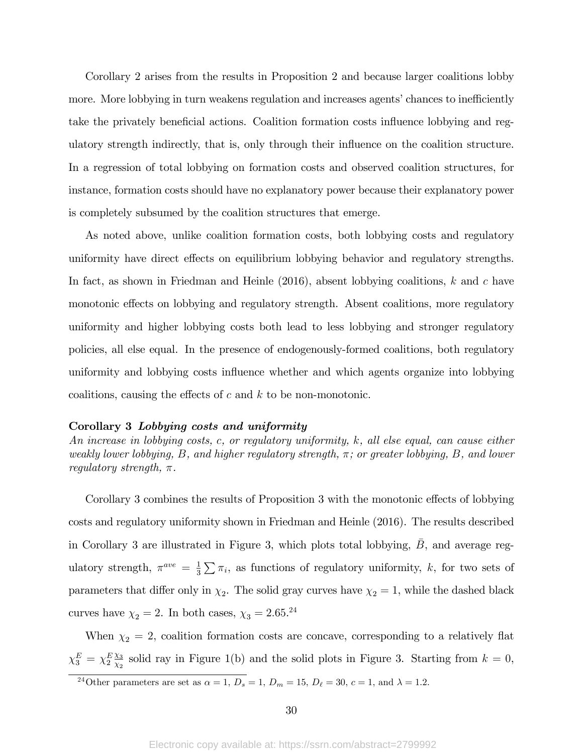Corollary 2 arises from the results in Proposition 2 and because larger coalitions lobby more. More lobbying in turn weakens regulation and increases agents' chances to inefficiently take the privately beneficial actions. Coalition formation costs influence lobbying and regulatory strength indirectly, that is, only through their influence on the coalition structure. In a regression of total lobbying on formation costs and observed coalition structures, for instance, formation costs should have no explanatory power because their explanatory power is completely subsumed by the coalition structures that emerge.

As noted above, unlike coalition formation costs, both lobbying costs and regulatory uniformity have direct effects on equilibrium lobbying behavior and regulatory strengths. In fact, as shown in Friedman and Heinle  $(2016)$ , absent lobbying coalitions, k and c have monotonic effects on lobbying and regulatory strength. Absent coalitions, more regulatory uniformity and higher lobbying costs both lead to less lobbying and stronger regulatory policies, all else equal. In the presence of endogenously-formed coalitions, both regulatory uniformity and lobbying costs influence whether and which agents organize into lobbying coalitions, causing the effects of  $c$  and  $k$  to be non-monotonic.

#### Corollary 3 Lobbying costs and uniformity

An increase in lobbying costs, c, or regulatory uniformity, k, all else equal, can cause either weakly lower lobbying, B, and higher regulatory strength,  $\pi$ ; or greater lobbying, B, and lower regulatory strength,  $\pi$ .

Corollary 3 combines the results of Proposition 3 with the monotonic effects of lobbying costs and regulatory uniformity shown in Friedman and Heinle (2016). The results described in Corollary 3 are illustrated in Figure 3, which plots total lobbying, B, and average regulatory strength,  $\pi^{ave} = \frac{1}{3}$  $\frac{1}{3}\sum \pi_i$ , as functions of regulatory uniformity, k, for two sets of parameters that differ only in  $\chi_2$ . The solid gray curves have  $\chi_2 = 1$ , while the dashed black curves have  $\chi_2 = 2$ . In both cases,  $\chi_3 = 2.65.^{24}$ 

When  $\chi_2 = 2$ , coalition formation costs are concave, corresponding to a relatively flat  $\chi_3^E = \chi_2^E \frac{\chi_3}{\chi_2}$  $\frac{\chi_3}{\chi_2}$  solid ray in Figure 1(b) and the solid plots in Figure 3. Starting from  $k = 0$ ,

<sup>&</sup>lt;sup>24</sup>Other parameters are set as  $\alpha = 1, D_s = 1, D_m = 15, D_\ell = 30, c = 1, \text{ and } \lambda = 1.2.$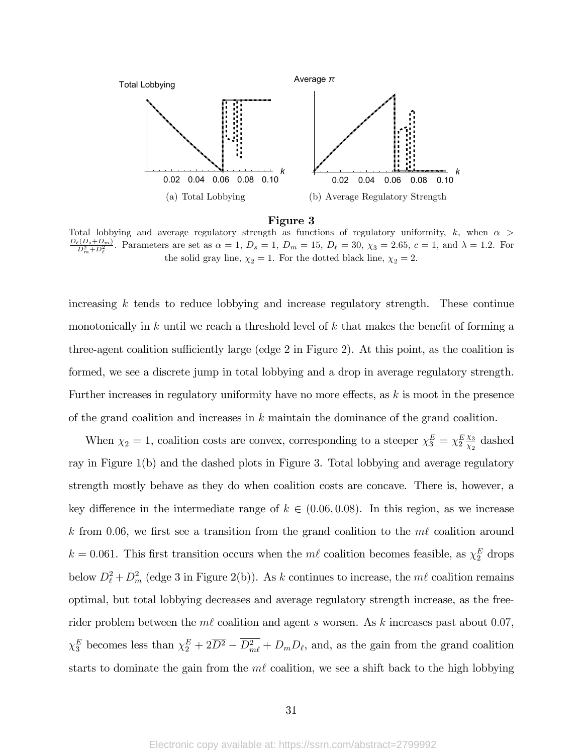



Total lobbying and average regulatory strength as functions of regulatory uniformity, k, when  $\alpha$  $\frac{D_{\ell}(D_s+D_m)}{D_m^2+D_{\ell}^2}$ . Parameters are set as  $\alpha = 1, D_s = 1, D_m = 15, D_{\ell} = 30, \chi_3 = 2.65, c = 1, \text{ and } \lambda = 1.2$ . For the solid gray line,  $\chi_2 = 1$ . For the dotted black line,  $\chi_2 = 2$ .

increasing  $k$  tends to reduce lobbying and increase regulatory strength. These continue monotonically in k until we reach a threshold level of k that makes the benefit of forming a three-agent coalition sufficiently large (edge 2 in Figure 2). At this point, as the coalition is formed, we see a discrete jump in total lobbying and a drop in average regulatory strength. Further increases in regulatory uniformity have no more effects, as  $k$  is moot in the presence of the grand coalition and increases in  $k$  maintain the dominance of the grand coalition.

When  $\chi_2 = 1$ , coalition costs are convex, corresponding to a steeper  $\chi_3^E = \chi_2^E \frac{\chi_3}{\chi_2}$  $\frac{\chi_3}{\chi_2}$  dashed ray in Figure 1(b) and the dashed plots in Figure 3. Total lobbying and average regulatory strength mostly behave as they do when coalition costs are concave. There is, however, a key difference in the intermediate range of  $k \in (0.06, 0.08)$ . In this region, as we increase k from 0.06, we first see a transition from the grand coalition to the  $m\ell$  coalition around  $k = 0.061$ . This first transition occurs when the  $m\ell$  coalition becomes feasible, as  $\chi_2^E$  drops below  $D_\ell^2 + D_m^2$  (edge 3 in Figure 2(b)). As k continues to increase, the  $m\ell$  coalition remains optimal, but total lobbying decreases and average regulatory strength increase, as the freerider problem between the  $m\ell$  coalition and agent s worsen. As k increases past about 0.07,  $\chi_3^E$  becomes less than  $\chi_2^E + 2\overline{D^2} - D_m^2 + D_m D_\ell$ , and, as the gain from the grand coalition starts to dominate the gain from the  $m\ell$  coalition, we see a shift back to the high lobbying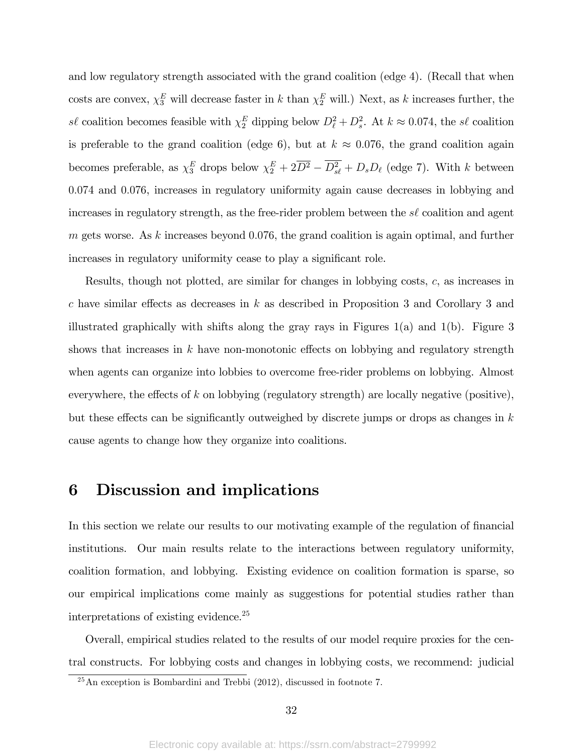and low regulatory strength associated with the grand coalition (edge 4). (Recall that when costs are convex,  $\chi_3^E$  will decrease faster in k than  $\chi_2^E$  will.) Next, as k increases further, the s $\ell$  coalition becomes feasible with  $\chi_2^E$  dipping below  $D_\ell^2 + D_s^2$ . At  $k \approx 0.074$ , the s $\ell$  coalition is preferable to the grand coalition (edge 6), but at  $k \approx 0.076$ , the grand coalition again becomes preferable, as  $\chi_3^E$  drops below  $\chi_2^E + 2\overline{D^2} - D_{s\ell}^2 + D_s D_\ell$  (edge 7). With k between 0:074 and 0:076, increases in regulatory uniformity again cause decreases in lobbying and increases in regulatory strength, as the free-rider problem between the  $s\ell$  coalition and agent m gets worse. As k increases beyond  $0.076$ , the grand coalition is again optimal, and further increases in regulatory uniformity cease to play a significant role.

Results, though not plotted, are similar for changes in lobbying costs, c, as increases in c have similar effects as decreases in k as described in Proposition 3 and Corollary 3 and illustrated graphically with shifts along the gray rays in Figures  $1(a)$  and  $1(b)$ . Figure 3 shows that increases in k have non-monotonic effects on lobbying and regulatory strength when agents can organize into lobbies to overcome free-rider problems on lobbying. Almost everywhere, the effects of k on lobbying (regulatory strength) are locally negative (positive), but these effects can be significantly outweighed by discrete jumps or drops as changes in  $k$ cause agents to change how they organize into coalitions.

# 6 Discussion and implications

In this section we relate our results to our motivating example of the regulation of financial institutions. Our main results relate to the interactions between regulatory uniformity, coalition formation, and lobbying. Existing evidence on coalition formation is sparse, so our empirical implications come mainly as suggestions for potential studies rather than interpretations of existing evidence.<sup>25</sup>

Overall, empirical studies related to the results of our model require proxies for the central constructs. For lobbying costs and changes in lobbying costs, we recommend: judicial

 $25$ An exception is Bombardini and Trebbi (2012), discussed in footnote 7.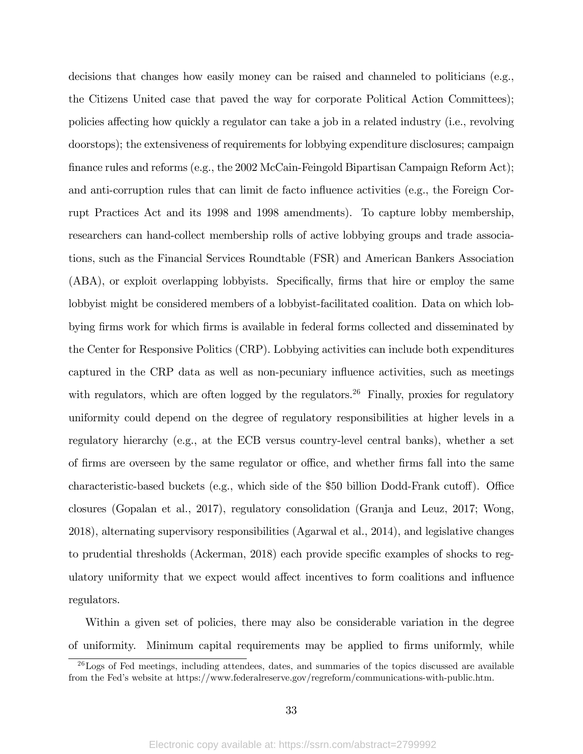decisions that changes how easily money can be raised and channeled to politicians (e.g., the Citizens United case that paved the way for corporate Political Action Committees); policies affecting how quickly a regulator can take a job in a related industry (i.e., revolving doorstops); the extensiveness of requirements for lobbying expenditure disclosures; campaign finance rules and reforms (e.g., the 2002 McCain-Feingold Bipartisan Campaign Reform Act); and anti-corruption rules that can limit de facto influence activities (e.g., the Foreign Corrupt Practices Act and its 1998 and 1998 amendments). To capture lobby membership, researchers can hand-collect membership rolls of active lobbying groups and trade associations, such as the Financial Services Roundtable (FSR) and American Bankers Association (ABA), or exploit overlapping lobbyists. Specifically, firms that hire or employ the same lobbyist might be considered members of a lobbyist-facilitated coalition. Data on which lobbying firms work for which firms is available in federal forms collected and disseminated by the Center for Responsive Politics (CRP). Lobbying activities can include both expenditures captured in the CRP data as well as non-pecuniary influence activities, such as meetings with regulators, which are often logged by the regulators.<sup>26</sup> Finally, proxies for regulatory uniformity could depend on the degree of regulatory responsibilities at higher levels in a regulatory hierarchy (e.g., at the ECB versus country-level central banks), whether a set of firms are overseen by the same regulator or office, and whether firms fall into the same characteristic-based buckets (e.g., which side of the \$50 billion Dodd-Frank cutoff). Office closures (Gopalan et al., 2017), regulatory consolidation (Granja and Leuz, 2017; Wong, 2018), alternating supervisory responsibilities (Agarwal et al., 2014), and legislative changes to prudential thresholds (Ackerman, 2018) each provide specific examples of shocks to regulatory uniformity that we expect would affect incentives to form coalitions and influence regulators.

Within a given set of policies, there may also be considerable variation in the degree of uniformity. Minimum capital requirements may be applied to Örms uniformly, while

 $^{26}$ Logs of Fed meetings, including attendees, dates, and summaries of the topics discussed are available from the Fedís website at https://www.federalreserve.gov/regreform/communications-with-public.htm.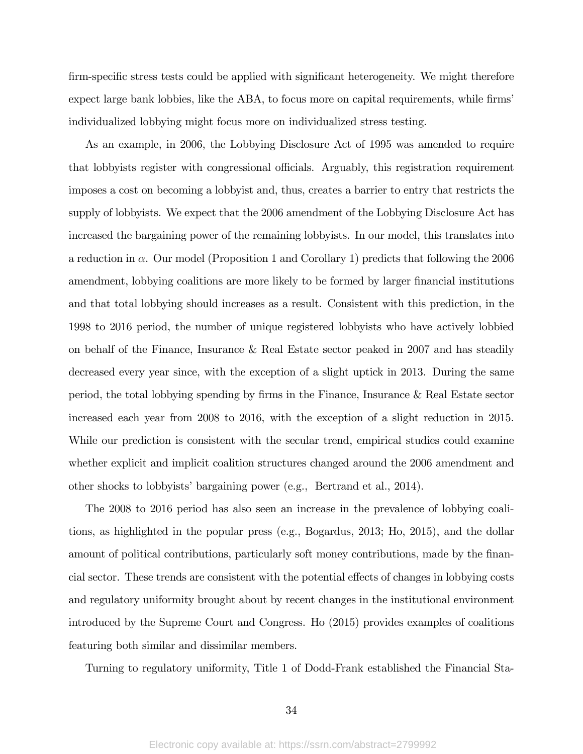firm-specific stress tests could be applied with significant heterogeneity. We might therefore expect large bank lobbies, like the ABA, to focus more on capital requirements, while firms individualized lobbying might focus more on individualized stress testing.

As an example, in 2006, the Lobbying Disclosure Act of 1995 was amended to require that lobbyists register with congressional officials. Arguably, this registration requirement imposes a cost on becoming a lobbyist and, thus, creates a barrier to entry that restricts the supply of lobbyists. We expect that the 2006 amendment of the Lobbying Disclosure Act has increased the bargaining power of the remaining lobbyists. In our model, this translates into a reduction in  $\alpha$ . Our model (Proposition 1 and Corollary 1) predicts that following the 2006 amendment, lobbying coalitions are more likely to be formed by larger financial institutions and that total lobbying should increases as a result. Consistent with this prediction, in the 1998 to 2016 period, the number of unique registered lobbyists who have actively lobbied on behalf of the Finance, Insurance & Real Estate sector peaked in 2007 and has steadily decreased every year since, with the exception of a slight uptick in 2013. During the same period, the total lobbying spending by Örms in the Finance, Insurance & Real Estate sector increased each year from 2008 to 2016, with the exception of a slight reduction in 2015. While our prediction is consistent with the secular trend, empirical studies could examine whether explicit and implicit coalition structures changed around the 2006 amendment and other shocks to lobbyists' bargaining power (e.g., Bertrand et al., 2014).

The 2008 to 2016 period has also seen an increase in the prevalence of lobbying coalitions, as highlighted in the popular press (e.g., Bogardus, 2013; Ho, 2015), and the dollar amount of political contributions, particularly soft money contributions, made by the financial sector. These trends are consistent with the potential effects of changes in lobbying costs and regulatory uniformity brought about by recent changes in the institutional environment introduced by the Supreme Court and Congress. Ho (2015) provides examples of coalitions featuring both similar and dissimilar members.

Turning to regulatory uniformity, Title 1 of Dodd-Frank established the Financial Sta-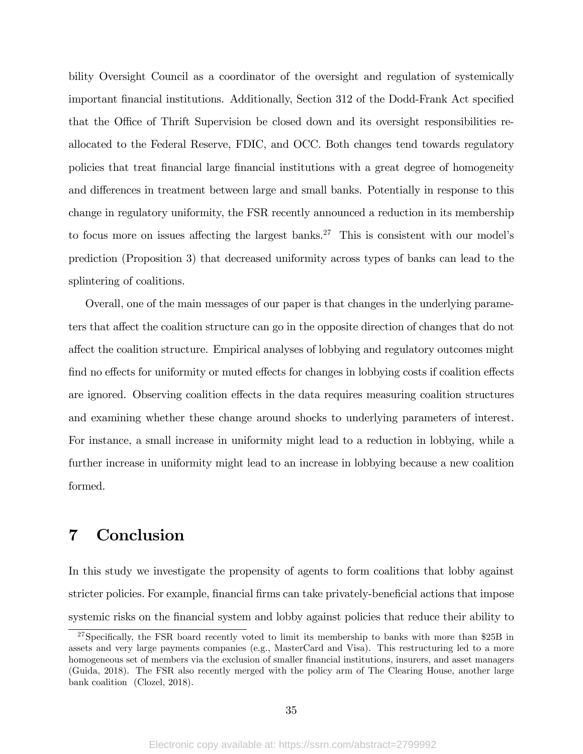bility Oversight Council as a coordinator of the oversight and regulation of systemically important financial institutions. Additionally, Section 312 of the Dodd-Frank Act specified that the Office of Thrift Supervision be closed down and its oversight responsibilities reallocated to the Federal Reserve, FDIC, and OCC. Both changes tend towards regulatory policies that treat Önancial large Önancial institutions with a great degree of homogeneity and differences in treatment between large and small banks. Potentially in response to this change in regulatory uniformity, the FSR recently announced a reduction in its membership to focus more on issues affecting the largest banks.<sup>27</sup> This is consistent with our model's prediction (Proposition 3) that decreased uniformity across types of banks can lead to the splintering of coalitions.

Overall, one of the main messages of our paper is that changes in the underlying parameters that affect the coalition structure can go in the opposite direction of changes that do not a§ect the coalition structure. Empirical analyses of lobbying and regulatory outcomes might find no effects for uniformity or muted effects for changes in lobbying costs if coalition effects are ignored. Observing coalition effects in the data requires measuring coalition structures and examining whether these change around shocks to underlying parameters of interest. For instance, a small increase in uniformity might lead to a reduction in lobbying, while a further increase in uniformity might lead to an increase in lobbying because a new coalition formed.

# 7 Conclusion

In this study we investigate the propensity of agents to form coalitions that lobby against stricter policies. For example, financial firms can take privately-beneficial actions that impose systemic risks on the financial system and lobby against policies that reduce their ability to

 $27$ Specifically, the FSR board recently voted to limit its membership to banks with more than \$25B in assets and very large payments companies (e.g., MasterCard and Visa). This restructuring led to a more homogeneous set of members via the exclusion of smaller financial institutions, insurers, and asset managers (Guida, 2018). The FSR also recently merged with the policy arm of The Clearing House, another large bank coalition (Clozel, 2018).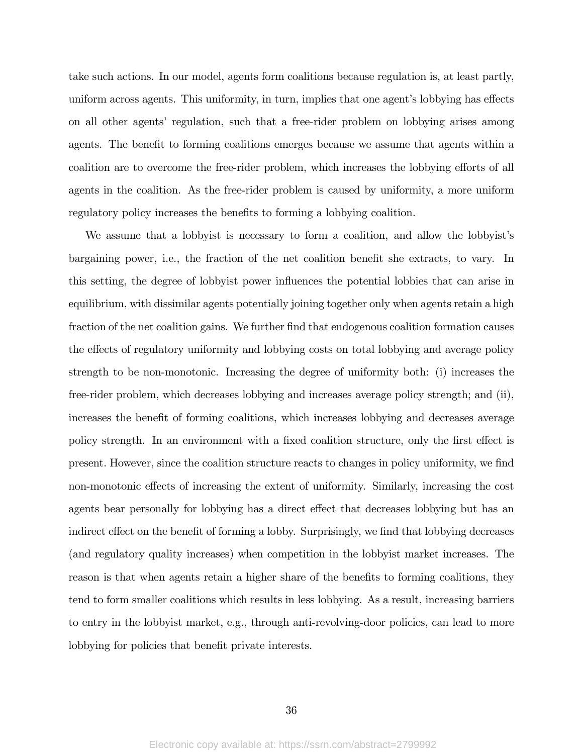take such actions. In our model, agents form coalitions because regulation is, at least partly, uniform across agents. This uniformity, in turn, implies that one agent's lobbying has effects on all other agents' regulation, such that a free-rider problem on lobbying arises among agents. The benefit to forming coalitions emerges because we assume that agents within a coalition are to overcome the free-rider problem, which increases the lobbying efforts of all agents in the coalition. As the free-rider problem is caused by uniformity, a more uniform regulatory policy increases the benefits to forming a lobbying coalition.

We assume that a lobbyist is necessary to form a coalition, and allow the lobbyist's bargaining power, i.e., the fraction of the net coalition benefit she extracts, to vary. In this setting, the degree of lobbyist power influences the potential lobbies that can arise in equilibrium, with dissimilar agents potentially joining together only when agents retain a high fraction of the net coalition gains. We further find that endogenous coalition formation causes the effects of regulatory uniformity and lobbying costs on total lobbying and average policy strength to be non-monotonic. Increasing the degree of uniformity both: (i) increases the free-rider problem, which decreases lobbying and increases average policy strength; and (ii), increases the benefit of forming coalitions, which increases lobbying and decreases average policy strength. In an environment with a fixed coalition structure, only the first effect is present. However, since the coalition structure reacts to changes in policy uniformity, we find non-monotonic effects of increasing the extent of uniformity. Similarly, increasing the cost agents bear personally for lobbying has a direct effect that decreases lobbying but has an indirect effect on the benefit of forming a lobby. Surprisingly, we find that lobbying decreases (and regulatory quality increases) when competition in the lobbyist market increases. The reason is that when agents retain a higher share of the benefits to forming coalitions, they tend to form smaller coalitions which results in less lobbying. As a result, increasing barriers to entry in the lobbyist market, e.g., through anti-revolving-door policies, can lead to more lobbying for policies that benefit private interests.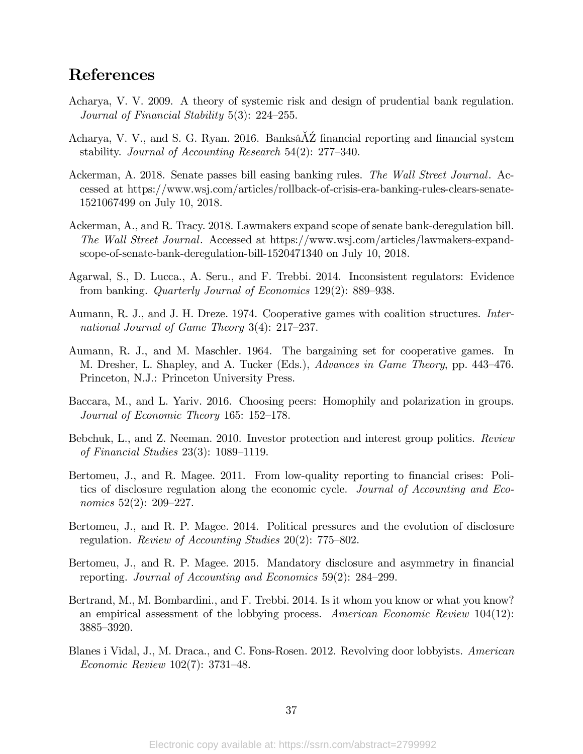# References

- Acharya, V. V. 2009. A theory of systemic risk and design of prudential bank regulation. Journal of Financial Stability  $5(3)$ : 224–255.
- Acharya, V. V., and S. G. Ryan. 2016. Banks $\Delta \tilde{Z}$  financial reporting and financial system stability. Journal of Accounting Research  $54(2)$ : 277–340.
- Ackerman, A. 2018. Senate passes bill easing banking rules. The Wall Street Journal. Accessed at https://www.wsj.com/articles/rollback-of-crisis-era-banking-rules-clears-senate-1521067499 on July 10, 2018.
- Ackerman, A., and R. Tracy. 2018. Lawmakers expand scope of senate bank-deregulation bill. The Wall Street Journal. Accessed at https://www.wsj.com/articles/lawmakers-expandscope-of-senate-bank-deregulation-bill-1520471340 on July 10, 2018.
- Agarwal, S., D. Lucca., A. Seru., and F. Trebbi. 2014. Inconsistent regulators: Evidence from banking. *Quarterly Journal of Economics*  $129(2)$ :  $889-938$ .
- Aumann, R. J., and J. H. Dreze. 1974. Cooperative games with coalition structures. International Journal of Game Theory  $3(4)$ :  $217-237$ .
- Aumann, R. J., and M. Maschler. 1964. The bargaining set for cooperative games. In M. Dresher, L. Shapley, and A. Tucker (Eds.), Advances in Game Theory, pp. 443–476. Princeton, N.J.: Princeton University Press.
- Baccara, M., and L. Yariv. 2016. Choosing peers: Homophily and polarization in groups. Journal of Economic Theory 165:  $152-178$ .
- Bebchuk, L., and Z. Neeman. 2010. Investor protection and interest group politics. Review of Financial Studies  $23(3)$ : 1089-1119.
- Bertomeu, J., and R. Magee. 2011. From low-quality reporting to financial crises: Politics of disclosure regulation along the economic cycle. Journal of Accounting and Economics  $52(2)$ :  $209-227$ .
- Bertomeu, J., and R. P. Magee. 2014. Political pressures and the evolution of disclosure regulation. Review of Accounting Studies  $20(2)$ : 775–802.
- Bertomeu, J., and R. P. Magee. 2015. Mandatory disclosure and asymmetry in financial reporting. Journal of Accounting and Economics  $59(2)$ : 284–299.
- Bertrand, M., M. Bombardini., and F. Trebbi. 2014. Is it whom you know or what you know? an empirical assessment of the lobbying process. American Economic Review 104(12): 3885-3920.
- Blanes i Vidal, J., M. Draca., and C. Fons-Rosen. 2012. Revolving door lobbyists. American Economic Review  $102(7)$ : 3731–48.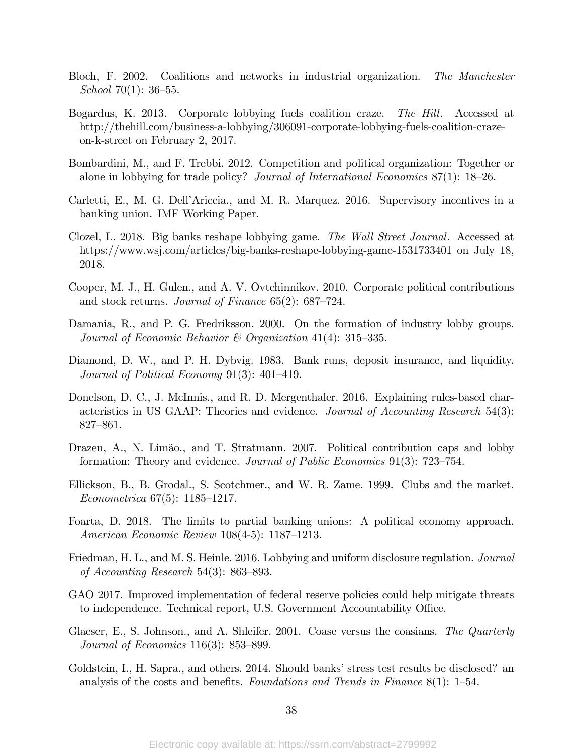- Bloch, F. 2002. Coalitions and networks in industrial organization. The Manchester School 70(1):  $36-55$ .
- Bogardus, K. 2013. Corporate lobbying fuels coalition craze. The Hill. Accessed at http://thehill.com/business-a-lobbying/306091-corporate-lobbying-fuels-coalition-crazeon-k-street on February 2, 2017.
- Bombardini, M., and F. Trebbi. 2012. Competition and political organization: Together or alone in lobbying for trade policy? Journal of International Economics  $87(1)$ : 18–26.
- Carletti, E., M. G. Dell'Ariccia., and M. R. Marquez. 2016. Supervisory incentives in a banking union. IMF Working Paper.
- Clozel, L. 2018. Big banks reshape lobbying game. The Wall Street Journal. Accessed at https://www.wsj.com/articles/big-banks-reshape-lobbying-game-1531733401 on July 18, 2018.
- Cooper, M. J., H. Gulen., and A. V. Ovtchinnikov. 2010. Corporate political contributions and stock returns. Journal of Finance  $65(2)$ : 687–724.
- Damania, R., and P. G. Fredriksson. 2000. On the formation of industry lobby groups. Journal of Economic Behavior  $\mathcal C$  Organization 41(4): 315–335.
- Diamond, D. W., and P. H. Dybvig. 1983. Bank runs, deposit insurance, and liquidity. Journal of Political Economy  $91(3)$ :  $401-419$ .
- Donelson, D. C., J. McInnis., and R. D. Mergenthaler. 2016. Explaining rules-based characteristics in US GAAP: Theories and evidence. Journal of Accounting Research 54(3): 827-861.
- Drazen, A., N. Limão., and T. Stratmann. 2007. Political contribution caps and lobby formation: Theory and evidence. *Journal of Public Economics*  $91(3)$ :  $723-754$ .
- Ellickson, B., B. Grodal., S. Scotchmer., and W. R. Zame. 1999. Clubs and the market. Econometrica  $67(5)$ : 1185–1217.
- Foarta, D. 2018. The limits to partial banking unions: A political economy approach. American Economic Review  $108(4-5)$ : 1187–1213.
- Friedman, H. L., and M. S. Heinle. 2016. Lobbying and uniform disclosure regulation. *Journal* of Accounting Research 54(3): 863-893.
- GAO 2017. Improved implementation of federal reserve policies could help mitigate threats to independence. Technical report, U.S. Government Accountability Office.
- Glaeser, E., S. Johnson., and A. Shleifer. 2001. Coase versus the coasians. The Quarterly Journal of Economics  $116(3)$ : 853–899.
- Goldstein, I., H. Sapra., and others. 2014. Should banks' stress test results be disclosed? an analysis of the costs and benefits. Foundations and Trends in Finance 8(1): 1–54.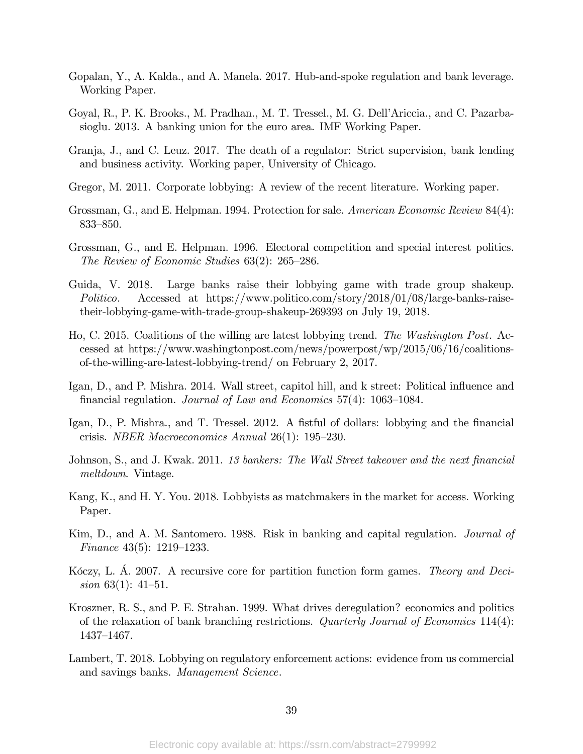- Gopalan, Y., A. Kalda., and A. Manela. 2017. Hub-and-spoke regulation and bank leverage. Working Paper.
- Goyal, R., P. K. Brooks., M. Pradhan., M. T. Tressel., M. G. DellíAriccia., and C. Pazarbasioglu. 2013. A banking union for the euro area. IMF Working Paper.
- Granja, J., and C. Leuz. 2017. The death of a regulator: Strict supervision, bank lending and business activity. Working paper, University of Chicago.
- Gregor, M. 2011. Corporate lobbying: A review of the recent literature. Working paper.
- Grossman, G., and E. Helpman. 1994. Protection for sale. American Economic Review 84(4): 833-850.
- Grossman, G., and E. Helpman. 1996. Electoral competition and special interest politics. The Review of Economic Studies  $63(2)$ :  $265-286$ .
- Guida, V. 2018. Large banks raise their lobbying game with trade group shakeup. Politico. Accessed at https://www.politico.com/story/2018/01/08/large-banks-raisetheir-lobbying-game-with-trade-group-shakeup-269393 on July 19, 2018.
- Ho, C. 2015. Coalitions of the willing are latest lobbying trend. The Washington Post. Accessed at https://www.washingtonpost.com/news/powerpost/wp/2015/06/16/coalitionsof-the-willing-are-latest-lobbying-trend/ on February 2, 2017.
- Igan, D., and P. Mishra. 2014. Wall street, capitol hill, and k street: Political influence and financial regulation. *Journal of Law and Economics* 57(4): 1063–1084.
- Igan, D., P. Mishra., and T. Tressel. 2012. A fistful of dollars: lobbying and the financial crisis. *NBER Macroeconomics Annual*  $26(1)$ : 195–230.
- Johnson, S., and J. Kwak. 2011. 13 bankers: The Wall Street takeover and the next financial meltdown. Vintage.
- Kang, K., and H. Y. You. 2018. Lobbyists as matchmakers in the market for access. Working Paper.
- Kim, D., and A. M. Santomero. 1988. Risk in banking and capital regulation. *Journal of* Finance  $43(5)$ : 1219–1233.
- Kôczy, L. A. 2007. A recursive core for partition function form games. Theory and Decision 63(1):  $41-51$ .
- Kroszner, R. S., and P. E. Strahan. 1999. What drives deregulation? economics and politics of the relaxation of bank branching restrictions. Quarterly Journal of Economics 114(4): 1437–1467.
- Lambert, T. 2018. Lobbying on regulatory enforcement actions: evidence from us commercial and savings banks. Management Science.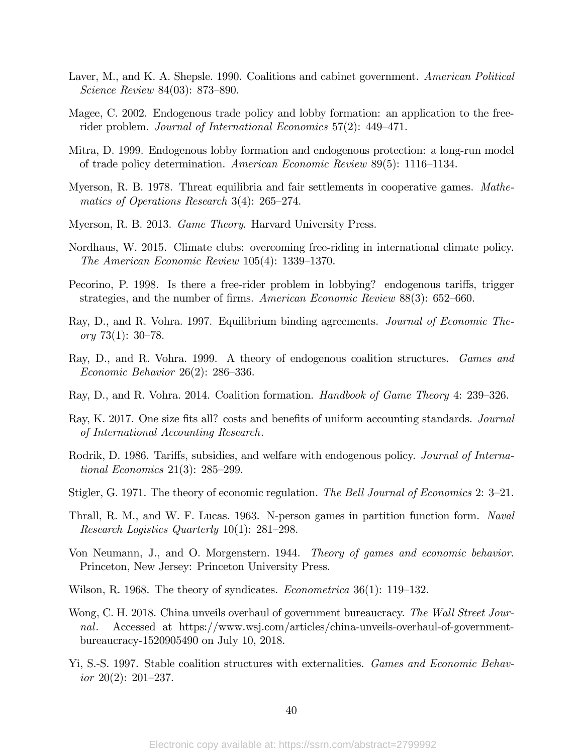- Laver, M., and K. A. Shepsle. 1990. Coalitions and cabinet government. American Political  $Science$  Review 84(03): 873–890.
- Magee, C. 2002. Endogenous trade policy and lobby formation: an application to the freerider problem. Journal of International Economics  $57(2)$ : 449-471.
- Mitra, D. 1999. Endogenous lobby formation and endogenous protection: a long-run model of trade policy determination. American Economic Review 89(5): 1116–1134.
- Myerson, R. B. 1978. Threat equilibria and fair settlements in cooperative games. Mathematics of Operations Research 3(4):  $265-274$ .
- Myerson, R. B. 2013. Game Theory. Harvard University Press.
- Nordhaus, W. 2015. Climate clubs: overcoming free-riding in international climate policy. The American Economic Review  $105(4)$ : 1339–1370.
- Pecorino, P. 1998. Is there a free-rider problem in lobbying? endogenous tariffs, trigger strategies, and the number of firms. American Economic Review  $88(3)$ : 652–660.
- Ray, D., and R. Vohra. 1997. Equilibrium binding agreements. Journal of Economic Theory 73(1):  $30-78$ .
- Ray, D., and R. Vohra. 1999. A theory of endogenous coalition structures. Games and Economic Behavior  $26(2)$ : 286–336.
- Ray, D., and R. Vohra. 2014. Coalition formation. *Handbook of Game Theory* 4: 239–326.
- Ray, K. 2017. One size fits all? costs and benefits of uniform accounting standards. *Journal* of International Accounting Research.
- Rodrik, D. 1986. Tariffs, subsidies, and welfare with endogenous policy. Journal of International Economics  $21(3)$ :  $285-299$ .
- Stigler, G. 1971. The theory of economic regulation. The Bell Journal of Economics 2:  $3-21$ .
- Thrall, R. M., and W. F. Lucas. 1963. N-person games in partition function form. Naval Research Logistics Quarterly  $10(1)$ : 281–298.
- Von Neumann, J., and O. Morgenstern. 1944. Theory of games and economic behavior. Princeton, New Jersey: Princeton University Press.
- Wilson, R. 1968. The theory of syndicates. *Econometrica*  $36(1)$ : 119–132.
- Wong, C. H. 2018. China unveils overhaul of government bureaucracy. The Wall Street Journal. Accessed at https://www.wsj.com/articles/china-unveils-overhaul-of-governmentbureaucracy-1520905490 on July 10, 2018.
- Yi, S.-S. 1997. Stable coalition structures with externalities. Games and Economic Behavior  $20(2)$ :  $201-237$ .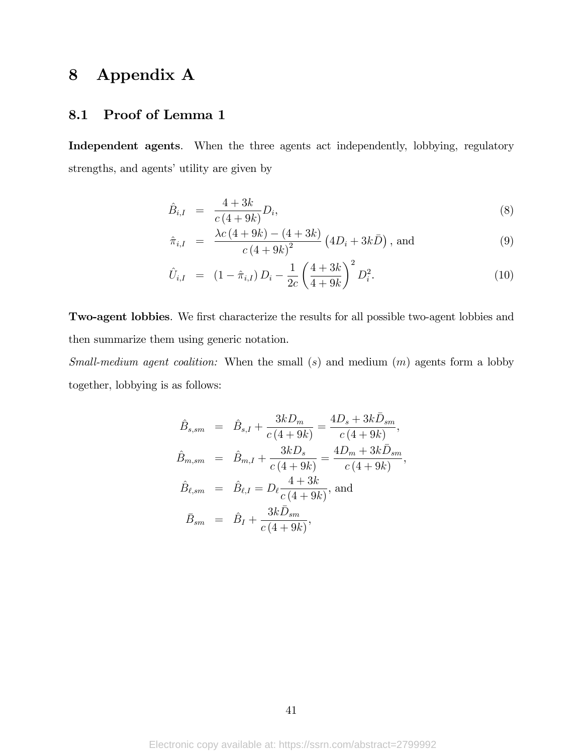# 8 Appendix A

### 8.1 Proof of Lemma 1

Independent agents. When the three agents act independently, lobbying, regulatory strengths, and agents' utility are given by

$$
\hat{B}_{i,I} = \frac{4+3k}{c(4+9k)}D_i,
$$
\n(8)

$$
\hat{\pi}_{i,I} = \frac{\lambda c (4 + 9k) - (4 + 3k)}{c (4 + 9k)^2} (4D_i + 3k\bar{D}), \text{ and}
$$
\n(9)

$$
\hat{U}_{i,I} = (1 - \hat{\pi}_{i,I}) D_i - \frac{1}{2c} \left(\frac{4+3k}{4+9k}\right)^2 D_i^2.
$$
\n(10)

Two-agent lobbies. We first characterize the results for all possible two-agent lobbies and then summarize them using generic notation.

Small-medium agent coalition: When the small  $(s)$  and medium  $(m)$  agents form a lobby together, lobbying is as follows:

$$
\hat{B}_{s,sm} = \hat{B}_{s,I} + \frac{3kD_m}{c(4+9k)} = \frac{4D_s + 3k\bar{D}_{sm}}{c(4+9k)},
$$
\n
$$
\hat{B}_{m,sm} = \hat{B}_{m,I} + \frac{3kD_s}{c(4+9k)} = \frac{4D_m + 3k\bar{D}_{sm}}{c(4+9k)},
$$
\n
$$
\hat{B}_{\ell,sm} = \hat{B}_{\ell,I} = D_\ell \frac{4+3k}{c(4+9k)}, \text{ and}
$$
\n
$$
\bar{B}_{sm} = \hat{B}_I + \frac{3k\bar{D}_{sm}}{c(4+9k)},
$$

41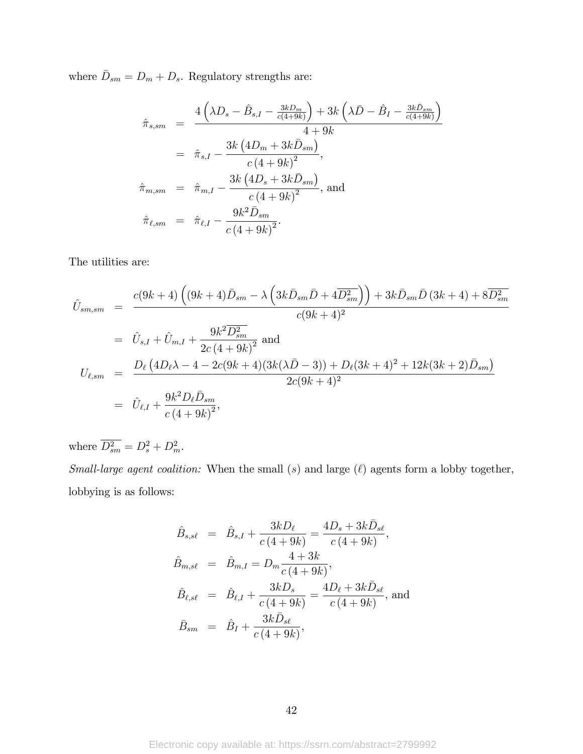where  $\bar{D}_{sm} = D_m + D_s$ . Regulatory strengths are:

$$
\hat{\pi}_{s,sm} = \frac{4\left(\lambda D_s - \hat{B}_{s,I} - \frac{3kD_m}{c(4+9k)}\right) + 3k\left(\lambda \bar{D} - \hat{B}_I - \frac{3k\bar{D}_{sm}}{c(4+9k)}\right)}{4+9k}
$$
\n
$$
= \hat{\pi}_{s,I} - \frac{3k\left(4D_m + 3k\bar{D}_{sm}\right)}{c\left(4+9k\right)^2},
$$
\n
$$
\hat{\pi}_{m,sm} = \hat{\pi}_{m,I} - \frac{3k\left(4D_s + 3k\bar{D}_{sm}\right)}{c\left(4+9k\right)^2}, \text{ and}
$$
\n
$$
\hat{\pi}_{\ell,sm} = \hat{\pi}_{\ell,I} - \frac{9k^2\bar{D}_{sm}}{c\left(4+9k\right)^2}.
$$

The utilities are:

$$
\hat{U}_{sm,sm} = \frac{c(9k+4)\left((9k+4)\bar{D}_{sm} - \lambda\left(3k\bar{D}_{sm}\bar{D} + 4\overline{D_{sm}^2}\right)\right) + 3k\bar{D}_{sm}\bar{D}(3k+4) + 8\overline{D_{sm}^2}}{c(9k+4)^2}
$$
\n
$$
= \hat{U}_{s,I} + \hat{U}_{m,I} + \frac{9k^2\overline{D_{sm}^2}}{2c(4+9k)^2} \text{ and}
$$
\n
$$
U_{\ell,sm} = \frac{D_{\ell}\left(4D_{\ell}\lambda - 4 - 2c(9k+4)(3k(\lambda\bar{D} - 3)) + D_{\ell}(3k+4)^2 + 12k(3k+2)\bar{D}_{sm}\right)}{2c(9k+4)^2}
$$
\n
$$
= \hat{U}_{\ell,I} + \frac{9k^2D_{\ell}\bar{D}_{sm}}{c(4+9k)^2},
$$

where  $\overline{D_{sm}^2} = D_s^2 + D_m^2$ .

Small-large agent coalition: When the small  $(s)$  and large  $(\ell)$  agents form a lobby together, lobbying is as follows:

$$
\hat{B}_{s,s\ell} = \hat{B}_{s,I} + \frac{3kD_{\ell}}{c(4+9k)} = \frac{4D_s + 3k\bar{D}_{s\ell}}{c(4+9k)},
$$
\n
$$
\hat{B}_{m,s\ell} = \hat{B}_{m,I} = D_m \frac{4+3k}{c(4+9k)},
$$
\n
$$
\hat{B}_{\ell,s\ell} = \hat{B}_{\ell,I} + \frac{3kD_s}{c(4+9k)} = \frac{4D_{\ell} + 3k\bar{D}_{s\ell}}{c(4+9k)},
$$
\nand\n
$$
\bar{B}_{sm} = \hat{B}_I + \frac{3k\bar{D}_{s\ell}}{c(4+9k)},
$$

42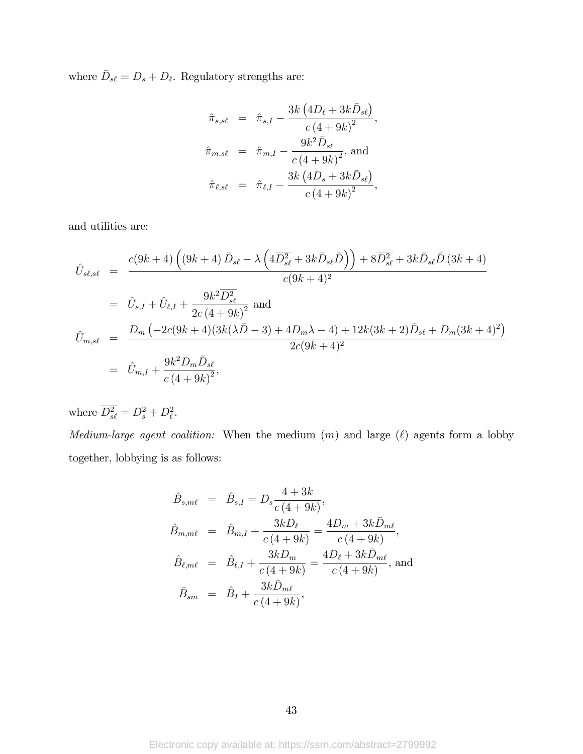where  $\bar{D}_{s\ell} = D_s + D_\ell$ . Regulatory strengths are:

$$
\hat{\pi}_{s,s\ell} = \hat{\pi}_{s,I} - \frac{3k (4D_{\ell} + 3k\bar{D}_{s\ell})}{c (4 + 9k)^2},
$$
\n
$$
\hat{\pi}_{m,s\ell} = \hat{\pi}_{m,I} - \frac{9k^2\bar{D}_{s\ell}}{c (4 + 9k)^2}, \text{ and}
$$
\n
$$
\hat{\pi}_{\ell,s\ell} = \hat{\pi}_{\ell,I} - \frac{3k (4D_{s} + 3k\bar{D}_{s\ell})}{c (4 + 9k)^2},
$$

and utilities are:

$$
\hat{U}_{s\ell,s\ell} = \frac{c(9k+4)\left((9k+4)\bar{D}_{s\ell} - \lambda\left(4\bar{D}_{s\ell}^2 + 3k\bar{D}_{s\ell}\bar{D}\right)\right) + 8\bar{D}_{s\ell}^2 + 3k\bar{D}_{s\ell}\bar{D}(3k+4)}{c(9k+4)^2}
$$
\n
$$
= \hat{U}_{s,I} + \hat{U}_{\ell,I} + \frac{9k^2\bar{D}_{s\ell}^2}{2c(4+9k)^2} \text{ and}
$$
\n
$$
\hat{U}_{m,s\ell} = \frac{D_m\left(-2c(9k+4)(3k(\lambda\bar{D}-3) + 4D_m\lambda - 4) + 12k(3k+2)\bar{D}_{s\ell} + D_m(3k+4)^2\right)}{2c(9k+4)^2}
$$
\n
$$
= \hat{U}_{m,I} + \frac{9k^2D_m\bar{D}_{s\ell}}{c(4+9k)^2},
$$

where  $D_{s\ell}^2 = D_s^2 + D_{\ell}^2$ .

Medium-large agent coalition: When the medium  $(m)$  and large  $(\ell)$  agents form a lobby together, lobbying is as follows:

$$
\hat{B}_{s,m\ell} = \hat{B}_{s,I} = D_s \frac{4+3k}{c(4+9k)}, \n\hat{B}_{m,m\ell} = \hat{B}_{m,I} + \frac{3kD_{\ell}}{c(4+9k)} = \frac{4D_m + 3k\bar{D}_{m\ell}}{c(4+9k)}, \n\hat{B}_{\ell,m\ell} = \hat{B}_{\ell,I} + \frac{3kD_m}{c(4+9k)} = \frac{4D_{\ell} + 3k\bar{D}_{m\ell}}{c(4+9k)}, \text{ and} \n\bar{B}_{sm} = \hat{B}_I + \frac{3k\bar{D}_{m\ell}}{c(4+9k)},
$$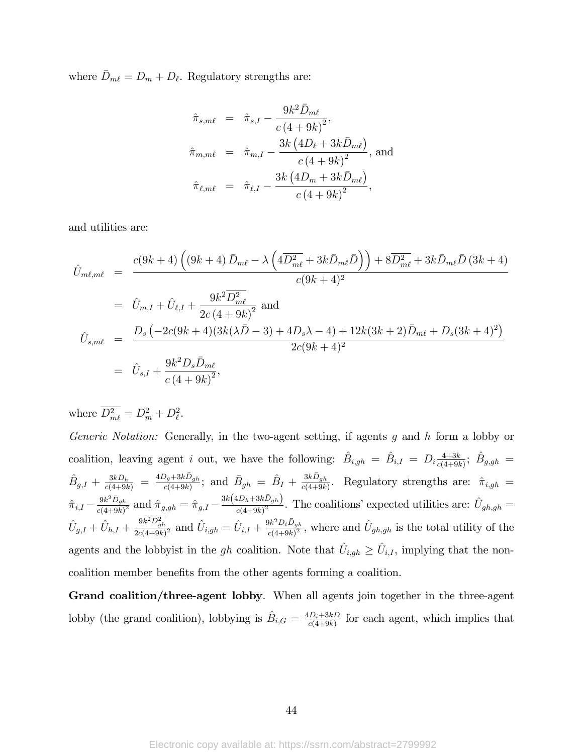where  $\bar{D}_{m\ell} = D_m + D_\ell$ . Regulatory strengths are:

$$
\hat{\pi}_{s,m\ell} = \hat{\pi}_{s,I} - \frac{9k^2 \bar{D}_{m\ell}}{c (4+9k)^2},
$$
\n
$$
\hat{\pi}_{m,m\ell} = \hat{\pi}_{m,I} - \frac{3k (4D_{\ell} + 3k\bar{D}_{m\ell})}{c (4+9k)^2}, \text{ and}
$$
\n
$$
\hat{\pi}_{\ell,m\ell} = \hat{\pi}_{\ell,I} - \frac{3k (4D_m + 3k\bar{D}_{m\ell})}{c (4+9k)^2},
$$

and utilities are:

$$
\hat{U}_{m\ell,m\ell} = \frac{c(9k+4)\left((9k+4)\,\bar{D}_{m\ell} - \lambda\left(4\overline{D}_{m\ell}^2 + 3k\bar{D}_{m\ell}\bar{D}\right)\right) + 8\overline{D}_{m\ell}^2 + 3k\bar{D}_{m\ell}\bar{D}\,(3k+4)}{c(9k+4)^2}
$$
\n
$$
= \hat{U}_{m,I} + \hat{U}_{\ell,I} + \frac{9k^2\overline{D}_{m\ell}^2}{2c\,(4+9k)^2} \text{ and}
$$
\n
$$
\hat{U}_{s,m\ell} = \frac{D_s\left(-2c(9k+4)(3k(\lambda\bar{D}-3) + 4D_s\lambda - 4) + 12k(3k+2)\bar{D}_{m\ell} + D_s(3k+4)^2\right)}{2c(9k+4)^2}
$$
\n
$$
= \hat{U}_{s,I} + \frac{9k^2D_s\bar{D}_{m\ell}}{c(4+9k)^2},
$$

where  $D_{m\ell}^2 = D_m^2 + D_\ell^2$ .

Generic Notation: Generally, in the two-agent setting, if agents g and h form a lobby or coalition, leaving agent i out, we have the following:  $\hat{B}_{i,gh} = \hat{B}_{i,I} = D_i \frac{4+3k}{c(4+9k)}$  $\frac{4+3k}{c(4+9k)}$ ;  $\hat{B}_{g,gh} =$  $\hat{B}_{g,I} + \frac{3kD_h}{c(4+9k)} = \frac{4D_g+3k\bar{D}_{gh}}{c(4+9k)}$ ; and  $\bar{B}_{gh} = \hat{B}_I + \frac{3k\bar{D}_{gh}}{c(4+9k)}$ . Regulatory strengths are:  $\hat{\pi}_{i,gh}$  $\hat{\pi}_{i,I} - \frac{9k^2\bar{D}_{gh}}{c(4+9k)}$  $\frac{9k^2 \bar{D}_{gh}}{c(4+9k)^2}$  and  $\hat{\pi}_{g,gh} = \hat{\pi}_{g,I} - \frac{3k(4D_h+3k\bar{D}_{gh})}{c(4+9k)^2}$  $\frac{d_{h}D_{h} + 3k_{g}D_{gh}}{c(4+9k)^{2}}$ . The coalitions' expected utilities are:  $\hat{U}_{gh,gh} =$  $\hat{U}_{g,I} + \hat{U}_{h,I} + \frac{9k^2D_{gh}^2}{2c(4+9k)}$  $\frac{9k^2D_{gh}^2}{2c(4+9k)^2}$  and  $\hat{U}_{i,gh} = \hat{U}_{i,I} + \frac{9k^2D_i\bar{D}_{gh}}{c(4+9k)^2}$  $\frac{\partial k^2 D_i D_{gh}}{c(4+9k)^2}$ , where and  $\hat{U}_{gh,gh}$  is the total utility of the agents and the lobbyist in the *gh* coalition. Note that  $\hat{U}_{i,gh} \geq \hat{U}_{i,I}$ , implying that the noncoalition member benefits from the other agents forming a coalition.

Grand coalition/three-agent lobby. When all agents join together in the three-agent lobby (the grand coalition), lobbying is  $\hat{B}_{i,G} = \frac{4D_i+3k\bar{D}}{c(4+9k)}$  $\frac{D_i+3k}{c(4+9k)}$  for each agent, which implies that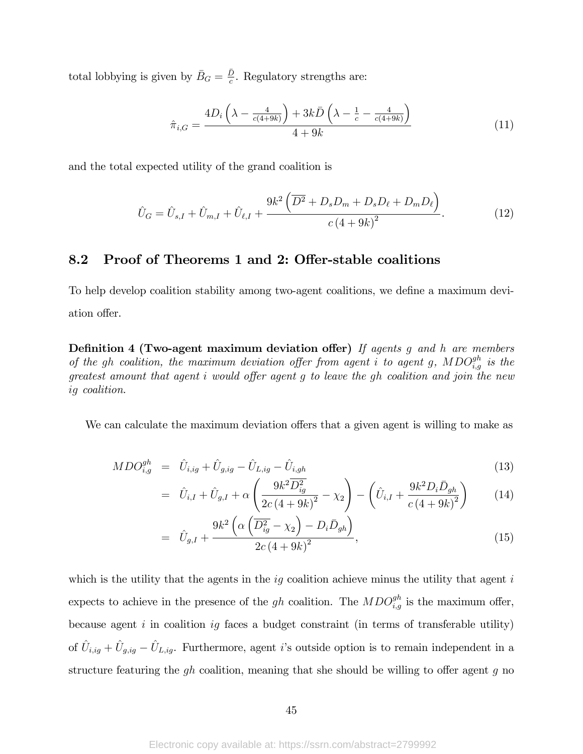total lobbying is given by  $\bar{B}_G = \frac{\bar{D}}{c}$  $\frac{D}{c}$ . Regulatory strengths are:

$$
\hat{\pi}_{i,G} = \frac{4D_i\left(\lambda - \frac{4}{c(4+9k)}\right) + 3k\bar{D}\left(\lambda - \frac{1}{c} - \frac{4}{c(4+9k)}\right)}{4+9k} \tag{11}
$$

and the total expected utility of the grand coalition is

$$
\hat{U}_G = \hat{U}_{s,I} + \hat{U}_{m,I} + \hat{U}_{\ell,I} + \frac{9k^2 \left(\overline{D^2} + D_s D_m + D_s D_\ell + D_m D_\ell\right)}{c \left(4 + 9k\right)^2}.
$$
\n(12)

### 8.2 Proof of Theorems 1 and 2: Offer-stable coalitions

To help develop coalition stability among two-agent coalitions, we define a maximum deviation offer.

Definition 4 (Two-agent maximum deviation offer) If agents g and h are members of the gh coalition, the maximum deviation offer from agent i to agent g,  $MDO_{i,g}^{gh}$  is the greatest amount that agent  $i$  would offer agent  $g$  to leave the  $gh$  coalition and join the new ig coalition.

We can calculate the maximum deviation offers that a given agent is willing to make as

$$
MDO_{i,g}^{gh} = \hat{U}_{i,ig} + \hat{U}_{g,ig} - \hat{U}_{L,ig} - \hat{U}_{i,gh}
$$
\n(13)

$$
= \hat{U}_{i,I} + \hat{U}_{g,I} + \alpha \left( \frac{9k^2 \overline{D_{ig}^2}}{2c(4+9k)^2} - \chi_2 \right) - \left( \hat{U}_{i,I} + \frac{9k^2 D_i \bar{D}_{gh}}{c(4+9k)^2} \right) \tag{14}
$$

$$
= \hat{U}_{g,I} + \frac{9k^2 \left( \alpha \left( \overline{D_{ig}^2} - \chi_2 \right) - D_i \bar{D}_{gh} \right)}{2c \left( 4 + 9k \right)^2}, \tag{15}
$$

which is the utility that the agents in the  $ig$  coalition achieve minus the utility that agent  $i$ expects to achieve in the presence of the gh coalition. The  $MDO_{i,g}^{gh}$  is the maximum offer, because agent i in coalition ig faces a budget constraint (in terms of transferable utility) of  $\hat{U}_{i,ig} + \hat{U}_{g,ig} - \hat{U}_{L,ig}$ . Furthermore, agent *i*'s outside option is to remain independent in a structure featuring the  $gh$  coalition, meaning that she should be willing to offer agent g no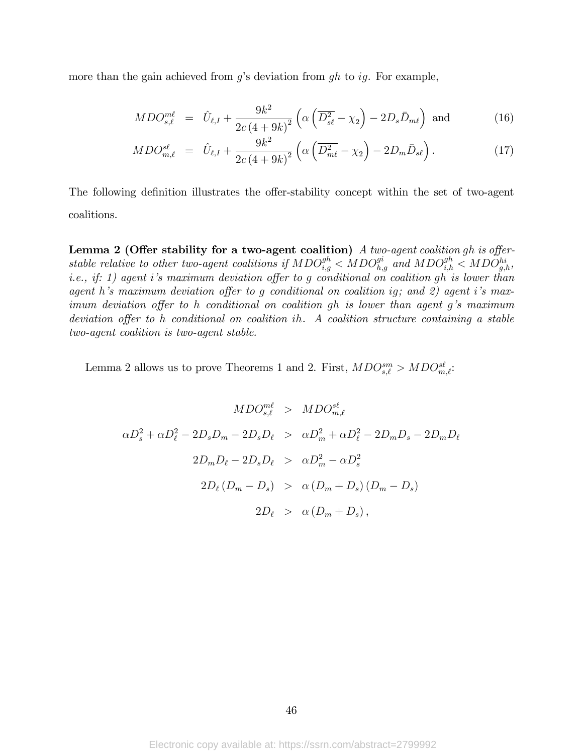more than the gain achieved from  $g$ 's deviation from  $gh$  to ig. For example,

$$
MDO_{s,\ell}^{m\ell} = \hat{U}_{\ell,I} + \frac{9k^2}{2c(4+9k)^2} \left( \alpha \left( \overline{D_{s\ell}^2} - \chi_2 \right) - 2D_s \bar{D}_{m\ell} \right) \text{ and } (16)
$$

$$
MDO_{m,\ell}^{s\ell} = \hat{U}_{\ell,I} + \frac{9k^2}{2c(4+9k)^2} \left( \alpha \left( \overline{D_{m\ell}^2} - \chi_2 \right) - 2D_m \bar{D}_{s\ell} \right). \tag{17}
$$

The following definition illustrates the offer-stability concept within the set of two-agent coalitions.

**Lemma 2 (Offer stability for a two-agent coalition)** A two-agent coalition gh is offerstable relative to other two-agent coalitions if  $MDO_{i,g}^{gh} < MDO_{h,g}^{gi}$  and  $MDO_{i,h}^{gh} < MDO_{g,h}^{hi}$ , i.e., if: 1) agent i's maximum deviation offer to g conditional on coalition gh is lower than agent h's maximum deviation offer to g conditional on coalition ig; and 2) agent i's maximum deviation offer to h conditional on coalition gh is lower than agent g's maximum deviation offer to h conditional on coalition ih. A coalition structure containing a stable two-agent coalition is two-agent stable.

Lemma 2 allows us to prove Theorems 1 and 2. First,  $MDO_{s,\ell}^{sm} > MDO_{m,\ell}^{sl}$ .

$$
MDO_{s,\ell}^{m\ell} > MDO_{m,\ell}^{s\ell}
$$
  
\n
$$
\alpha D_s^2 + \alpha D_\ell^2 - 2D_s D_m - 2D_s D_\ell > \alpha D_m^2 + \alpha D_\ell^2 - 2D_m D_s - 2D_m D_\ell
$$
  
\n
$$
2D_m D_\ell - 2D_s D_\ell > \alpha D_m^2 - \alpha D_s^2
$$
  
\n
$$
2D_\ell (D_m - D_s) > \alpha (D_m + D_s) (D_m - D_s)
$$
  
\n
$$
2D_\ell > \alpha (D_m + D_s),
$$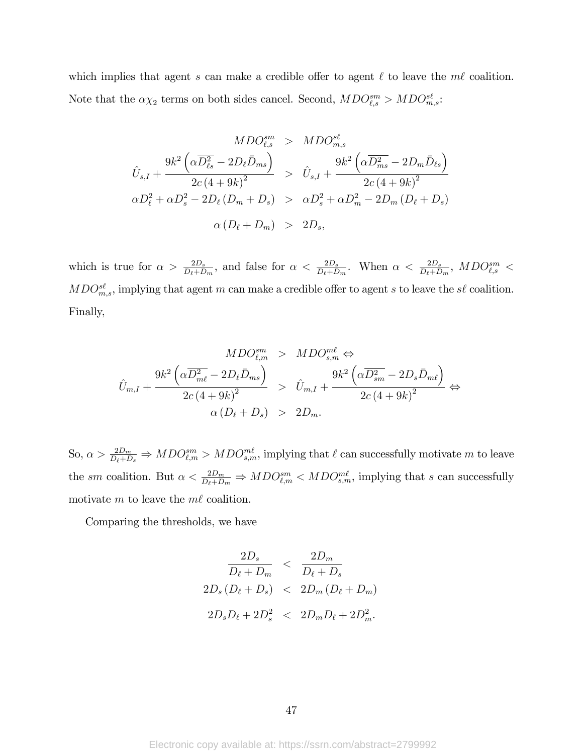which implies that agent s can make a credible offer to agent  $\ell$  to leave the m $\ell$  coalition. Note that the  $\alpha \chi_2$  terms on both sides cancel. Second,  $MDO_{\ell,s}^{sm} > MDO_{m,s}^{s\ell}$ .

$$
MDO_{\ell,s}^{sm} > MDO_{m,s}^{s\ell}
$$
  

$$
\hat{U}_{s,I} + \frac{9k^2 \left(\alpha \overline{D_{\ell s}^2} - 2D_{\ell} \bar{D}_{ms}\right)}{2c(4+9k)^2} > \hat{U}_{s,I} + \frac{9k^2 \left(\alpha \overline{D_{ms}^2} - 2D_m \bar{D}_{\ell s}\right)}{2c(4+9k)^2}
$$
  

$$
\alpha D_{\ell}^2 + \alpha D_s^2 - 2D_{\ell} \left(D_m + D_s\right) > \alpha D_s^2 + \alpha D_m^2 - 2D_m \left(D_{\ell} + D_s\right)
$$
  

$$
\alpha \left(D_{\ell} + D_m\right) > 2D_s,
$$

which is true for  $\alpha > \frac{2D_s}{D_{\ell}+D_m}$ , and false for  $\alpha < \frac{2D_s}{D_{\ell}+D_m}$ . When  $\alpha < \frac{2D_s}{D_{\ell}+D_m}$ ,  $MDO_{\ell,s}^{sm} <$  $MDO<sub>m,s</sub><sup>sl</sup>$ , implying that agent m can make a credible offer to agent s to leave the s $\ell$  coalition. Finally,

$$
MDO_{\ell,m}^{sm} > MDO_{s,m}^{m\ell} \Leftrightarrow
$$
  

$$
\hat{U}_{m,I} + \frac{9k^2 \left(\alpha \overline{D_{m\ell}^2} - 2D_{\ell} \bar{D}_{ms}\right)}{2c\left(4+9k\right)^2} > \hat{U}_{m,I} + \frac{9k^2 \left(\alpha \overline{D_{sm}^2} - 2D_s \bar{D}_{m\ell}\right)}{2c\left(4+9k\right)^2} \Leftrightarrow
$$
  

$$
\alpha \left(D_{\ell} + D_s\right) > 2D_m.
$$

So,  $\alpha > \frac{2D_m}{D_\ell + D_s} \Rightarrow MDO_{\ell,m}^{sm} > MDO_{s,m}^{m\ell}$ , implying that  $\ell$  can successfully motivate m to leave the sm coalition. But  $\alpha < \frac{2D_m}{D_{\ell}+D_m} \Rightarrow MDO_{\ell,m}^{sm} < MDO_{s,m}^{m\ell}$ , implying that s can successfully motivate m to leave the  $m\ell$  coalition.

Comparing the thresholds, we have

$$
\frac{2D_s}{D_{\ell} + D_m} < \frac{2D_m}{D_{\ell} + D_s}
$$
\n
$$
2D_s(D_{\ell} + D_s) < 2D_m(D_{\ell} + D_m)
$$
\n
$$
2D_sD_{\ell} + 2D_s^2 < 2D_mD_{\ell} + 2D_m^2.
$$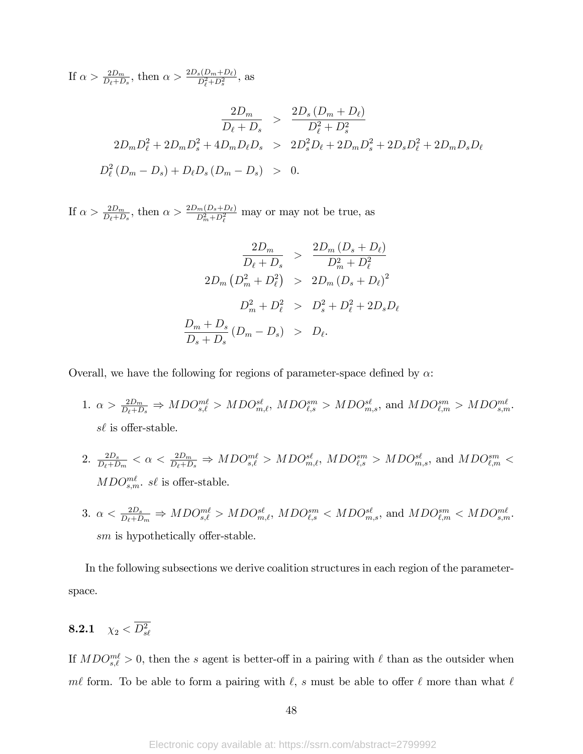If  $\alpha > \frac{2D_m}{D_{\ell}+D_s}$ , then  $\alpha > \frac{2D_s(D_m+D_{\ell})}{D_{\ell}^2+D_s^2}$ , as

$$
\frac{2D_m}{D_{\ell} + D_s} > \frac{2D_s(D_m + D_{\ell})}{D_{\ell}^2 + D_s^2}
$$
  
2D\_mD\_{\ell}^2 + 2D\_mD\_s^2 + 4D\_mD\_{\ell}D\_s > 2D\_s^2D\_{\ell} + 2D\_mD\_s^2 + 2D\_sD\_{\ell}^2 + 2D\_mD\_sD\_{\ell}  

$$
D_{\ell}^2(D_m - D_s) + D_{\ell}D_s(D_m - D_s) > 0.
$$

If  $\alpha > \frac{2D_m}{D_{\ell}+D_s}$ , then  $\alpha > \frac{2D_m(D_s+D_{\ell})}{D_m^2+D_{\ell}^2}$  may or may not be true, as

$$
\frac{2D_m}{D_{\ell} + D_s} > \frac{2D_m (D_s + D_{\ell})}{D_m^2 + D_{\ell}^2}
$$
  
\n
$$
2D_m (D_m^2 + D_{\ell}^2) > 2D_m (D_s + D_{\ell})^2
$$
  
\n
$$
D_m^2 + D_{\ell}^2 > D_s^2 + D_{\ell}^2 + 2D_s D_{\ell}
$$
  
\n
$$
\frac{D_m + D_s}{D_s + D_s} (D_m - D_s) > D_{\ell}.
$$

Overall, we have the following for regions of parameter-space defined by  $\alpha$ :

- 1.  $\alpha > \frac{2D_m}{D_{\ell}+D_s} \Rightarrow MDO_{s,\ell}^{ml} > MDO_{m,\ell}^{sl}, MDO_{\ell,s}^{sm} > MDO_{m,s}^{sl}, \text{ and } MDO_{\ell,m}^{sm} > MDO_{s,m}^{ml}.$  $s\ell$  is offer-stable.
- $2. \frac{2D_s}{D_{\ell}+D_m} < \alpha < \frac{2D_m}{D_{\ell}+D_s} \Rightarrow MDO_{s,\ell}^{m\ell} > MDO_{m,\ell}^{s\ell}, \, MDO_{\ell,s}^{sm} > MDO_{m,s}^{s\ell}, \text{ and } MDO_{\ell,m}^{sm} < \ell$  $MDO_{s,m}^{m\ell}$ . s $\ell$  is offer-stable.
- 3.  $\alpha < \frac{2D_s}{D_{\ell}+D_m} \Rightarrow MDO_{s,\ell}^{m\ell} > MDO_{m,\ell}^{s\ell}$ ,  $MDO_{\ell,s}^{sm} < MDO_{m,s}^{s\ell}$ , and  $MDO_{\ell,m}^{sm} < MDO_{s,m}^{m\ell}$ .  $sm$  is hypothetically offer-stable.

In the following subsections we derive coalition structures in each region of the parameterspace.

$$
\textbf{8.2.1} \quad \chi_2 < \overline{D_{s\ell}^2}
$$

If  $MDO_{s,\ell}^{m\ell} > 0$ , then the s agent is better-off in a pairing with  $\ell$  than as the outsider when met form. To be able to form a pairing with  $\ell$ , s must be able to offer  $\ell$  more than what  $\ell$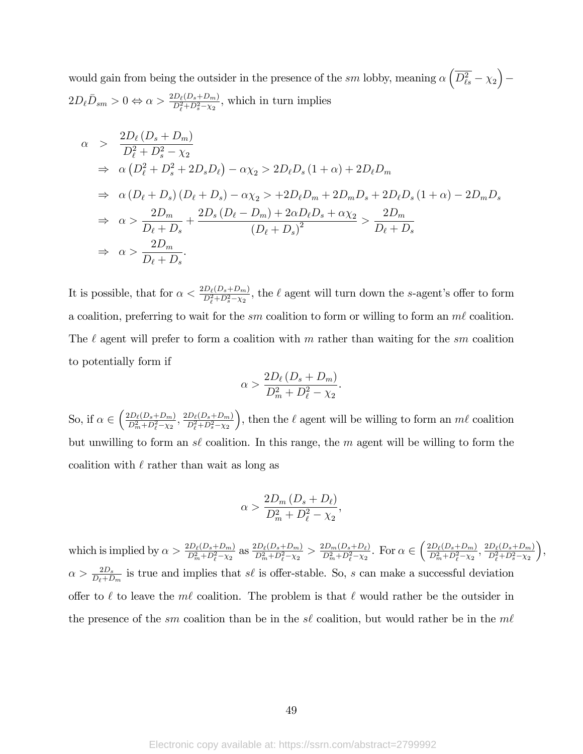would gain from being the outsider in the presence of the sm lobby, meaning  $\alpha \left( \overline{D_{\ell s}^2} - \chi_2 \right)$  $\equiv$  $2D_{\ell}\bar{D}_{sm} > 0 \Leftrightarrow \alpha > \frac{2D_{\ell}(D_s + D_m)}{D_{\ell}^2 + D_s^2 - \chi_2}$ , which in turn implies

$$
\alpha > \frac{2D_{\ell}(D_s + D_m)}{D_{\ell}^2 + D_s^2 - \chi_2}
$$
  
\n
$$
\Rightarrow \alpha (D_{\ell}^2 + D_s^2 + 2D_s D_{\ell}) - \alpha \chi_2 > 2D_{\ell}D_s (1 + \alpha) + 2D_{\ell}D_m
$$
  
\n
$$
\Rightarrow \alpha (D_{\ell} + D_s) (D_{\ell} + D_s) - \alpha \chi_2 > +2D_{\ell}D_m + 2D_mD_s + 2D_{\ell}D_s (1 + \alpha) - 2D_mD_s
$$
  
\n
$$
\Rightarrow \alpha > \frac{2D_m}{D_{\ell} + D_s} + \frac{2D_s (D_{\ell} - D_m) + 2\alpha D_{\ell}D_s + \alpha \chi_2}{(D_{\ell} + D_s)^2} > \frac{2D_m}{D_{\ell} + D_s}
$$
  
\n
$$
\Rightarrow \alpha > \frac{2D_m}{D_{\ell} + D_s}.
$$

It is possible, that for  $\alpha < \frac{2D_{\ell}(D_s+D_m)}{D_{\ell}^2+D_s^2-\chi_2}$ , the  $\ell$  agent will turn down the s-agent's offer to form a coalition, preferring to wait for the sm coalition to form or willing to form an  $m\ell$  coalition. The  $\ell$  agent will prefer to form a coalition with m rather than waiting for the sm coalition to potentially form if

$$
\alpha > \frac{2D_{\ell}\left(D_s + D_m\right)}{D_m^2 + D_{\ell}^2 - \chi_2}.
$$

So, if  $\alpha \in \left(\frac{2D_{\ell}(D_s+D_m)}{D_m^2+D_{\ell}^2-\chi_2}\right)$  $\frac{2D_{\ell}(D_{s}+D_{m})}{D_{m}^{2}+D_{\ell}^{2}-\chi_{2}}, \frac{2D_{\ell}(D_{s}+D_{m})}{D_{\ell}^{2}+D_{s}^{2}-\chi_{2}}$  $D_{\ell}^2 + D_s^2 - \chi_2$ ), then the  $\ell$  agent will be willing to form an  $m\ell$  coalition but unwilling to form an s $\ell$  coalition. In this range, the m agent will be willing to form the coalition with  $\ell$  rather than wait as long as

$$
\alpha > \frac{2D_m\left(D_s + D_\ell\right)}{D_m^2 + D_\ell^2 - \chi_2},
$$

which is implied by  $\alpha > \frac{2D_{\ell}(D_s+D_m)}{D_m^2+D_{\ell}^2-\chi_2}$  as  $\frac{2D_{\ell}(D_s+D_m)}{D_m^2+D_{\ell}^2-\chi_2}$  $\frac{2D_{\ell}(D_{s}+D_{m})}{D_{m}^{2}+D_{\ell}^{2}-\chi_{2}} > \frac{2D_{m}(D_{s}+D_{\ell})}{D_{m}^{2}+D_{\ell}^{2}-\chi_{2}}$  $\frac{2D_m(D_s+D_\ell)}{D_m^2+D_\ell^2-\chi_2}$ . For  $\alpha \in \left(\frac{2D_\ell(D_s+D_m)}{D_m^2+D_\ell^2-\chi_2}\right)$  $\frac{2D_{\ell}(D_{s}+D_{m})}{D_{m}^{2}+D_{\ell}^{2}-\chi_{2}}, \frac{2D_{\ell}(D_{s}+D_{m})}{D_{\ell}^{2}+D_{s}^{2}-\chi_{2}}$  $D_{\ell}^2 + D_s^2 - \chi_2$  ,  $\alpha > \frac{2D_s}{D_{\ell}+D_m}$  is true and implies that s $\ell$  is offer-stable. So, s can make a successful deviation offer to  $\ell$  to leave the  $m\ell$  coalition. The problem is that  $\ell$  would rather be the outsider in the presence of the sm coalition than be in the s $\ell$  coalition, but would rather be in the m $\ell$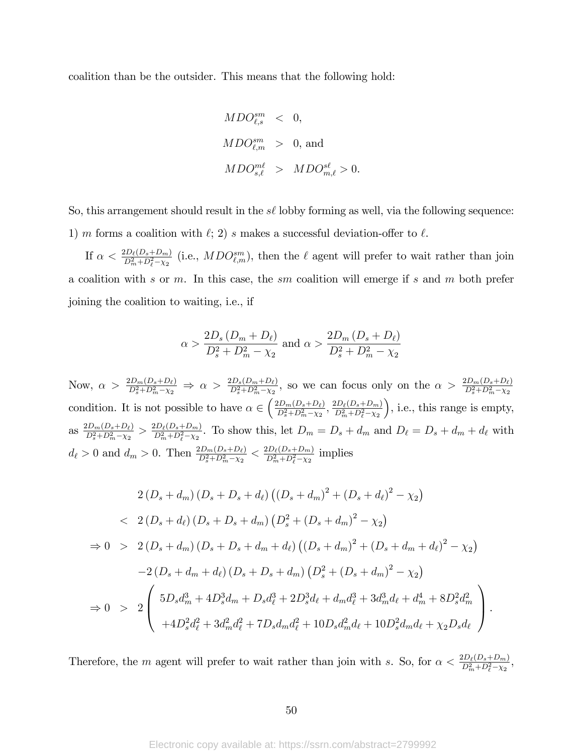coalition than be the outsider. This means that the following hold:

$$
\begin{array}{lcl} MDO_{\ell,s}^{sm} & < & 0, \\\\ MDO_{\ell,m}^{sm} & > & 0, \text{ and} \\\\ MDO_{s,\ell}^{m\ell} & > & MDO_{m,\ell}^{s\ell} > 0. \end{array}
$$

So, this arrangement should result in the  $s\ell$  lobby forming as well, via the following sequence: 1) m forms a coalition with  $\ell$ ; 2) s makes a successful deviation-offer to  $\ell$ .

If  $\alpha < \frac{2D_{\ell}(D_s+D_m)}{D_m^2+D_{\ell}^2-\chi_2}$  (i.e.,  $MDO_{\ell,m}^{sm}$ ), then the  $\ell$  agent will prefer to wait rather than join a coalition with s or  $m$ . In this case, the sm coalition will emerge if s and  $m$  both prefer joining the coalition to waiting, i.e., if

$$
\alpha > \frac{2D_s (D_m + D_\ell)}{D_s^2 + D_m^2 - \chi_2}
$$
 and  $\alpha > \frac{2D_m (D_s + D_\ell)}{D_s^2 + D_m^2 - \chi_2}$ 

Now,  $\alpha > \frac{2D_m(D_s+D_\ell)}{D_s^2+D_m^2-\chi_2} \Rightarrow \alpha > \frac{2D_s(D_m+D_\ell)}{D_s^2+D_m^2-\chi_2}$ , so we can focus only on the  $\alpha > \frac{2D_m(D_s+D_\ell)}{D_s^2+D_m^2-\chi_2}$ condition. It is not possible to have  $\alpha \in \left( \frac{2D_m(D_s+D_\ell)}{D_s^2+D_m^2-\chi_2} \right)$  $\frac{2D_m(D_s+D_\ell)}{D_s^2+D_m^2-\chi_2}, \frac{2D_\ell(D_s+D_m)}{D_m^2+D_\ell^2-\chi_2}$  $D_m^2 + D_\ell^2 - \chi_2$  , i.e., this range is empty, as  $\frac{2D_m(D_s+D_\ell)}{D^2+D^2-\gamma_s}$  $\frac{2D_m(D_s+D_\ell)}{D_s^2+D_m^2-\chi_2} > \frac{2D_\ell(D_s+D_m)}{D_m^2+D_\ell^2-\chi_2}$  $\frac{2D_{\ell}(D_s+D_m)}{D_m^2+D_{\ell}^2-\chi_2}$ . To show this, let  $D_m = D_s + d_m$  and  $D_{\ell} = D_s + d_m + d_{\ell}$  with  $d_{\ell} > 0$  and  $d_m > 0$ . Then  $\frac{2D_m(D_s + D_{\ell})}{D_s^2 + D_m^2 - \chi_2} < \frac{2D_{\ell}(D_s + D_m)}{D_m^2 + D_{\ell}^2 - \chi_2}$  $\frac{2D_{\ell}(D_s+D_m)}{D_m^2+D_{\ell}^2-\chi_2}$  implies

$$
2(D_s + d_m)(D_s + D_s + d_\ell)((D_s + d_m)^2 + (D_s + d_\ell)^2 - \chi_2)
$$
  

$$
< 2(D_s + d_\ell)(D_s + D_s + d_m)(D_s^2 + (D_s + d_m)^2 - \chi_2)
$$
  

$$
\Rightarrow 0 > 2(D_s + d_m)(D_s + D_s + d_m + d_\ell)((D_s + d_m)^2 + (D_s + d_m + d_\ell)^2 - \chi_2)
$$
  

$$
-2(D_s + d_m + d_\ell)(D_s + D_s + d_m)(D_s^2 + (D_s + d_m)^2 - \chi_2)
$$
  

$$
\Rightarrow 0 > 2\left(5D_s d_m^3 + 4D_s^3 d_m + D_s d_\ell^3 + 2D_s^3 d_\ell + d_m d_\ell^3 + 3d_m^3 d_\ell + d_m^4 + 8D_s^2 d_m^2\right)
$$
  

$$
+ 4D_s^2 d_\ell^2 + 3d_m^2 d_\ell^2 + 7D_s d_m d_\ell^2 + 10D_s d_m^2 d_\ell + 10D_s^2 d_m d_\ell + \chi_2 D_s d_\ell
$$

Therefore, the m agent will prefer to wait rather than join with s. So, for  $\alpha < \frac{2D_{\ell}(D_s + D_m)}{D_m^2 + D_{\ell}^2 - \chi_2}$ ,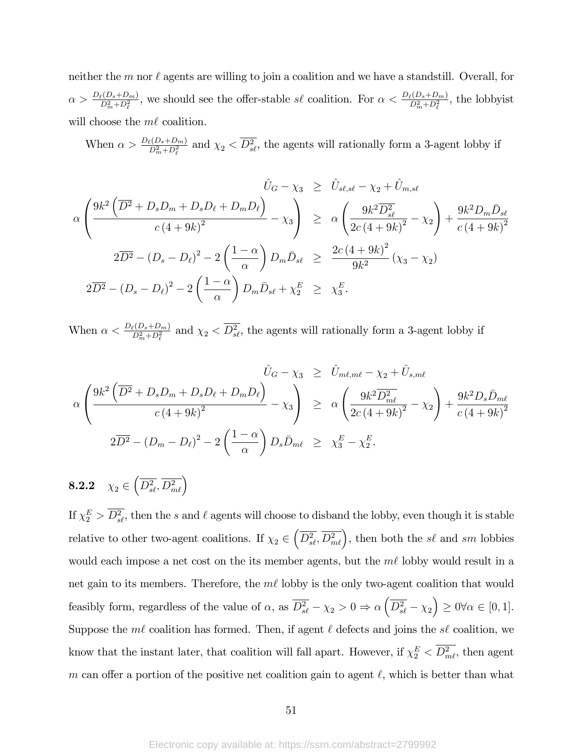neither the m nor  $\ell$  agents are willing to join a coalition and we have a standstill. Overall, for  $\alpha > \frac{D_{\ell}(D_s+D_m)}{D_m^2+D_{\ell}^2}$ , we should see the offer-stable  $s\ell$  coalition. For  $\alpha < \frac{D_{\ell}(D_s+D_m)}{D_m^2+D_{\ell}^2}$ , the lobbyist will choose the  $m\ell$  coalition.

When  $\alpha > \frac{D_{\ell}(D_s+D_m)}{D_m^2+D_{\ell}^2}$  and  $\chi_2 < \overline{D_{s\ell}^2}$ , the agents will rationally form a 3-agent lobby if

$$
\hat{U}_{G} - \chi_{3} \geq \hat{U}_{s\ell,s\ell} - \chi_{2} + \hat{U}_{m,s\ell}
$$
\n
$$
\alpha \left( \frac{9k^{2} \left( \overline{D^{2}} + D_{s}D_{m} + D_{s}D_{\ell} + D_{m}D_{\ell} \right)}{c (4 + 9k)^{2}} - \chi_{3} \right) \geq \alpha \left( \frac{9k^{2} \overline{D_{s\ell}^{2}}}{2c (4 + 9k)^{2}} - \chi_{2} \right) + \frac{9k^{2} D_{m} \bar{D}_{s\ell}}{c (4 + 9k)^{2}}
$$
\n
$$
2\overline{D^{2}} - (D_{s} - D_{\ell})^{2} - 2\left( \frac{1 - \alpha}{\alpha} \right) D_{m} \bar{D}_{s\ell} \geq \frac{2c (4 + 9k)^{2}}{9k^{2}} (\chi_{3} - \chi_{2})
$$
\n
$$
2\overline{D^{2}} - (D_{s} - D_{\ell})^{2} - 2\left( \frac{1 - \alpha}{\alpha} \right) D_{m} \bar{D}_{s\ell} + \chi_{2}^{E} \geq \chi_{3}^{E}.
$$

When  $\alpha < \frac{D_{\ell}(D_s + D_m)}{D_m^2 + D_{\ell}^2}$  and  $\chi_2 < \overline{D_{s\ell}^2}$ , the agents will rationally form a 3-agent lobby if

$$
\hat{U}_{G} - \chi_{3} \geq \hat{U}_{m\ell,m\ell} - \chi_{2} + \hat{U}_{s,m\ell}
$$
\n
$$
\alpha \left( \frac{9k^{2} \left( \overline{D^{2}} + D_{s}D_{m} + D_{s}D_{\ell} + D_{m}D_{\ell} \right)}{c \left( 4 + 9k^{2} \right)^{2}} - \chi_{3} \right) \geq \alpha \left( \frac{9k^{2} \overline{D_{m\ell}^{2}}}{2c \left( 4 + 9k^{2} \right)^{2}} - \chi_{2} \right) + \frac{9k^{2} D_{s} \bar{D}_{m\ell}}{c \left( 4 + 9k^{2} \right)^{2}}
$$
\n
$$
2\overline{D^{2}} - (D_{m} - D_{\ell})^{2} - 2 \left( \frac{1 - \alpha}{\alpha} \right) D_{s} \bar{D}_{m\ell} \geq \chi_{3}^{E} - \chi_{2}^{E}.
$$

8.2.2  $\chi_2 \in \left( \overline{D_{s\ell}^2}, \overline{D_{m\ell}^2} \right)$ 

If  $\chi_2^E > D_{s\ell}^2$ , then the s and  $\ell$  agents will choose to disband the lobby, even though it is stable relative to other two-agent coalitions. If  $\chi_2 \in \left( \overline{D_{s\ell}^2}, \overline{D_{m\ell}^2} \right)$ , then both the s $\ell$  and sm lobbies would each impose a net cost on the its member agents, but the  $m\ell$  lobby would result in a net gain to its members. Therefore, the  $m\ell$  lobby is the only two-agent coalition that would feasibly form, regardless of the value of  $\alpha$ , as  $\overline{D_{s\ell}^2} - \chi_2 > 0 \Rightarrow \alpha \left( \overline{D_{s\ell}^2} - \chi_2 \right) \ge 0 \forall \alpha \in [0,1].$ Suppose the  $m\ell$  coalition has formed. Then, if agent  $\ell$  defects and joins the s $\ell$  coalition, we know that the instant later, that coalition will fall apart. However, if  $\chi_2^E < \overline{D_{m\ell}^2}$ , then agent m can offer a portion of the positive net coalition gain to agent  $\ell$ , which is better than what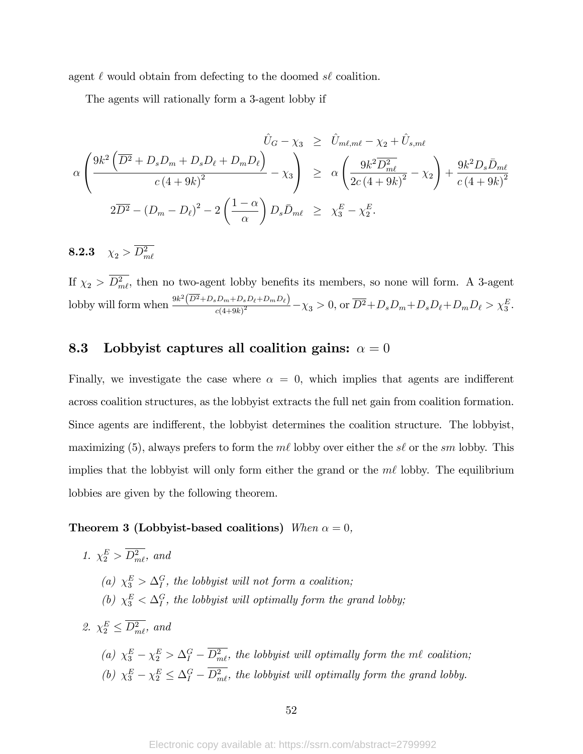agent  $\ell$  would obtain from defecting to the doomed s $\ell$  coalition.

The agents will rationally form a 3-agent lobby if

$$
\hat{U}_G - \chi_3 \geq \hat{U}_{m\ell,m\ell} - \chi_2 + \hat{U}_{s,m\ell}
$$
\n
$$
\alpha \left( \frac{9k^2 \left( \overline{D^2} + D_s D_m + D_s D_\ell + D_m D_\ell \right)}{c \left( 4 + 9k \right)^2} - \chi_3 \right) \geq \alpha \left( \frac{9k^2 \overline{D_m^2}}{2c \left( 4 + 9k \right)^2} - \chi_2 \right) + \frac{9k^2 D_s \bar{D}_{m\ell}}{c \left( 4 + 9k \right)^2}
$$
\n
$$
2\overline{D^2} - \left( D_m - D_\ell \right)^2 - 2 \left( \frac{1 - \alpha}{\alpha} \right) D_s \bar{D}_{m\ell} \geq \chi_3^E - \chi_2^E.
$$

8.2.3  $\chi_2 > D_{m\ell}^2$ 

If  $\chi_2 > D_{m\ell}^2$ , then no two-agent lobby benefits its members, so none will form. A 3-agent lobby will form when  $\frac{9k^2(\overline{D^2}+D_sD_m+D_sD_\ell+D_mD_\ell)}{a(4+9k)^2}$  $\frac{2D_m + D_s D_\ell + D_m D_\ell}{c(4+9k)^2} - \chi_3 > 0$ , or  $\overline{D^2} + D_s D_m + D_s D_\ell + D_m D_\ell > \chi_3^E$ .

### 8.3 Lobbyist captures all coalition gains:  $\alpha = 0$

Finally, we investigate the case where  $\alpha = 0$ , which implies that agents are indifferent across coalition structures, as the lobbyist extracts the full net gain from coalition formation. Since agents are indifferent, the lobbyist determines the coalition structure. The lobbyist, maximizing (5), always prefers to form the  $m\ell$  lobby over either the s $\ell$  or the sm lobby. This implies that the lobby ist will only form either the grand or the  $m\ell$  lobby. The equilibrium lobbies are given by the following theorem.

#### Theorem 3 (Lobbyist-based coalitions) When  $\alpha = 0$ ,

- 1.  $\chi_2^E > \overline{D_{m\ell}^2}$ , and (a)  $\chi_3^E > \Delta_I^G$ , the lobbyist will not form a coalition; (b)  $\chi_3^E < \Delta_I^G$ , the lobbyist will optimally form the grand lobby; 2.  $\chi_2^E \leq D_{m\ell}^2$ , and
	- (a)  $\chi_3^E \chi_2^E > \Delta_I^G D_{m\ell}^2$ , the lobbyist will optimally form the m $\ell$  coalition; (b)  $\chi_3^E - \chi_2^E \leq \Delta_I^G - D_{m\ell}^2$ , the lobbyist will optimally form the grand lobby.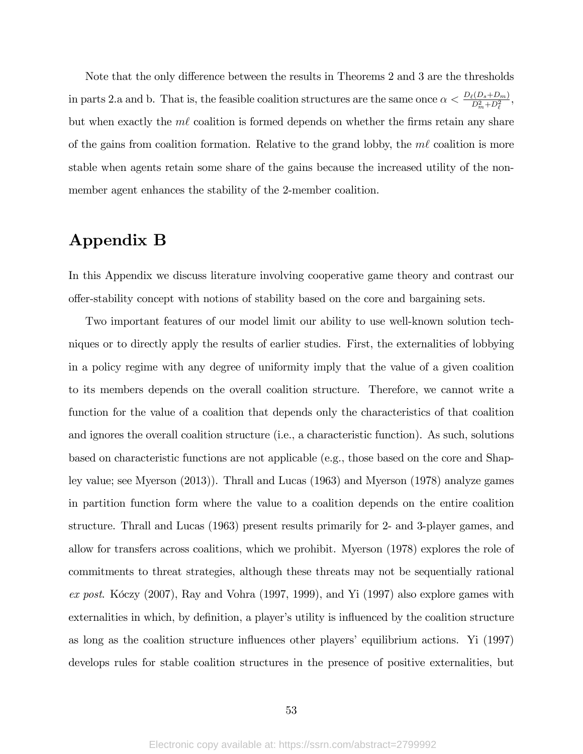Note that the only difference between the results in Theorems 2 and 3 are the thresholds in parts 2.a and b. That is, the feasible coalition structures are the same once  $\alpha < \frac{D_{\ell}(D_s+D_m)}{D_m^2+D_{\ell}^2}$ , but when exactly the  $m\ell$  coalition is formed depends on whether the firms retain any share of the gains from coalition formation. Relative to the grand lobby, the  $m\ell$  coalition is more stable when agents retain some share of the gains because the increased utility of the nonmember agent enhances the stability of the 2-member coalition.

# Appendix B

In this Appendix we discuss literature involving cooperative game theory and contrast our o§er-stability concept with notions of stability based on the core and bargaining sets.

Two important features of our model limit our ability to use well-known solution techniques or to directly apply the results of earlier studies. First, the externalities of lobbying in a policy regime with any degree of uniformity imply that the value of a given coalition to its members depends on the overall coalition structure. Therefore, we cannot write a function for the value of a coalition that depends only the characteristics of that coalition and ignores the overall coalition structure (i.e., a characteristic function). As such, solutions based on characteristic functions are not applicable (e.g., those based on the core and Shapley value; see Myerson (2013)). Thrall and Lucas (1963) and Myerson (1978) analyze games in partition function form where the value to a coalition depends on the entire coalition structure. Thrall and Lucas (1963) present results primarily for 2- and 3-player games, and allow for transfers across coalitions, which we prohibit. Myerson (1978) explores the role of commitments to threat strategies, although these threats may not be sequentially rational ex post. Kôczy (2007), Ray and Vohra (1997, 1999), and Yi (1997) also explore games with externalities in which, by definition, a player's utility is influenced by the coalition structure as long as the coalition structure influences other players' equilibrium actions. Yi (1997) develops rules for stable coalition structures in the presence of positive externalities, but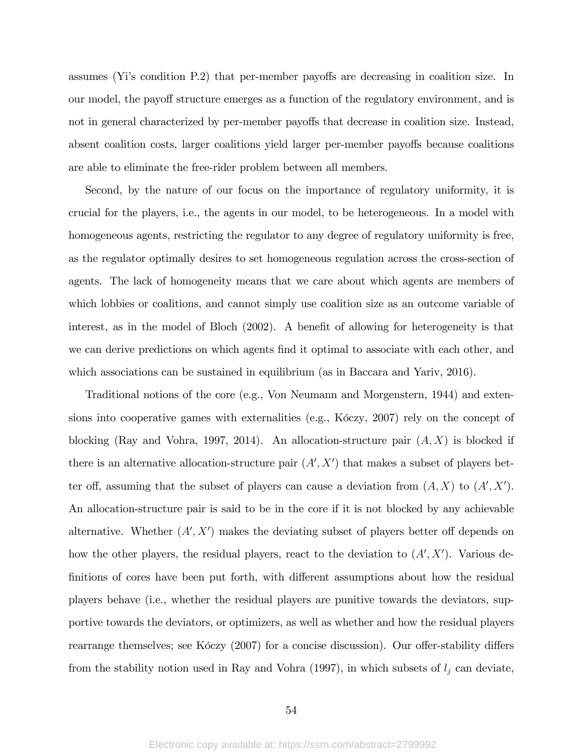assumes (Yi's condition P.2) that per-member payoffs are decreasing in coalition size. In our model, the payoff structure emerges as a function of the regulatory environment, and is not in general characterized by per-member payoffs that decrease in coalition size. Instead, absent coalition costs, larger coalitions yield larger per-member payoffs because coalitions are able to eliminate the free-rider problem between all members.

Second, by the nature of our focus on the importance of regulatory uniformity, it is crucial for the players, i.e., the agents in our model, to be heterogeneous. In a model with homogeneous agents, restricting the regulator to any degree of regulatory uniformity is free, as the regulator optimally desires to set homogeneous regulation across the cross-section of agents. The lack of homogeneity means that we care about which agents are members of which lobbies or coalitions, and cannot simply use coalition size as an outcome variable of interest, as in the model of Bloch  $(2002)$ . A benefit of allowing for heterogeneity is that we can derive predictions on which agents find it optimal to associate with each other, and which associations can be sustained in equilibrium (as in Baccara and Yariv, 2016).

Traditional notions of the core (e.g., Von Neumann and Morgenstern, 1944) and extensions into cooperative games with externalities (e.g., K $\delta$ czy, 2007) rely on the concept of blocking (Ray and Vohra, 1997, 2014). An allocation-structure pair  $(A, X)$  is blocked if there is an alternative allocation-structure pair  $(A', X')$  that makes a subset of players better off, assuming that the subset of players can cause a deviation from  $(A, X)$  to  $(A', X')$ . An allocation-structure pair is said to be in the core if it is not blocked by any achievable alternative. Whether  $(A', X')$  makes the deviating subset of players better off depends on how the other players, the residual players, react to the deviation to  $(A', X')$ . Various definitions of cores have been put forth, with different assumptions about how the residual players behave (i.e., whether the residual players are punitive towards the deviators, supportive towards the deviators, or optimizers, as well as whether and how the residual players rearrange themselves; see K $6czy$  (2007) for a concise discussion). Our offer-stability differs from the stability notion used in Ray and Vohra (1997), in which subsets of  $l_j$  can deviate,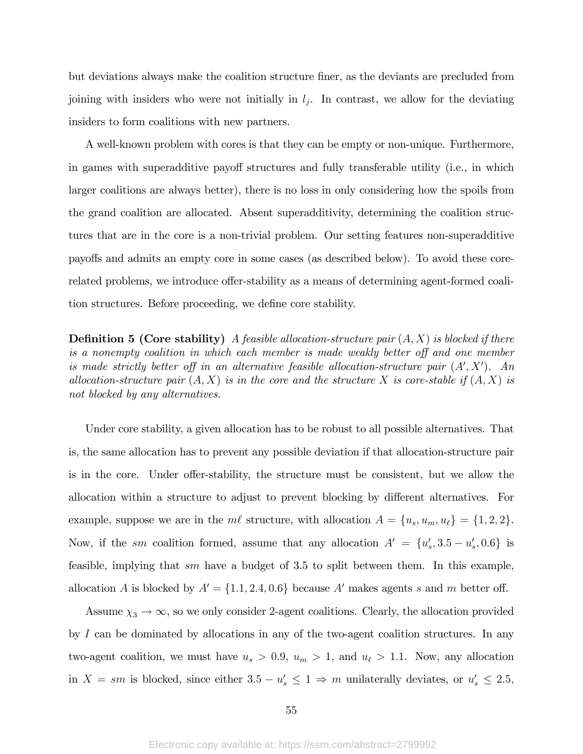but deviations always make the coalition structure finer, as the deviants are precluded from joining with insiders who were not initially in  $l_j$ . In contrast, we allow for the deviating insiders to form coalitions with new partners.

A well-known problem with cores is that they can be empty or non-unique. Furthermore, in games with superadditive payoff structures and fully transferable utility (i.e., in which larger coalitions are always better), there is no loss in only considering how the spoils from the grand coalition are allocated. Absent superadditivity, determining the coalition structures that are in the core is a non-trivial problem. Our setting features non-superadditive payo§s and admits an empty core in some cases (as described below). To avoid these corerelated problems, we introduce offer-stability as a means of determining agent-formed coalition structures. Before proceeding, we define core stability.

**Definition 5 (Core stability)** A feasible allocation-structure pair  $(A, X)$  is blocked if there is a nonempty coalition in which each member is made weakly better off and one member is made strictly better off in an alternative feasible allocation-structure pair  $(A', X')$ . An allocation-structure pair  $(A, X)$  is in the core and the structure X is core-stable if  $(A, X)$  is not blocked by any alternatives.

Under core stability, a given allocation has to be robust to all possible alternatives. That is, the same allocation has to prevent any possible deviation if that allocation-structure pair is in the core. Under offer-stability, the structure must be consistent, but we allow the allocation within a structure to adjust to prevent blocking by different alternatives. For example, suppose we are in the  $m\ell$  structure, with allocation  $A = \{u_s, u_m, u_\ell\} = \{1, 2, 2\}.$ Now, if the *sm* coalition formed, assume that any allocation  $A' = \{u'_s, 3.5 - u'_s, 0.6\}$  is feasible, implying that sm have a budget of 3.5 to split between them. In this example, allocation A is blocked by  $A' = \{1.1, 2.4, 0.6\}$  because A' makes agents s and m better off.

Assume  $\chi_3 \to \infty$ , so we only consider 2-agent coalitions. Clearly, the allocation provided by  $I$  can be dominated by allocations in any of the two-agent coalition structures. In any two-agent coalition, we must have  $u_s > 0.9$ ,  $u_m > 1$ , and  $u_\ell > 1.1$ . Now, any allocation in  $X = sm$  is blocked, since either  $3.5 - u_s' \leq 1 \Rightarrow m$  unilaterally deviates, or  $u_s' \leq 2.5$ ,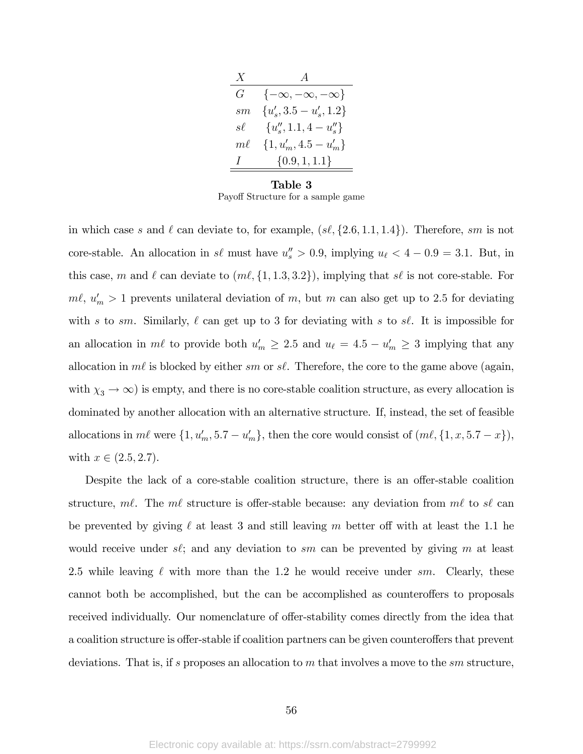| X       | $\boldsymbol{A}$                |
|---------|---------------------------------|
| $G_{-}$ | $\{-\infty, -\infty, -\infty\}$ |
| sm.     | ${u'_s, 3.5-u'_s, 1.2}$         |
| $s\ell$ | ${u''_s, 1.1, 4-u''_s\}$        |
| $m\ell$ | $\{1, u'_m, 4.5 - u'_m\}$       |
| Ι       | $\{0.9, 1, 1.1\}$               |
|         |                                 |

Table 3 Payoff Structure for a sample game

in which case s and  $\ell$  can deviate to, for example,  $(s\ell, \{2.6, 1.1, 1.4\})$ . Therefore, sm is not core-stable. An allocation in  $s\ell$  must have  $u''_s > 0.9$ , implying  $u_{\ell} < 4 - 0.9 = 3.1$ . But, in this case, m and  $\ell$  can deviate to  $(m\ell, \{1, 1.3, 3.2\})$ , implying that s $\ell$  is not core-stable. For  $m\ell, u'_m > 1$  prevents unilateral deviation of m, but m can also get up to 2.5 for deviating with s to sm. Similarly,  $\ell$  can get up to 3 for deviating with s to s $\ell$ . It is impossible for an allocation in  $m\ell$  to provide both  $u'_m \geq 2.5$  and  $u_\ell = 4.5 - u'_m \geq 3$  implying that any allocation in  $m\ell$  is blocked by either sm or s $\ell$ . Therefore, the core to the game above (again, with  $\chi_3 \to \infty$ ) is empty, and there is no core-stable coalition structure, as every allocation is dominated by another allocation with an alternative structure. If, instead, the set of feasible allocations in  $m\ell$  were  $\{1, u'_m, 5.7 - u'_m\}$ , then the core would consist of  $(m\ell, \{1, x, 5.7 - x\})$ , with  $x \in (2.5, 2.7)$ .

Despite the lack of a core-stable coalition structure, there is an offer-stable coalition structure, m $\ell$ . The m $\ell$  structure is offer-stable because: any deviation from m $\ell$  to s $\ell$  can be prevented by giving  $\ell$  at least 3 and still leaving m better off with at least the 1.1 he would receive under  $s\ell$ ; and any deviation to sm can be prevented by giving m at least 2.5 while leaving  $\ell$  with more than the 1.2 he would receive under sm. Clearly, these cannot both be accomplished, but the can be accomplished as counteroffers to proposals received individually. Our nomenclature of offer-stability comes directly from the idea that a coalition structure is offer-stable if coalition partners can be given counteroffers that prevent deviations. That is, if s proposes an allocation to m that involves a move to the  $sm$  structure,